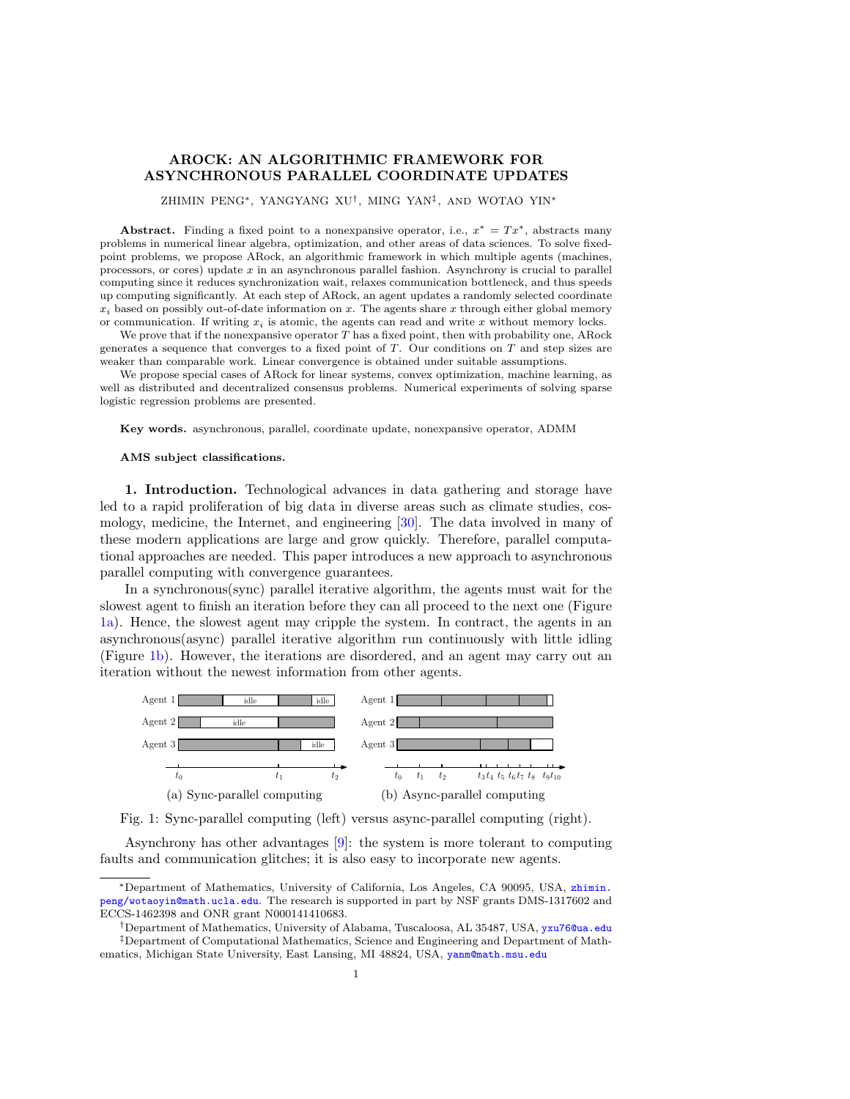# AROCK: AN ALGORITHMIC FRAMEWORK FOR ASYNCHRONOUS PARALLEL COORDINATE UPDATES

ZHIMIN PENG∗, YANGYANG XU† , MING YAN‡ , AND WOTAO YIN<sup>∗</sup>

Abstract. Finding a fixed point to a nonexpansive operator, i.e.,  $x^* = Tx^*$ , abstracts many problems in numerical linear algebra, optimization, and other areas of data sciences. To solve fixedpoint problems, we propose ARock, an algorithmic framework in which multiple agents (machines, processors, or cores) update  $x$  in an asynchronous parallel fashion. Asynchrony is crucial to parallel computing since it reduces synchronization wait, relaxes communication bottleneck, and thus speeds up computing significantly. At each step of ARock, an agent updates a randomly selected coordinate  $x_i$  based on possibly out-of-date information on x. The agents share x through either global memory or communication. If writing  $x_i$  is atomic, the agents can read and write x without memory locks.

We prove that if the nonexpansive operator  $T$  has a fixed point, then with probability one, ARock generates a sequence that converges to a fixed point of  $T$ . Our conditions on  $T$  and step sizes are weaker than comparable work. Linear convergence is obtained under suitable assumptions.

We propose special cases of ARock for linear systems, convex optimization, machine learning, as well as distributed and decentralized consensus problems. Numerical experiments of solving sparse logistic regression problems are presented.

Key words. asynchronous, parallel, coordinate update, nonexpansive operator, ADMM

#### AMS subject classifications.

1. Introduction. Technological advances in data gathering and storage have led to a rapid proliferation of big data in diverse areas such as climate studies, cosmology, medicine, the Internet, and engineering [\[30\]](#page-23-0). The data involved in many of these modern applications are large and grow quickly. Therefore, parallel computational approaches are needed. This paper introduces a new approach to asynchronous parallel computing with convergence guarantees.

In a synchronous(sync) parallel iterative algorithm, the agents must wait for the slowest agent to finish an iteration before they can all proceed to the next one (Figure [1a\)](#page-0-0). Hence, the slowest agent may cripple the system. In contract, the agents in an asynchronous(async) parallel iterative algorithm run continuously with little idling (Figure [1b\)](#page-0-0). However, the iterations are disordered, and an agent may carry out an iteration without the newest information from other agents.

<span id="page-0-0"></span>



Asynchrony has other advantages [\[9\]](#page-22-0): the system is more tolerant to computing faults and communication glitches; it is also easy to incorporate new agents.

<sup>∗</sup>Department of Mathematics, University of California, Los Angeles, CA 90095, USA, [zhimin.](zhimin.peng / wotaoyin@math.ucla.edu) [peng/wotaoyin@math.ucla.edu](zhimin.peng / wotaoyin@math.ucla.edu). The research is supported in part by NSF grants DMS-1317602 and ECCS-1462398 and ONR grant N000141410683.

<sup>†</sup>Department of Mathematics, University of Alabama, Tuscaloosa, AL 35487, USA, <yxu76@ua.edu> ‡Department of Computational Mathematics, Science and Engineering and Department of Math-

ematics, Michigan State University, East Lansing, MI 48824, USA, <yanm@math.msu.edu>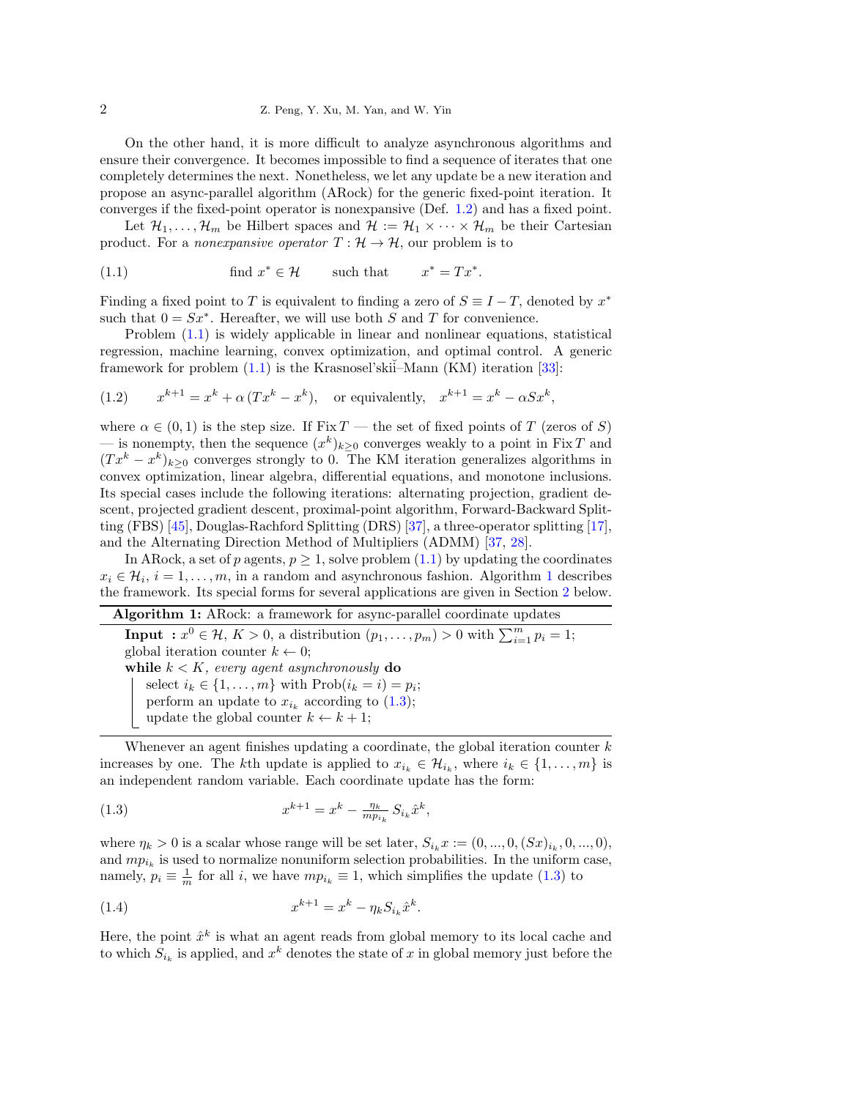On the other hand, it is more difficult to analyze asynchronous algorithms and ensure their convergence. It becomes impossible to find a sequence of iterates that one completely determines the next. Nonetheless, we let any update be a new iteration and propose an async-parallel algorithm (ARock) for the generic fixed-point iteration. It converges if the fixed-point operator is nonexpansive (Def. [1.2\)](#page-7-0) and has a fixed point.

Let  $\mathcal{H}_1, \ldots, \mathcal{H}_m$  be Hilbert spaces and  $\mathcal{H} := \mathcal{H}_1 \times \cdots \times \mathcal{H}_m$  be their Cartesian product. For a *nonexpansive operator*  $T : \mathcal{H} \to \mathcal{H}$ , our problem is to

<span id="page-1-0"></span>(1.1) find 
$$
x^* \in \mathcal{H}
$$
 such that  $x^* = Tx^*$ .

Finding a fixed point to T is equivalent to finding a zero of  $S \equiv I - T$ , denoted by  $x^*$ such that  $0 = Sx^*$ . Hereafter, we will use both S and T for convenience.

Problem [\(1.1\)](#page-1-0) is widely applicable in linear and nonlinear equations, statistical regression, machine learning, convex optimization, and optimal control. A generic framework for problem  $(1.1)$  is the Krasnosel'skii–Mann  $(KM)$  iteration [\[33\]](#page-23-1):

<span id="page-1-3"></span>(1.2) 
$$
x^{k+1} = x^k + \alpha (Tx^k - x^k), \text{ or equivalently, } x^{k+1} = x^k - \alpha S x^k,
$$

where  $\alpha \in (0,1)$  is the step size. If Fix T — the set of fixed points of T (zeros of S) — is nonempty, then the sequence  $(x^k)_{k\geq 0}$  converges weakly to a point in Fix T and  $(Tx^{k} - x^{k})_{k \geq 0}$  converges strongly to 0. The KM iteration generalizes algorithms in convex optimization, linear algebra, differential equations, and monotone inclusions. Its special cases include the following iterations: alternating projection, gradient descent, projected gradient descent, proximal-point algorithm, Forward-Backward Splitting (FBS) [\[45\]](#page-23-2), Douglas-Rachford Splitting (DRS) [\[37\]](#page-23-3), a three-operator splitting [\[17\]](#page-22-1), and the Alternating Direction Method of Multipliers (ADMM) [\[37,](#page-23-3) [28\]](#page-23-4).

In ARock, a set of p agents,  $p \geq 1$ , solve problem  $(1.1)$  by updating the coordinates  $x_i \in \mathcal{H}_i$ ,  $i = 1, \ldots, m$  $i = 1, \ldots, m$  $i = 1, \ldots, m$ , in a random and asynchronous fashion. Algorithm 1 describes the framework. Its special forms for several applications are given in Section [2](#page-7-1) below.

<span id="page-1-1"></span>Algorithm 1: ARock: a framework for async-parallel coordinate updates **Input** :  $x^0 \in \mathcal{H}, K > 0$ , a distribution  $(p_1, \ldots, p_m) > 0$  with  $\sum_{i=1}^m p_i = 1$ ; global iteration counter  $k \leftarrow 0$ ; while  $k < K$ , every agent asynchronously do select  $i_k \in \{1, \ldots, m\}$  with  $\text{Prob}(i_k = i) = p_i;$ perform an update to  $x_{i_k}$  according to  $(1.3);$  $(1.3);$ update the global counter  $k \leftarrow k + 1$ ;

Whenever an agent finishes updating a coordinate, the global iteration counter  $k$ increases by one. The kth update is applied to  $x_{i_k} \in \mathcal{H}_{i_k}$ , where  $i_k \in \{1, \ldots, m\}$  is an independent random variable. Each coordinate update has the form:

<span id="page-1-2"></span>(1.3) 
$$
x^{k+1} = x^k - \frac{\eta_k}{m p_{i_k}} S_{i_k} \hat{x}^k,
$$

where  $\eta_k > 0$  is a scalar whose range will be set later,  $S_{i_k} x := (0, ..., 0, (S_x)_{i_k}, 0, ..., 0)$ , and  $mp_{i_k}$  is used to normalize nonuniform selection probabilities. In the uniform case, namely,  $p_i \equiv \frac{1}{m}$  for all i, we have  $mp_{i_k} \equiv 1$ , which simplifies the update [\(1.3\)](#page-1-2) to

<span id="page-1-4"></span>(1.4) 
$$
x^{k+1} = x^k - \eta_k S_{i_k} \hat{x}^k.
$$

Here, the point  $\hat{x}^k$  is what an agent reads from global memory to its local cache and to which  $S_{i_k}$  is applied, and  $x^k$  denotes the state of x in global memory just before the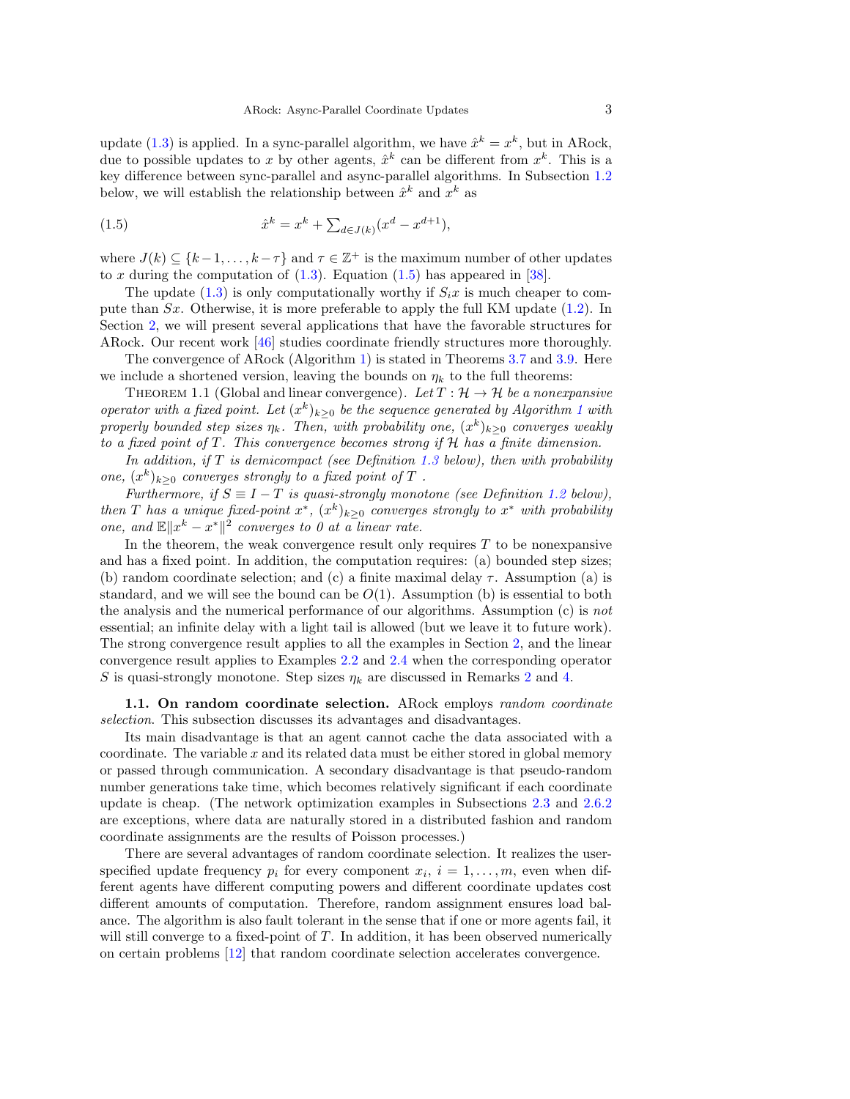update [\(1.3\)](#page-1-2) is applied. In a sync-parallel algorithm, we have  $\hat{x}^k = x^k$ , but in ARock, due to possible updates to x by other agents,  $\hat{x}^k$  can be different from  $x^k$ . This is a key difference between sync-parallel and async-parallel algorithms. In Subsection [1.2](#page-3-0) below, we will establish the relationship between  $\hat{x}^k$  and  $x^k$  as

<span id="page-2-0"></span>(1.5) 
$$
\hat{x}^k = x^k + \sum_{d \in J(k)} (x^d - x^{d+1}),
$$

where  $J(k) \subseteq \{k-1,\ldots,k-\tau\}$  and  $\tau \in \mathbb{Z}^+$  is the maximum number of other updates to x during the computation of  $(1.3)$ . Equation  $(1.5)$  has appeared in [\[38\]](#page-23-5).

The update [\(1.3\)](#page-1-2) is only computationally worthy if  $S_i x$  is much cheaper to compute than  $Sx$ . Otherwise, it is more preferable to apply the full KM update  $(1.2)$ . In Section [2,](#page-7-1) we will present several applications that have the favorable structures for ARock. Our recent work [\[46\]](#page-24-0) studies coordinate friendly structures more thoroughly.

<span id="page-2-1"></span>The convergence of ARock (Algorithm [1\)](#page-1-1) is stated in Theorems [3.7](#page-17-0) and [3.9.](#page-18-0) Here we include a shortened version, leaving the bounds on  $\eta_k$  to the full theorems:

THEOREM 1.1 (Global and linear convergence). Let  $T : \mathcal{H} \to \mathcal{H}$  be a nonexpansive operator with a fixed point. Let  $(x^k)_{k\geq 0}$  be the sequence generated by Algorithm [1](#page-1-1) with properly bounded step sizes  $\eta_k$ . Then, with probability one,  $(x^k)_{k\geq 0}$  converges weakly to a fixed point of T. This convergence becomes strong if H has a finite dimension.

In addition, if  $T$  is demicompact (see Definition [1.3](#page-7-2) below), then with probability one,  $(x^k)_{k\geq 0}$  converges strongly to a fixed point of T.

Furthermore, if  $S \equiv I - T$  is quasi-strongly monotone (see Definition [1.2](#page-7-0) below), then T has a unique fixed-point  $x^*$ ,  $(x^k)_{k\geq 0}$  converges strongly to  $x^*$  with probability one, and  $\mathbb{E} \|x^k - x^*\|^2$  converges to 0 at a linear rate.

In the theorem, the weak convergence result only requires  $T$  to be nonexpansive and has a fixed point. In addition, the computation requires: (a) bounded step sizes; (b) random coordinate selection; and (c) a finite maximal delay  $\tau$ . Assumption (a) is standard, and we will see the bound can be  $O(1)$ . Assumption (b) is essential to both the analysis and the numerical performance of our algorithms. Assumption (c) is not essential; an infinite delay with a light tail is allowed (but we leave it to future work). The strong convergence result applies to all the examples in Section [2,](#page-7-1) and the linear convergence result applies to Examples [2.2](#page-8-0) and [2.4](#page-9-0) when the corresponding operator S is quasi-strongly monotone. Step sizes  $\eta_k$  are discussed in Remarks [2](#page-16-0) and [4.](#page-19-0)

1.1. On random coordinate selection. ARock employs random coordinate selection. This subsection discusses its advantages and disadvantages.

Its main disadvantage is that an agent cannot cache the data associated with a coordinate. The variable  $x$  and its related data must be either stored in global memory or passed through communication. A secondary disadvantage is that pseudo-random number generations take time, which becomes relatively significant if each coordinate update is cheap. (The network optimization examples in Subsections [2.3](#page-8-1) and [2.6.2](#page-13-0) are exceptions, where data are naturally stored in a distributed fashion and random coordinate assignments are the results of Poisson processes.)

There are several advantages of random coordinate selection. It realizes the userspecified update frequency  $p_i$  for every component  $x_i$ ,  $i = 1, \ldots, m$ , even when different agents have different computing powers and different coordinate updates cost different amounts of computation. Therefore, random assignment ensures load balance. The algorithm is also fault tolerant in the sense that if one or more agents fail, it will still converge to a fixed-point of  $T$ . In addition, it has been observed numerically on certain problems [\[12\]](#page-22-2) that random coordinate selection accelerates convergence.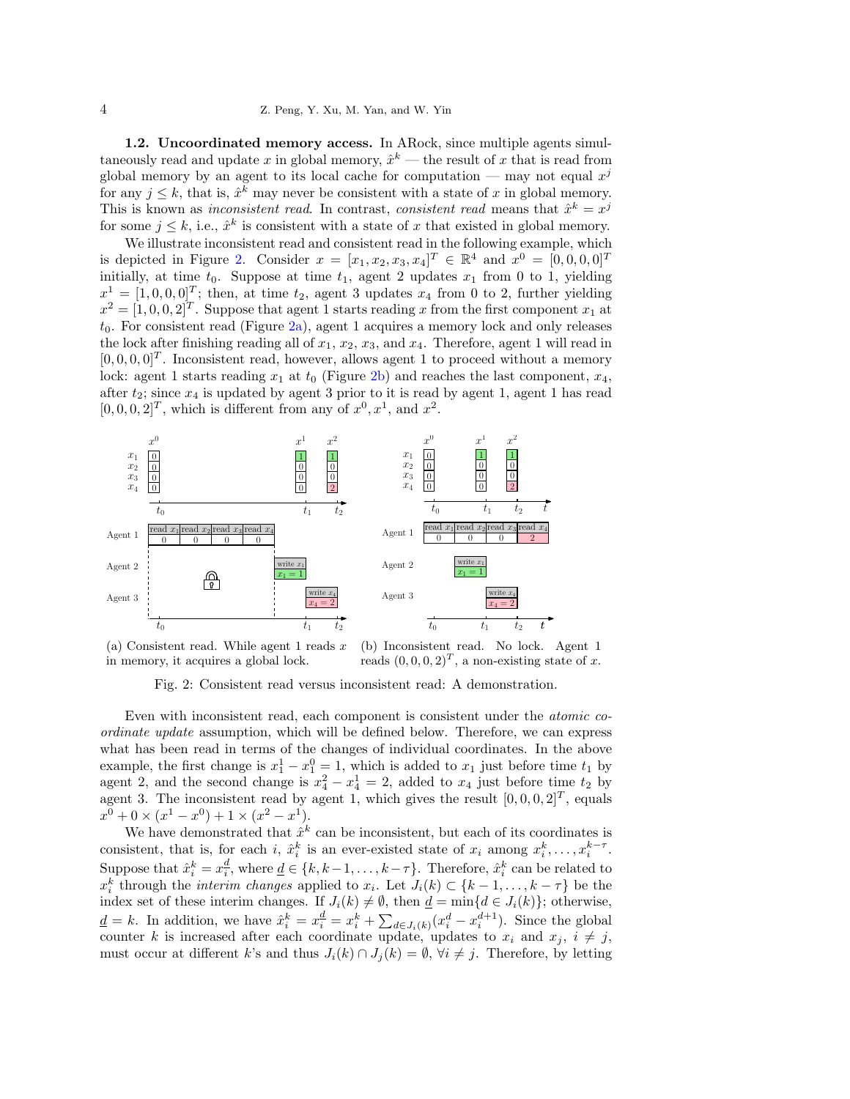<span id="page-3-0"></span>1.2. Uncoordinated memory access. In ARock, since multiple agents simultaneously read and update x in global memory,  $\hat{x}^k$  — the result of x that is read from global memory by an agent to its local cache for computation — may not equal  $x^j$ for any  $j \leq k$ , that is,  $\hat{x}^k$  may never be consistent with a state of x in global memory. This is known as *inconsistent read*. In contrast, *consistent read* means that  $\hat{x}^k = x^j$ for some  $j \leq k$ , i.e.,  $\hat{x}^k$  is consistent with a state of x that existed in global memory.

We illustrate inconsistent read and consistent read in the following example, which is depicted in Figure [2.](#page-3-1) Consider  $x = [x_1, x_2, x_3, x_4]^T \in \mathbb{R}^4$  and  $x^0 = [0, 0, 0, 0]^T$ initially, at time  $t_0$ . Suppose at time  $t_1$ , agent 2 updates  $x_1$  from 0 to 1, yielding  $x^1 = [1, 0, 0, 0]^T$ ; then, at time  $t_2$ , agent 3 updates  $x_4$  from 0 to 2, further yielding  $x^2 = [1, 0, 0, 2]^T$ . Suppose that agent 1 starts reading x from the first component  $x_1$  at  $t_0$ . For consistent read (Figure [2a\)](#page-3-1), agent 1 acquires a memory lock and only releases the lock after finishing reading all of  $x_1, x_2, x_3$ , and  $x_4$ . Therefore, agent 1 will read in  $[0, 0, 0, 0]^T$ . Inconsistent read, however, allows agent 1 to proceed without a memory lock: agent 1 starts reading  $x_1$  at  $t_0$  (Figure [2b\)](#page-3-1) and reaches the last component,  $x_4$ , after  $t_2$ ; since  $x_4$  is updated by agent 3 prior to it is read by agent 1, agent 1 has read  $[0, 0, 0, 2]^T$ , which is different from any of  $x^0, x^1$ , and  $x^2$ .

<span id="page-3-1"></span>

(a) Consistent read. While agent 1 reads  $x$ in memory, it acquires a global lock. (b) Inconsistent read. No lock. Agent 1 reads  $(0, 0, 0, 2)^T$ , a non-existing state of x.

Fig. 2: Consistent read versus inconsistent read: A demonstration.

Even with inconsistent read, each component is consistent under the atomic coordinate update assumption, which will be defined below. Therefore, we can express what has been read in terms of the changes of individual coordinates. In the above example, the first change is  $x_1^1 - x_1^0 = 1$ , which is added to  $x_1$  just before time  $t_1$  by agent 2, and the second change is  $x_4^2 - x_4^1 = 2$ , added to  $x_4$  just before time  $t_2$  by agent 3. The inconsistent read by agent 1, which gives the result  $[0, 0, 0, 2]^T$ , equals  $x^0 + 0 \times (x^1 - x^0) + 1 \times (x^2 - x^1).$ 

We have demonstrated that  $\hat{x}^k$  can be inconsistent, but each of its coordinates is consistent, that is, for each i,  $\hat{x}_i^k$  is an ever-existed state of  $x_i$  among  $x_i^k, \ldots, x_i^{k-\tau}$ . Suppose that  $\hat{x}_i^k = x_i^{\underline{d}}$ , where  $\underline{d} \in \{k, k-1, \ldots, k-\tau\}$ . Therefore,  $\hat{x}_i^k$  can be related to  $x_i^k$  through the *interim changes* applied to  $x_i$ . Let  $J_i(k) \subset \{k-1,\ldots,k-\tau\}$  be the index set of these interim changes. If  $J_i(k) \neq \emptyset$ , then  $\underline{d} = \min\{d \in J_i(k)\}\;$ , otherwise,  $\underline{d} = k$ . In addition, we have  $\hat{x}_i^k = x_i^{\underline{d}} = x_i^k + \sum_{d \in J_i(k)} (x_i^d - x_i^{d+1})$ . Since the global counter k is increased after each coordinate update, updates to  $x_i$  and  $x_j$ ,  $i \neq j$ , must occur at different k's and thus  $J_i(k) \cap J_j(k) = \emptyset$ ,  $\forall i \neq j$ . Therefore, by letting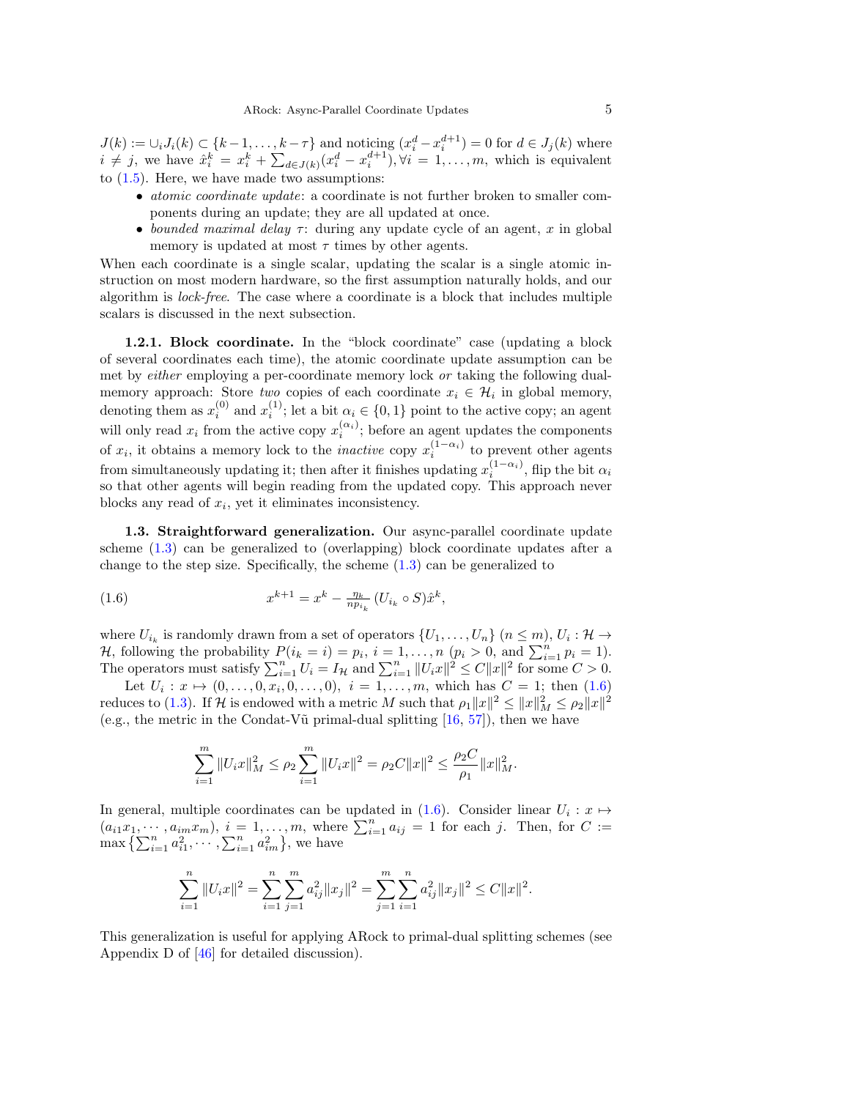$J(k) := \bigcup_i J_i(k) \subset \{k-1, \ldots, k-\tau\}$  and noticing  $(x_i^d - x_i^{d+1}) = 0$  for  $d \in J_j(k)$  where  $i \neq j$ , we have  $\hat{x}_i^k = x_i^k + \sum_{d \in J(k)} (x_i^d - x_i^{d+1}), \forall i = 1, \ldots, m$ , which is equivalent to [\(1.5\)](#page-2-0). Here, we have made two assumptions:

- atomic coordinate update: a coordinate is not further broken to smaller components during an update; they are all updated at once.
- bounded maximal delay  $\tau$ : during any update cycle of an agent, x in global memory is updated at most  $\tau$  times by other agents.

When each coordinate is a single scalar, updating the scalar is a single atomic instruction on most modern hardware, so the first assumption naturally holds, and our algorithm is lock-free. The case where a coordinate is a block that includes multiple scalars is discussed in the next subsection.

1.2.1. Block coordinate. In the "block coordinate" case (updating a block of several coordinates each time), the atomic coordinate update assumption can be met by *either* employing a per-coordinate memory lock *or* taking the following dualmemory approach: Store *two* copies of each coordinate  $x_i \in \mathcal{H}_i$  in global memory, denoting them as  $x_i^{(0)}$  and  $x_i^{(1)}$ ; let a bit  $\alpha_i \in \{0, 1\}$  point to the active copy; an agent will only read  $x_i$  from the active copy  $x_i^{(\alpha_i)}$ ; before an agent updates the components of  $x_i$ , it obtains a memory lock to the *inactive* copy  $x_i^{(1-\alpha_i)}$  to prevent other agents from simultaneously updating it; then after it finishes updating  $x_i^{(1-\alpha_i)}$ , flip the bit  $\alpha_i$ so that other agents will begin reading from the updated copy. This approach never blocks any read of  $x_i$ , yet it eliminates inconsistency.

<span id="page-4-1"></span>1.3. Straightforward generalization. Our async-parallel coordinate update scheme [\(1.3\)](#page-1-2) can be generalized to (overlapping) block coordinate updates after a change to the step size. Specifically, the scheme  $(1.3)$  can be generalized to

<span id="page-4-0"></span>(1.6) 
$$
x^{k+1} = x^k - \frac{\eta_k}{n p_{i_k}} (U_{i_k} \circ S) \hat{x}^k,
$$

where  $U_{i_k}$  is randomly drawn from a set of operators  $\{U_1, \ldots, U_n\}$   $(n \leq m)$ ,  $U_i : \mathcal{H} \to$ *H*, following the probability  $P(i_k = i) = p_i$ ,  $i = 1, ..., n$   $(p_i > 0, \text{ and } \sum_{i=1}^{n} p_i = 1)$ . The operators must satisfy  $\sum_{i=1}^{n} U_i = I_H$  and  $\sum_{i=1}^{n} ||U_i x||^2 \leq C ||x||^2$  for some  $C > 0$ .

Let  $U_i: x \mapsto (0, \ldots, 0, x_i, 0, \ldots, 0), i = 1, \ldots, m$ , which has  $C = 1$ ; then  $(1.6)$ reduces to [\(1.3\)](#page-1-2). If H is endowed with a metric M such that  $\rho_1 ||x||^2 \le ||x||_M^2 \le \rho_2 ||x||^2$ (e.g., the metric in the Condat-V $\tilde{u}$  primal-dual splitting [\[16,](#page-22-3) [57\]](#page-24-1)), then we have

$$
\sum_{i=1}^m \|U_i x\|_M^2 \le \rho_2 \sum_{i=1}^m \|U_i x\|^2 = \rho_2 C \|x\|^2 \le \frac{\rho_2 C}{\rho_1} \|x\|_M^2.
$$

In general, multiple coordinates can be updated in  $(1.6)$ . Consider linear  $U_i : x \mapsto$  $(a_{i1}x_1, \dots, a_{im}x_m), i = 1, \dots, m$ , where  $\sum_{i=1}^n a_{ij} = 1$  for each j. Then, for  $C :=$  $\max \left\{ \sum_{i=1}^{n} a_{i1}^{2}, \cdots, \sum_{i=1}^{n} a_{im}^{2} \right\}$ , we have

$$
\sum_{i=1}^{n} \|U_i x\|^2 = \sum_{i=1}^{n} \sum_{j=1}^{m} a_{ij}^2 \|x_j\|^2 = \sum_{j=1}^{m} \sum_{i=1}^{n} a_{ij}^2 \|x_j\|^2 \le C \|x\|^2.
$$

This generalization is useful for applying ARock to primal-dual splitting schemes (see Appendix D of [\[46\]](#page-24-0) for detailed discussion).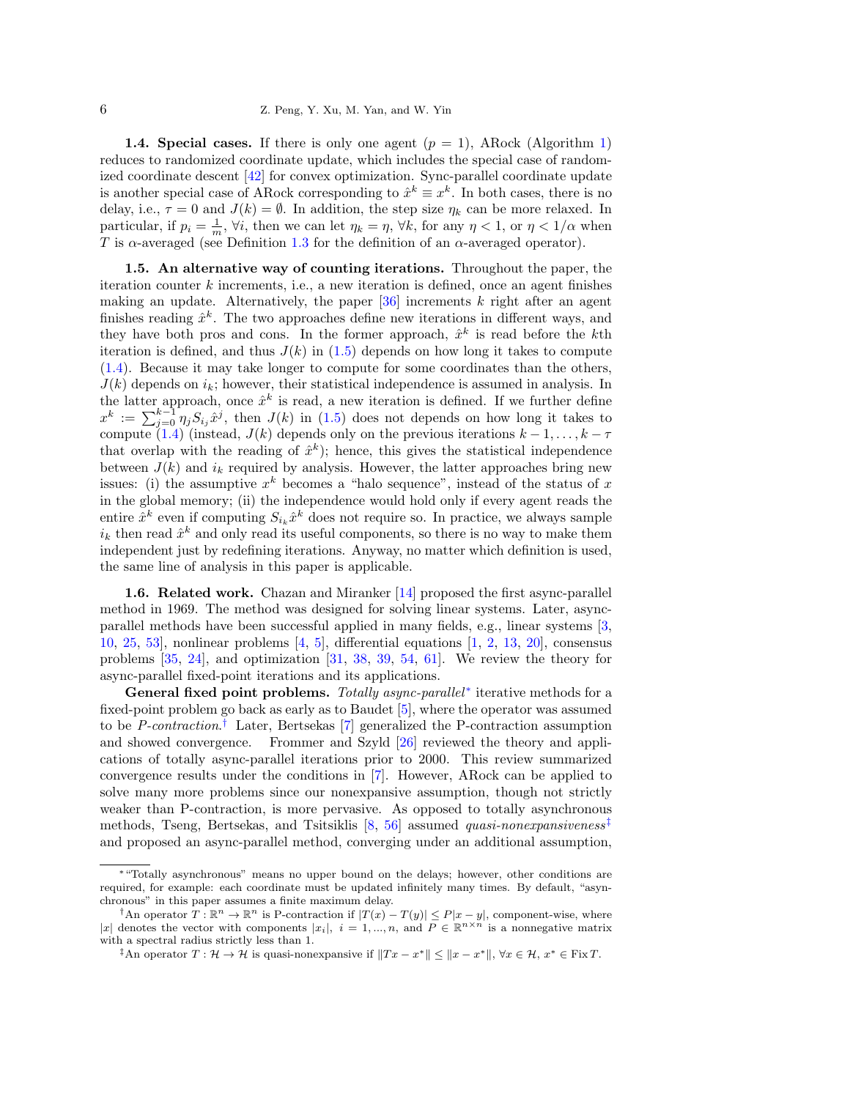**1.4. Special cases.** If there is only one agent  $(p = 1)$  $(p = 1)$ , ARock (Algorithm 1) reduces to randomized coordinate update, which includes the special case of randomized coordinate descent [\[42\]](#page-23-6) for convex optimization. Sync-parallel coordinate update is another special case of ARock corresponding to  $\hat{x}^k \equiv x^k$ . In both cases, there is no delay, i.e.,  $\tau = 0$  and  $J(k) = \emptyset$ . In addition, the step size  $\eta_k$  can be more relaxed. In particular, if  $p_i = \frac{1}{m}$ ,  $\forall i$ , then we can let  $\eta_k = \eta$ ,  $\forall k$ , for any  $\eta < 1$ , or  $\eta < 1/\alpha$  when T is  $\alpha$ -averaged (see Definition [1.3](#page-7-2) for the definition of an  $\alpha$ -averaged operator).

1.5. An alternative way of counting iterations. Throughout the paper, the iteration counter  $k$  increments, i.e., a new iteration is defined, once an agent finishes making an update. Alternatively, the paper  $[36]$  increments k right after an agent finishes reading  $\hat{x}^k$ . The two approaches define new iterations in different ways, and they have both pros and cons. In the former approach,  $\hat{x}^k$  is read before the kth iteration is defined, and thus  $J(k)$  in [\(1.5\)](#page-2-0) depends on how long it takes to compute [\(1.4\)](#page-1-4). Because it may take longer to compute for some coordinates than the others,  $J(k)$  depends on  $i_k$ ; however, their statistical independence is assumed in analysis. In the latter approach, once  $\hat{x}^k$  is read, a new iteration is defined. If we further define  $x^k := \sum_{j=0}^{k-1} \eta_j S_{i_j} \hat{x}^j$ , then  $J(k)$  in [\(1.5\)](#page-2-0) does not depends on how long it takes to compute [\(1.4\)](#page-1-4) (instead,  $J(k)$  depends only on the previous iterations  $k-1,\ldots,k-\tau$ that overlap with the reading of  $\hat{x}^k$ ; hence, this gives the statistical independence between  $J(k)$  and  $i_k$  required by analysis. However, the latter approaches bring new issues: (i) the assumptive  $x^k$  becomes a "halo sequence", instead of the status of x in the global memory; (ii) the independence would hold only if every agent reads the entire  $\hat{x}^k$  even if computing  $S_{i_k}\hat{x}^k$  does not require so. In practice, we always sample  $i_k$  then read  $\hat{x}^k$  and only read its useful components, so there is no way to make them independent just by redefining iterations. Anyway, no matter which definition is used, the same line of analysis in this paper is applicable.

1.6. Related work. Chazan and Miranker [\[14\]](#page-22-4) proposed the first async-parallel method in 1969. The method was designed for solving linear systems. Later, asyncparallel methods have been successful applied in many fields, e.g., linear systems [\[3,](#page-22-5) [10,](#page-22-6) [25,](#page-23-8) [53\]](#page-24-2), nonlinear problems [\[4,](#page-22-7) [5\]](#page-22-8), differential equations [\[1,](#page-22-9) [2,](#page-22-10) [13,](#page-22-11) [20\]](#page-23-9), consensus problems [\[35,](#page-23-10) [24\]](#page-23-11), and optimization [\[31,](#page-23-12) [38,](#page-23-5) [39,](#page-23-13) [54,](#page-24-3) [61\]](#page-24-4). We review the theory for async-parallel fixed-point iterations and its applications.

General fixed point problems. Totally async-parallel<sup>\*</sup> iterative methods for a fixed-point problem go back as early as to Baudet [\[5\]](#page-22-8), where the operator was assumed to be *P-contraction*.<sup>[†](#page-5-1)</sup> Later, Bertsekas [\[7\]](#page-22-12) generalized the P-contraction assumption and showed convergence. Frommer and Szyld [\[26\]](#page-23-14) reviewed the theory and applications of totally async-parallel iterations prior to 2000. This review summarized convergence results under the conditions in [\[7\]](#page-22-12). However, ARock can be applied to solve many more problems since our nonexpansive assumption, though not strictly weaker than P-contraction, is more pervasive. As opposed to totally asynchronous methods, Tseng, Bertsekas, and Tsitsiklis [\[8,](#page-22-13) [56\]](#page-24-5) assumed *quasi-nonexpansiveness*<sup>[‡](#page-5-2)</sup> and proposed an async-parallel method, converging under an additional assumption,

<span id="page-5-0"></span><sup>∗</sup>"Totally asynchronous" means no upper bound on the delays; however, other conditions are required, for example: each coordinate must be updated infinitely many times. By default, "asynchronous" in this paper assumes a finite maximum delay.

<span id="page-5-1"></span><sup>&</sup>lt;sup>†</sup>An operator  $T : \mathbb{R}^n \to \mathbb{R}^n$  is P-contraction if  $|T(x) - T(y)| \leq P|x - y|$ , component-wise, where |x| denotes the vector with components |x<sub>i</sub>|,  $i = 1, ..., n$ , and  $P \in \mathbb{R}^{n \times n}$  is a nonnegative matrix with a spectral radius strictly less than 1.

<span id="page-5-2"></span><sup>&</sup>lt;sup>‡</sup>An operator  $T: \mathcal{H} \to \mathcal{H}$  is quasi-nonexpansive if  $||Tx - x^*|| \le ||x - x^*||$ ,  $\forall x \in \mathcal{H}, x^* \in \text{Fix } T$ .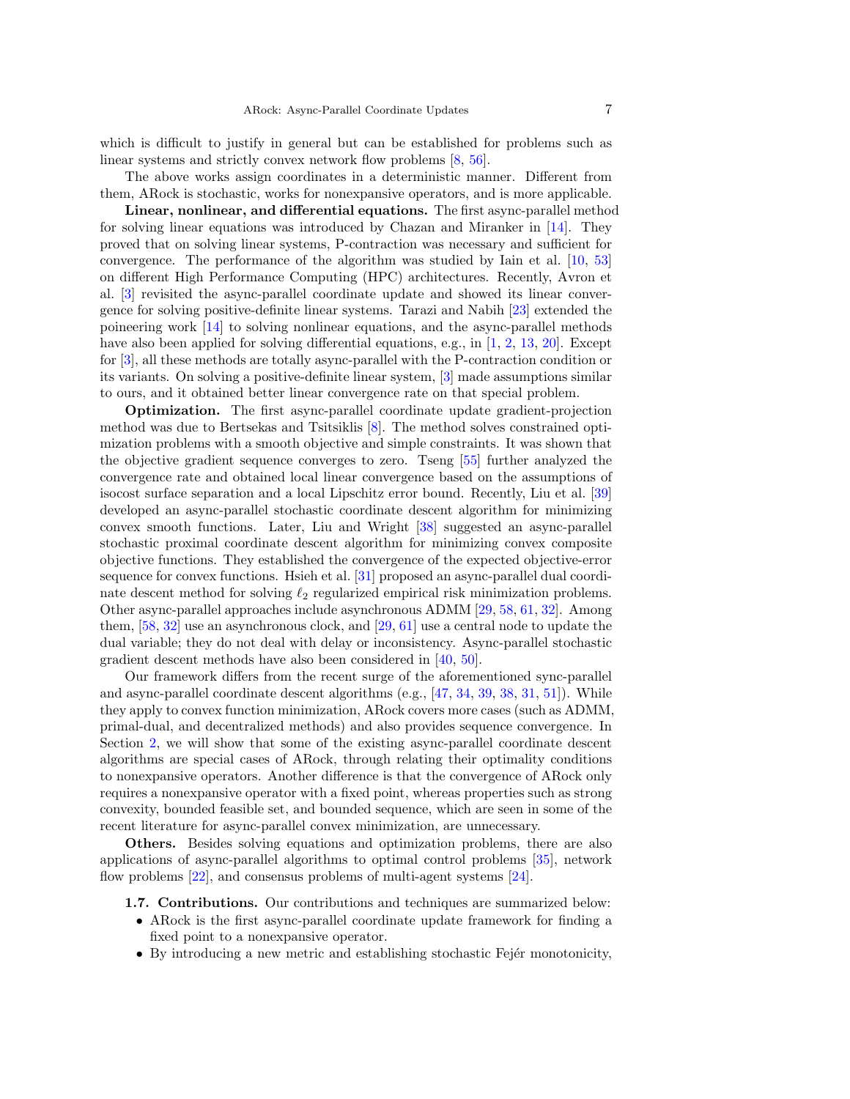which is difficult to justify in general but can be established for problems such as linear systems and strictly convex network flow problems [\[8,](#page-22-13) [56\]](#page-24-5).

The above works assign coordinates in a deterministic manner. Different from them, ARock is stochastic, works for nonexpansive operators, and is more applicable.

Linear, nonlinear, and differential equations. The first async-parallel method for solving linear equations was introduced by Chazan and Miranker in [\[14\]](#page-22-4). They proved that on solving linear systems, P-contraction was necessary and sufficient for convergence. The performance of the algorithm was studied by Iain et al. [\[10,](#page-22-6) [53\]](#page-24-2) on different High Performance Computing (HPC) architectures. Recently, Avron et al. [\[3\]](#page-22-5) revisited the async-parallel coordinate update and showed its linear convergence for solving positive-definite linear systems. Tarazi and Nabih [\[23\]](#page-23-15) extended the poineering work [\[14\]](#page-22-4) to solving nonlinear equations, and the async-parallel methods have also been applied for solving differential equations, e.g., in [\[1,](#page-22-9) [2,](#page-22-10) [13,](#page-22-11) [20\]](#page-23-9). Except for [\[3\]](#page-22-5), all these methods are totally async-parallel with the P-contraction condition or its variants. On solving a positive-definite linear system, [\[3\]](#page-22-5) made assumptions similar to ours, and it obtained better linear convergence rate on that special problem.

Optimization. The first async-parallel coordinate update gradient-projection method was due to Bertsekas and Tsitsiklis [\[8\]](#page-22-13). The method solves constrained optimization problems with a smooth objective and simple constraints. It was shown that the objective gradient sequence converges to zero. Tseng [\[55\]](#page-24-6) further analyzed the convergence rate and obtained local linear convergence based on the assumptions of isocost surface separation and a local Lipschitz error bound. Recently, Liu et al. [\[39\]](#page-23-13) developed an async-parallel stochastic coordinate descent algorithm for minimizing convex smooth functions. Later, Liu and Wright [\[38\]](#page-23-5) suggested an async-parallel stochastic proximal coordinate descent algorithm for minimizing convex composite objective functions. They established the convergence of the expected objective-error sequence for convex functions. Hsieh et al. [\[31\]](#page-23-12) proposed an async-parallel dual coordinate descent method for solving  $\ell_2$  regularized empirical risk minimization problems. Other async-parallel approaches include asynchronous ADMM [\[29,](#page-23-16) [58,](#page-24-7) [61,](#page-24-4) [32\]](#page-23-17). Among them, [\[58,](#page-24-7) [32\]](#page-23-17) use an asynchronous clock, and [\[29,](#page-23-16) [61\]](#page-24-4) use a central node to update the dual variable; they do not deal with delay or inconsistency. Async-parallel stochastic gradient descent methods have also been considered in [\[40,](#page-23-18) [50\]](#page-24-8).

Our framework differs from the recent surge of the aforementioned sync-parallel and async-parallel coordinate descent algorithms (e.g., [\[47,](#page-24-9) [34,](#page-23-19) [39,](#page-23-13) [38,](#page-23-5) [31,](#page-23-12) [51\]](#page-24-10)). While they apply to convex function minimization, ARock covers more cases (such as ADMM, primal-dual, and decentralized methods) and also provides sequence convergence. In Section [2,](#page-7-1) we will show that some of the existing async-parallel coordinate descent algorithms are special cases of ARock, through relating their optimality conditions to nonexpansive operators. Another difference is that the convergence of ARock only requires a nonexpansive operator with a fixed point, whereas properties such as strong convexity, bounded feasible set, and bounded sequence, which are seen in some of the recent literature for async-parallel convex minimization, are unnecessary.

Others. Besides solving equations and optimization problems, there are also applications of async-parallel algorithms to optimal control problems [\[35\]](#page-23-10), network flow problems [\[22\]](#page-23-20), and consensus problems of multi-agent systems [\[24\]](#page-23-11).

- 1.7. Contributions. Our contributions and techniques are summarized below:
	- ARock is the first async-parallel coordinate update framework for finding a fixed point to a nonexpansive operator.
	- $\bullet$  By introducing a new metric and establishing stochastic Fejér monotonicity,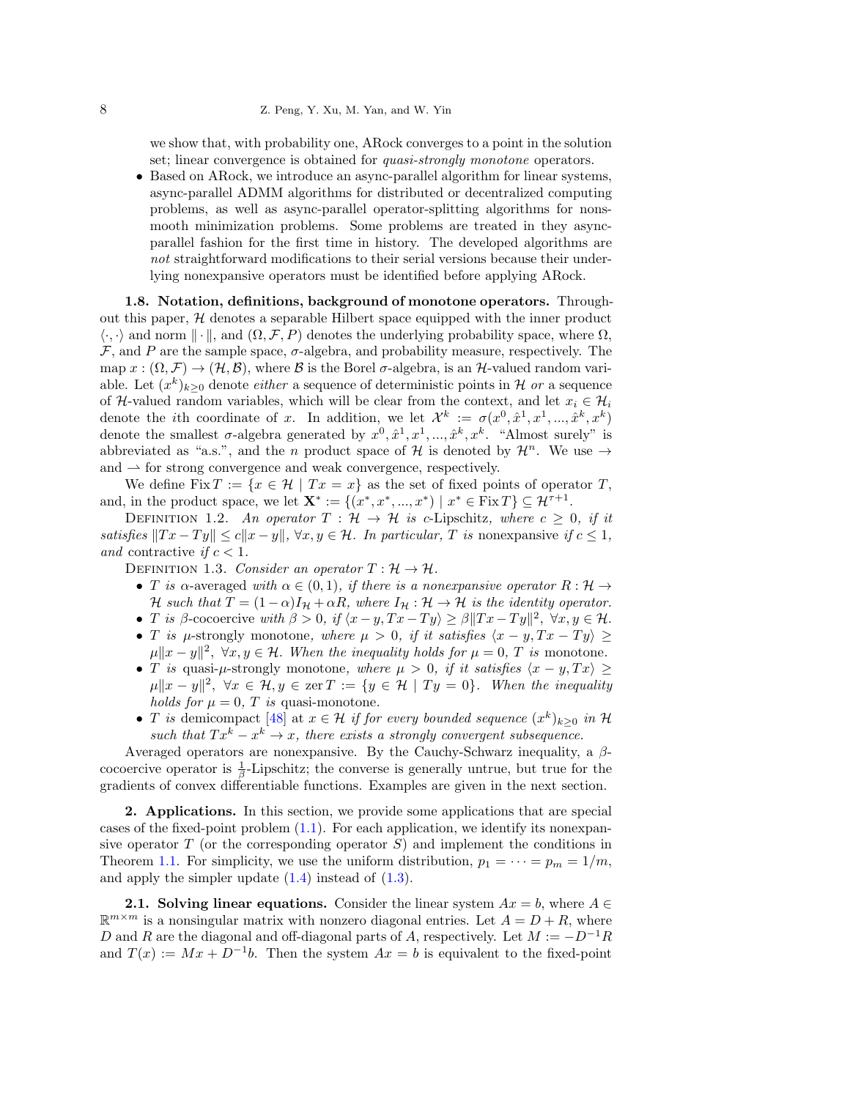# 8 Z. Peng, Y. Xu, M. Yan, and W. Yin

we show that, with probability one, ARock converges to a point in the solution set; linear convergence is obtained for *quasi-strongly monotone* operators.

• Based on ARock, we introduce an async-parallel algorithm for linear systems, async-parallel ADMM algorithms for distributed or decentralized computing problems, as well as async-parallel operator-splitting algorithms for nonsmooth minimization problems. Some problems are treated in they asyncparallel fashion for the first time in history. The developed algorithms are not straightforward modifications to their serial versions because their underlying nonexpansive operators must be identified before applying ARock.

1.8. Notation, definitions, background of monotone operators. Throughout this paper,  $H$  denotes a separable Hilbert space equipped with the inner product  $\langle \cdot, \cdot \rangle$  and norm  $\|\cdot\|$ , and  $(\Omega, \mathcal{F}, P)$  denotes the underlying probability space, where  $\Omega$ ,  $\mathcal F$ , and P are the sample space,  $\sigma$ -algebra, and probability measure, respectively. The map  $x : (\Omega, \mathcal{F}) \to (\mathcal{H}, \mathcal{B})$ , where  $\mathcal B$  is the Borel  $\sigma$ -algebra, is an  $\mathcal{H}$ -valued random variable. Let  $(x^k)_{k\geq 0}$  denote *either* a sequence of deterministic points in H or a sequence of H-valued random variables, which will be clear from the context, and let  $x_i \in \mathcal{H}_i$ denote the *i*th coordinate of x. In addition, we let  $\mathcal{X}^k := \sigma(x^0, \hat{x}^1, x^1, ..., \hat{x}^k, x^k)$ denote the smallest  $\sigma$ -algebra generated by  $x^0, \hat{x}^1, x^1, ..., \hat{x}^k, x^k$ . "Almost surely" is abbreviated as "a.s.", and the *n* product space of H is denoted by  $\mathcal{H}^n$ . We use  $\rightarrow$ and  $\rightarrow$  for strong convergence and weak convergence, respectively.

We define Fix  $T := \{x \in \mathcal{H} \mid Tx = x\}$  as the set of fixed points of operator T, and, in the product space, we let  $\mathbf{X}^* := \{(x^*, x^*, ..., x^*) \mid x^* \in \text{Fix } T\} \subseteq \mathcal{H}^{\tau+1}$ .

<span id="page-7-0"></span>DEFINITION 1.2. An operator  $T : \mathcal{H} \to \mathcal{H}$  is c-Lipschitz, where  $c \geq 0$ , if it satisfies  $||Tx - Ty|| \le c||x - y||$ ,  $\forall x, y \in \mathcal{H}$ . In particular, T is nonexpansive if  $c \le 1$ , and contractive if  $c < 1$ .

<span id="page-7-2"></span>DEFINITION 1.3. Consider an operator  $T : \mathcal{H} \to \mathcal{H}$ .

- T is a-averaged with  $\alpha \in (0,1)$ , if there is a nonexpansive operator  $R: \mathcal{H} \to$ H such that  $T = (1 - \alpha)I_H + \alpha R$ , where  $I_H : H \to H$  is the identity operator.
- T is β-cocoercive with  $\beta > 0$ , if  $\langle x y, Tx Ty \rangle \ge \beta ||Tx Ty||^2$ ,  $\forall x, y \in \mathcal{H}$ .
- T is  $\mu$ -strongly monotone, where  $\mu > 0$ , if it satisfies  $\langle x y, Tx Ty \rangle \ge$  $\|\mu\|x-y\|^2$ ,  $\forall x, y \in \mathcal{H}$ . When the inequality holds for  $\mu = 0$ , T is monotone.
- T is quasi- $\mu$ -strongly monotone, where  $\mu > 0$ , if it satisfies  $\langle x y, Tx \rangle \ge$  $\|\mu\|x-y\|^2$ ,  $\forall x \in \mathcal{H}, y \in \text{zer } T := \{y \in \mathcal{H} \mid Ty = 0\}$ . When the inequality holds for  $\mu = 0$ , T is quasi-monotone.
- T is demicompact [\[48\]](#page-24-11) at  $x \in \mathcal{H}$  if for every bounded sequence  $(x^k)_{k \geq 0}$  in H such that  $Tx^k - x^k \rightarrow x$ , there exists a strongly convergent subsequence.

Averaged operators are nonexpansive. By the Cauchy-Schwarz inequality, a  $\beta$ cocoercive operator is  $\frac{1}{\beta}$ -Lipschitz; the converse is generally untrue, but true for the gradients of convex differentiable functions. Examples are given in the next section.

<span id="page-7-1"></span>2. Applications. In this section, we provide some applications that are special cases of the fixed-point problem  $(1.1)$ . For each application, we identify its nonexpansive operator  $T$  (or the corresponding operator  $S$ ) and implement the conditions in Theorem [1.1.](#page-2-1) For simplicity, we use the uniform distribution,  $p_1 = \cdots = p_m = 1/m$ , and apply the simpler update  $(1.4)$  instead of  $(1.3)$ .

**2.1. Solving linear equations.** Consider the linear system  $Ax = b$ , where  $A \in$  $\mathbb{R}^{m \times m}$  is a nonsingular matrix with nonzero diagonal entries. Let  $A = D + R$ , where D and R are the diagonal and off-diagonal parts of A, respectively. Let  $M := -D^{-1}R$ and  $T(x) := Mx + D^{-1}b$ . Then the system  $Ax = b$  is equivalent to the fixed-point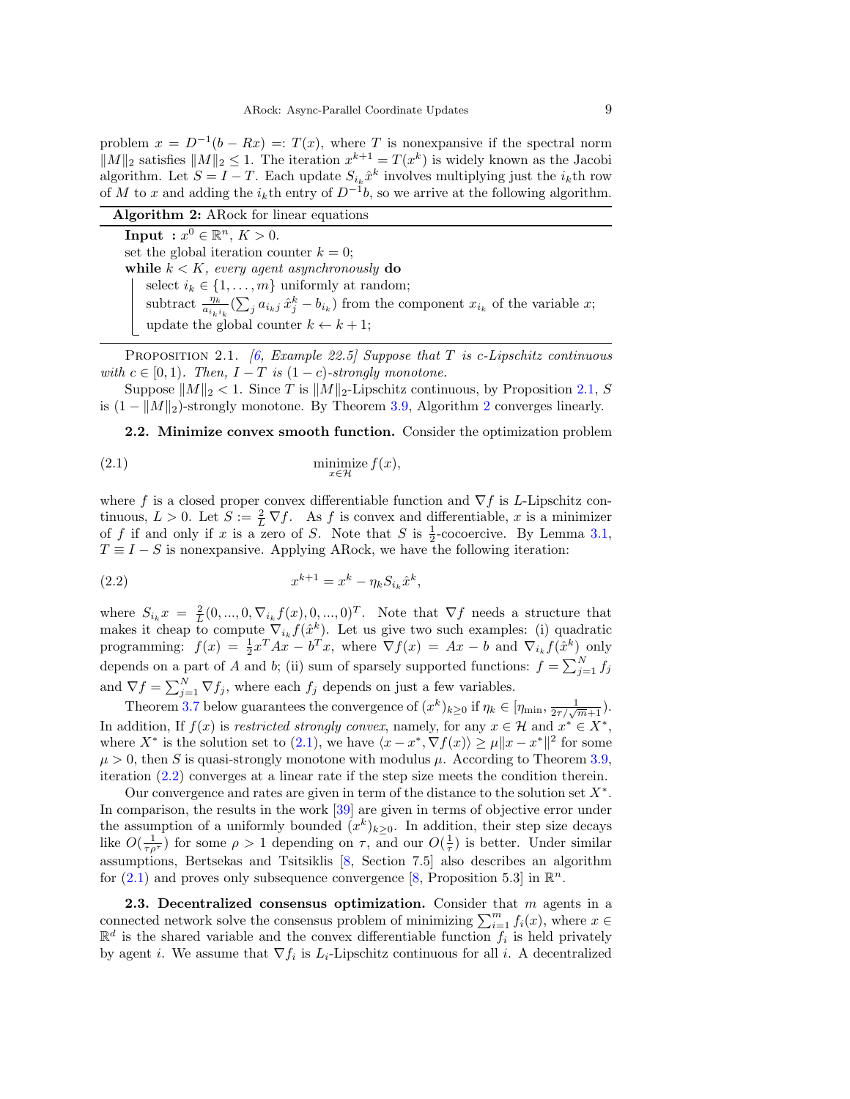problem  $x = D^{-1}(b - Rx) =: T(x)$ , where T is nonexpansive if the spectral norm  $||M||_2$  satisfies  $||M||_2 \leq 1$ . The iteration  $x^{k+1} = T(x^k)$  is widely known as the Jacobi algorithm. Let  $S = I - T$ . Each update  $S_{i_k} \hat{x}^k$  involves multiplying just the  $i_k$ th row of M to x and adding the  $i_k$ <sup>th</sup> entry of  $D^{-1}b$ , so we arrive at the following algorithm.

<span id="page-8-3"></span>

|  | <b>Algorithm 2:</b> A Rock for linear equations |
|--|-------------------------------------------------|
|  |                                                 |

**Input** :  $x^0 \in \mathbb{R}^n$ ,  $K > 0$ . set the global iteration counter  $k = 0$ ; while  $k < K$ , every agent asynchronously do select  $i_k \in \{1, ..., m\}$  uniformly at random; subtract  $\frac{\eta_k}{a_{i_k i_k}} \left( \sum_j a_{i_k j} \hat{x}_j^k - b_{i_k} \right)$  from the component  $x_{i_k}$  of the variable  $x_i$ update the global counter  $k \leftarrow k + 1$ ;

<span id="page-8-2"></span>PROPOSITION 2.1. [\[6,](#page-22-14) Example 22.5] Suppose that T is c-Lipschitz continuous with  $c \in [0, 1)$ . Then,  $I - T$  is  $(1 - c)$ -strongly monotone.

Suppose  $||M||_2 < 1$ . Since T is  $||M||_2$ -Lipschitz continuous, by Proposition [2.1,](#page-8-2) S is  $(1 - ||M||_2)$  $(1 - ||M||_2)$  $(1 - ||M||_2)$ -strongly monotone. By Theorem [3.9,](#page-18-0) Algorithm 2 converges linearly.

<span id="page-8-4"></span><span id="page-8-0"></span>2.2. Minimize convex smooth function. Consider the optimization problem

$$
\lim_{x \in \mathcal{H}} \text{size } f(x),
$$

where f is a closed proper convex differentiable function and  $\nabla f$  is L-Lipschitz continuous,  $L > 0$ . Let  $S := \frac{2}{L} \nabla f$ . As f is convex and differentiable, x is a minimizer of f if and only if x is a zero of S. Note that S is  $\frac{1}{2}$ -cocoercive. By Lemma [3.1,](#page-14-0)  $T \equiv I - S$  is nonexpansive. Applying ARock, we have the following iteration:

<span id="page-8-5"></span>(2.2) 
$$
x^{k+1} = x^k - \eta_k S_{i_k} \hat{x}^k,
$$

where  $S_{i_k}x = \frac{2}{L}(0, ..., 0, \nabla_{i_k}f(x), 0, ..., 0)^T$ . Note that  $\nabla f$  needs a structure that makes it cheap to compute  $\nabla_{i_k} f(\hat{x}^k)$ . Let us give two such examples: (i) quadratic programming:  $f(x) = \frac{1}{2}x^{T}Ax - b^{T}x$ , where  $\nabla f(x) = Ax - b$  and  $\nabla_{i_k} f(\hat{x}^k)$  only depends on a part of A and b; (ii) sum of sparsely supported functions:  $f = \sum_{j=1}^{N} f_j$ and  $\nabla f = \sum_{j=1}^{N} \nabla f_j$ , where each  $f_j$  depends on just a few variables.

Theorem [3.7](#page-17-0) below guarantees the convergence of  $(x^k)_{k\geq 0}$  if  $\eta_k \in [\eta_{\min}, \frac{1}{2\tau/\sqrt{m+1}})$ . In addition, If  $f(x)$  is restricted strongly convex, namely, for any  $x \in \mathcal{H}$  and  $x^* \in X^*$ , where  $X^*$  is the solution set to [\(2.1\)](#page-8-4), we have  $\langle x - x^*, \nabla f(x) \rangle \ge \mu \| x - x^* \|^2$  for some  $\mu > 0$ , then S is quasi-strongly monotone with modulus  $\mu$ . According to Theorem [3.9,](#page-18-0) iteration [\(2.2\)](#page-8-5) converges at a linear rate if the step size meets the condition therein.

Our convergence and rates are given in term of the distance to the solution set  $X^*$ . In comparison, the results in the work [\[39\]](#page-23-13) are given in terms of objective error under the assumption of a uniformly bounded  $(x^k)_{k\geq 0}$ . In addition, their step size decays like  $O(\frac{1}{\tau \rho^{\tau}})$  for some  $\rho > 1$  depending on  $\tau$ , and our  $O(\frac{1}{\tau})$  is better. Under similar assumptions, Bertsekas and Tsitsiklis [\[8,](#page-22-13) Section 7.5] also describes an algorithm for  $(2.1)$  and proves only subsequence convergence [\[8,](#page-22-13) Proposition 5.3] in  $\mathbb{R}^n$ .

<span id="page-8-1"></span>**2.3.** Decentralized consensus optimization. Consider that  $m$  agents in a connected network solve the consensus problem of minimizing  $\sum_{i=1}^{m} f_i(x)$ , where  $x \in$  $\mathbb{R}^d$  is the shared variable and the convex differentiable function  $f_i$  is held privately by agent *i*. We assume that  $\nabla f_i$  is  $L_i$ -Lipschitz continuous for all *i*. A decentralized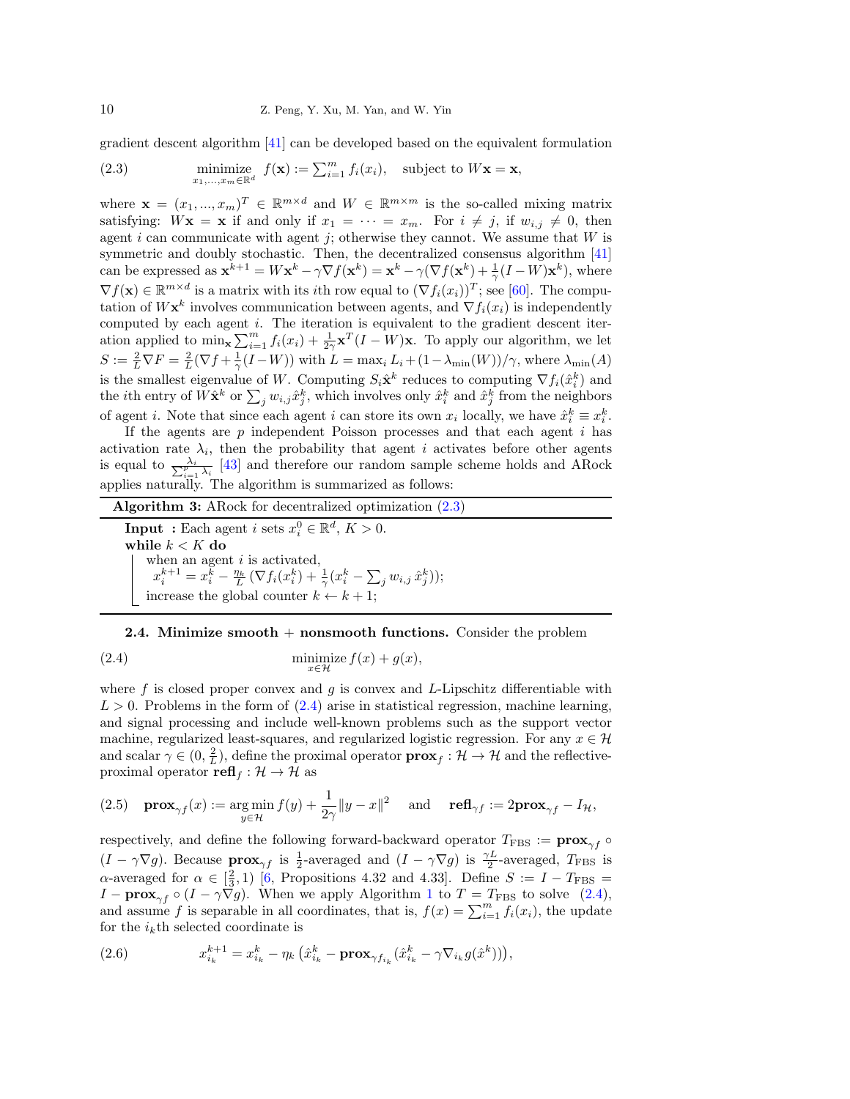gradient descent algorithm [\[41\]](#page-23-21) can be developed based on the equivalent formulation

<span id="page-9-1"></span>(2.3) minimize 
$$
f(\mathbf{x}) := \sum_{i=1}^{m} f_i(x_i)
$$
, subject to  $W\mathbf{x} = \mathbf{x}$ ,

where  $\mathbf{x} = (x_1, ..., x_m)^T \in \mathbb{R}^{m \times d}$  and  $W \in \mathbb{R}^{m \times m}$  is the so-called mixing matrix satisfying:  $Wx = x$  if and only if  $x_1 = \cdots = x_m$ . For  $i \neq j$ , if  $w_{i,j} \neq 0$ , then agent i can communicate with agent j; otherwise they cannot. We assume that  $W$  is symmetric and doubly stochastic. Then, the decentralized consensus algorithm [\[41\]](#page-23-21) can be expressed as  $\mathbf{x}^{k+1} = W\mathbf{x}^k - \gamma \nabla f(\mathbf{x}^k) = \mathbf{x}^k - \gamma (\nabla f(\mathbf{x}^k) + \frac{1}{\gamma} (I - W)\mathbf{x}^k)$ , where  $\nabla f(\mathbf{x}) \in \mathbb{R}^{m \times d}$  is a matrix with its *i*th row equal to  $(\nabla f_i(x_i))^T$ ; see [\[60\]](#page-24-12). The computation of  $W\mathbf{x}^k$  involves communication between agents, and  $\nabla f_i(x_i)$  is independently computed by each agent  $i$ . The iteration is equivalent to the gradient descent iteration applied to  $\min_{\mathbf{x}} \sum_{i=1}^m f_i(x_i) + \frac{1}{2\gamma} \mathbf{x}^T (I - W) \mathbf{x}$ . To apply our algorithm, we let  $S := \frac{2}{L} \nabla F = \frac{2}{L} (\nabla f + \frac{1}{\gamma} (I - W))$  with  $L = \max_i L_i + (1 - \lambda_{\min}(W))/\gamma$ , where  $\lambda_{\min}(A)$ is the smallest eigenvalue of W. Computing  $S_i \hat{\mathbf{x}}^k$  reduces to computing  $\nabla f_i(\hat{x}_i^k)$  and the *i*th entry of  $W\hat{\mathbf{x}}^k$  or  $\sum_j w_{i,j}\hat{x}_j^k$ , which involves only  $\hat{x}_i^k$  and  $\hat{x}_j^k$  from the neighbors of agent *i*. Note that since each agent *i* can store its own  $x_i$  locally, we have  $\hat{x}_i^k \equiv x_i^k$ .

If the agents are  $p$  independent Poisson processes and that each agent  $i$  has activation rate  $\lambda_i$ , then the probability that agent i activates before other agents is equal to  $\frac{\lambda_i}{\sum_{i=1}^p \lambda_i}$  [\[43\]](#page-23-22) and therefore our random sample scheme holds and ARock applies naturally. The algorithm is summarized as follows:

Algorithm 3: ARock for decentralized optimization  $(2.3)$ 

**Input**: Each agent *i* sets  $x_i^0 \in \mathbb{R}^d$ ,  $K > 0$ . while  $k < K$  do when an agent  $i$  is activated,  $x_i^{k+1} = x_i^{\tilde k} - \frac{\eta_k}{L}\,(\nabla f_i(x_i^k) + \frac{1}{\gamma}(x_i^k - \sum_j w_{i,j}\,\hat x_j^k));$ increase the global counter  $k \leftarrow k + 1$ ;

## <span id="page-9-2"></span><span id="page-9-0"></span>**2.4. Minimize smooth + nonsmooth functions.** Consider the problem

(2.4) 
$$
\min_{x \in \mathcal{H}} \text{size } f(x) + g(x),
$$

where  $f$  is closed proper convex and  $g$  is convex and L-Lipschitz differentiable with  $L > 0$ . Problems in the form of  $(2.4)$  arise in statistical regression, machine learning, and signal processing and include well-known problems such as the support vector machine, regularized least-squares, and regularized logistic regression. For any  $x \in \mathcal{H}$ and scalar  $\gamma \in (0, \frac{2}{L})$ , define the proximal operator  $\mathbf{prox}_f : \mathcal{H} \to \mathcal{H}$  and the reflectiveproximal operator  $\mathbf{refl}_f : \mathcal{H} \to \mathcal{H}$  as

(2.5) 
$$
\mathbf{prox}_{\gamma f}(x) := \underset{y \in \mathcal{H}}{\arg \min} f(y) + \frac{1}{2\gamma} \|y - x\|^2
$$
 and  $\mathbf{refl}_{\gamma f} := 2\mathbf{prox}_{\gamma f} - I_{\mathcal{H}},$ 

respectively, and define the following forward-backward operator  $T_{\text{FBS}} := \mathbf{prox}_{\gamma f} \circ$  $(I - \gamma \nabla g)$ . Because  $\mathbf{prox}_{\gamma f}$  is  $\frac{1}{2}$ -averaged and  $(I - \gamma \nabla g)$  is  $\frac{\gamma L}{2}$ -averaged,  $T_{\text{FBS}}$  is  $\alpha$ -averaged for  $\alpha \in \left[\frac{2}{3}, 1\right)$  [\[6,](#page-22-14) Propositions 4.32 and 4.33]. Define  $S := I - T_{\text{FBS}} =$  $I - \mathbf{prox}_{\gamma f} \circ (I - \gamma \nabla g)$ . When we apply Algorithm [1](#page-1-1) to  $T = T_{\text{FBS}}$  to solve [\(2.4\)](#page-9-2), and assume f is separable in all coordinates, that is,  $f(x) = \sum_{i=1}^{m} f_i(x_i)$ , the update for the  $i_k$ <sup>th</sup> selected coordinate is

<span id="page-9-3"></span>(2.6) 
$$
x_{i_k}^{k+1} = x_{i_k}^k - \eta_k \left( \hat{x}_{i_k}^k - \mathbf{prox}_{\gamma f_{i_k}} (\hat{x}_{i_k}^k - \gamma \nabla_{i_k} g(\hat{x}^k)) \right),
$$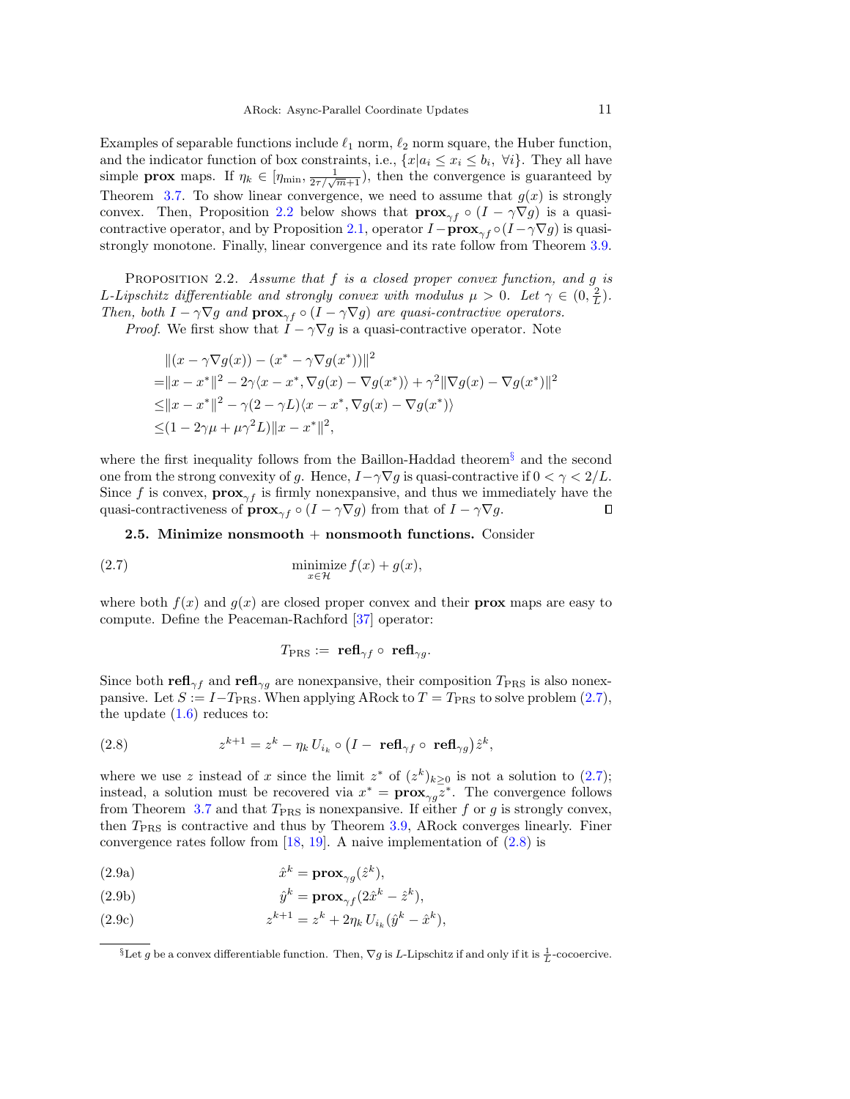Examples of separable functions include  $\ell_1$  norm,  $\ell_2$  norm square, the Huber function, and the indicator function of box constraints, i.e.,  $\{x|a_i \leq x_i \leq b_i, \forall i\}$ . They all have simple **prox** maps. If  $\eta_k \in [\eta_{\min}, \frac{1}{2\tau/\sqrt{m+1}}]$ , then the convergence is guaranteed by Theorem [3.7.](#page-17-0) To show linear convergence, we need to assume that  $g(x)$  is strongly convex. Then, Proposition [2.2](#page-10-0) below shows that  $\mathbf{prox}_{\gamma f} \circ (I - \gamma \nabla g)$  is a quasi-contractive operator, and by Proposition [2.1,](#page-8-2) operator  $I - \mathbf{prox}_{\gamma f} \circ (I - \gamma \nabla g)$  is quasistrongly monotone. Finally, linear convergence and its rate follow from Theorem [3.9.](#page-18-0)

<span id="page-10-0"></span>PROPOSITION 2.2. Assume that  $f$  is a closed proper convex function, and  $g$  is L-Lipschitz differentiable and strongly convex with modulus  $\mu > 0$ . Let  $\gamma \in (0, \frac{2}{L})$ . Then, both  $I - \gamma \nabla g$  and  $\mathbf{prox}_{\gamma f} \circ (I - \gamma \nabla g)$  are quasi-contractive operators.

*Proof.* We first show that  $I - \gamma \nabla g$  is a quasi-contractive operator. Note

$$
||(x - \gamma \nabla g(x)) - (x^* - \gamma \nabla g(x^*))||^2
$$
  
=  $||x - x^*||^2 - 2\gamma \langle x - x^*, \nabla g(x) - \nabla g(x^*) \rangle + \gamma^2 ||\nabla g(x) - \nabla g(x^*)||^2$   

$$
\leq ||x - x^*||^2 - \gamma (2 - \gamma L) \langle x - x^*, \nabla g(x) - \nabla g(x^*) \rangle
$$
  

$$
\leq (1 - 2\gamma \mu + \mu \gamma^2 L) ||x - x^*||^2,
$$

where the first inequality follows from the Baillon-Haddad theorem<sup>[§](#page-10-1)</sup> and the second one from the strong convexity of g. Hence,  $I-\gamma\nabla g$  is quasi-contractive if  $0<\gamma< 2/L$ . Since f is convex,  $prox_{\gamma f}$  is firmly nonexpansive, and thus we immediately have the quasi-contractiveness of  $\mathbf{prox}_{\gamma f} \circ (I - \gamma \nabla g)$  from that of  $I - \gamma \nabla g$ .  $\Box$ 

2.5. Minimize nonsmooth  $+$  nonsmooth functions. Consider

(2.7) 
$$
\underset{x \in \mathcal{H}}{\text{minimize}} f(x) + g(x),
$$

where both  $f(x)$  and  $g(x)$  are closed proper convex and their **prox** maps are easy to compute. Define the Peaceman-Rachford [\[37\]](#page-23-3) operator:

<span id="page-10-4"></span><span id="page-10-3"></span><span id="page-10-2"></span>
$$
T_{\mathrm{PRS}} := \ \mathbf{refl}_{\gamma f} \circ \ \mathbf{refl}_{\gamma g}.
$$

Since both  $\text{refl}_{\gamma f}$  and  $\text{refl}_{\gamma g}$  are nonexpansive, their composition  $T_{\text{PRS}}$  is also nonexpansive. Let  $S := I - T_{\text{PRS}}$ . When applying ARock to  $T = T_{\text{PRS}}$  to solve problem [\(2.7\)](#page-10-2), the update  $(1.6)$  reduces to:

(2.8) 
$$
z^{k+1} = z^k - \eta_k U_{i_k} \circ (I - \operatorname{refl}_{\gamma f} \circ \operatorname{refl}_{\gamma g}) \hat{z}^k,
$$

where we use z instead of x since the limit  $z^*$  of  $(z^k)_{k\geq 0}$  is not a solution to  $(2.7)$ ; instead, a solution must be recovered via  $x^* = \mathbf{prox}_{\gamma g} \overline{z}^*$ . The convergence follows from Theorem [3.7](#page-17-0) and that  $T_{\text{PRS}}$  is nonexpansive. If either f or g is strongly convex, then  $T<sub>PRS</sub>$  is contractive and thus by Theorem [3.9,](#page-18-0) ARock converges linearly. Finer convergence rates follow from  $[18, 19]$  $[18, 19]$  $[18, 19]$ . A naive implementation of  $(2.8)$  is

<span id="page-10-6"></span>(2.9a) 
$$
\hat{x}^k = \mathbf{prox}_{\gamma g}(\hat{z}^k),
$$

<span id="page-10-7"></span>(2.9b) 
$$
\hat{y}^k = \mathbf{prox}_{\gamma f} (2\hat{x}^k - \hat{z}^k),
$$

<span id="page-10-5"></span>(2.9c)  $z^{k+1} = z^k + 2\eta_k U_{i_k}(\hat{y}^k - \hat{x}^k),$ 

<span id="page-10-1"></span> $\S$ Let g be a convex differentiable function. Then,  $\nabla g$  is L-Lipschitz if and only if it is  $\frac{1}{L}$ -cocoercive.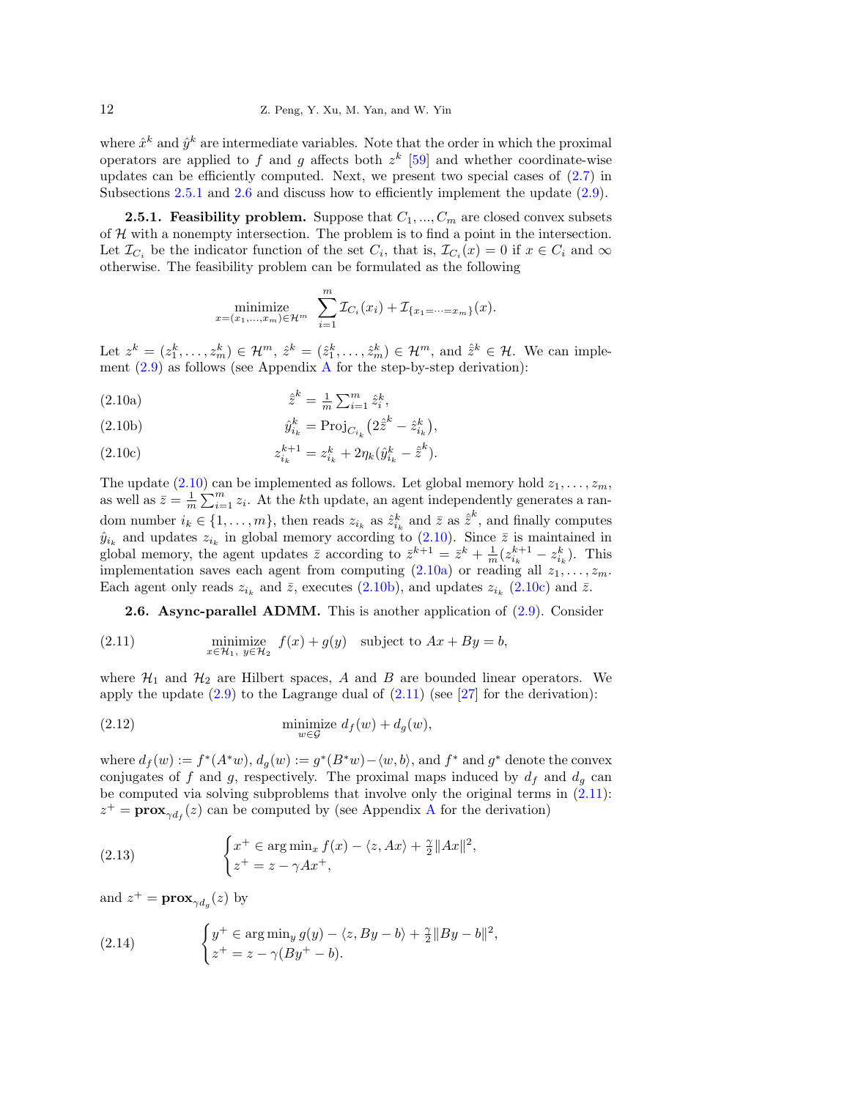where  $\hat{x}^k$  and  $\hat{y}^k$  are intermediate variables. Note that the order in which the proximal operators are applied to f and g affects both  $z^k$  [\[59\]](#page-24-13) and whether coordinate-wise updates can be efficiently computed. Next, we present two special cases of  $(2.7)$  in Subsections [2.5.1](#page-11-0) and [2.6](#page-11-1) and discuss how to efficiently implement the update  $(2.9)$ .

<span id="page-11-0"></span>**2.5.1. Feasibility problem.** Suppose that  $C_1, ..., C_m$  are closed convex subsets of  $H$  with a nonempty intersection. The problem is to find a point in the intersection. Let  $\mathcal{I}_{C_i}$  be the indicator function of the set  $C_i$ , that is,  $\mathcal{I}_{C_i}(x) = 0$  if  $x \in C_i$  and  $\infty$ otherwise. The feasibility problem can be formulated as the following

<span id="page-11-2"></span>
$$
\underset{x=(x_1,\ldots,x_m)\in\mathcal{H}^m}{\text{minimize}} \sum_{i=1}^m \mathcal{I}_{C_i}(x_i) + \mathcal{I}_{\{x_1=\cdots=x_m\}}(x).
$$

Let  $z^k = (z_1^k, \ldots, z_m^k) \in \mathcal{H}^m$ ,  $\hat{z}^k = (\hat{z}_1^k, \ldots, \hat{z}_m^k) \in \mathcal{H}^m$ , and  $\hat{z}^k \in \mathcal{H}$ . We can implement  $(2.9)$  as follows (see [A](#page-24-14)ppendix A for the step-by-step derivation):

<span id="page-11-3"></span>(2.10a) 
$$
\hat{z}^k = \frac{1}{m} \sum_{i=1}^m \hat{z}_i^k,
$$

<span id="page-11-4"></span>(2.10b) 
$$
\hat{y}_{i_k}^k = \text{Proj}_{C_{i_k}} (2\hat{z}^k - \hat{z}_{i_k}^k),
$$

<span id="page-11-5"></span>(2.10c) 
$$
z_{i_k}^{k+1} = z_{i_k}^k + 2\eta_k(\hat{y}_{i_k}^k - \hat{z}^k).
$$

The update [\(2.10\)](#page-11-2) can be implemented as follows. Let global memory hold  $z_1, \ldots, z_m$ , as well as  $\bar{z} = \frac{1}{m} \sum_{i=1}^{m} z_i$ . At the kth update, an agent independently generates a random number  $i_k \in \{1, \ldots, m\}$ , then reads  $z_{i_k}$  as  $\hat{z}_{i_k}^k$  and  $\bar{z}$  as  $\hat{z}^k$ , and finally computes Fig. is  $z_{ik}$  and updates  $z_{ik}$  in global memory according to [\(2.10\)](#page-11-2). Since  $\overline{z}$  is maintained in  $\hat{y}_{ik}$  and updates  $z_{ik}$  in global memory according to (2.10). Since  $\overline{z}$  is maintained in global memory, the agent updates  $\bar{z}$  according to  $\bar{z}^{k+1} = \bar{z}^k + \frac{1}{m} (z_{i_k}^{k+1} - z_{i_k}^k)$ . This implementation saves each agent from computing  $(2.10a)$  or reading all  $z_1, \ldots, z_m$ . Each agent only reads  $z_{i_k}$  and  $\bar{z}$ , executes [\(2.10b\)](#page-11-4), and updates  $z_{i_k}$  [\(2.10c\)](#page-11-5) and  $\bar{z}$ .

<span id="page-11-6"></span><span id="page-11-1"></span>**2.6. Async-parallel ADMM.** This is another application of  $(2.9)$ . Consider

(2.11) 
$$
\min_{x \in \mathcal{H}_1, y \in \mathcal{H}_2} f(x) + g(y) \quad \text{subject to } Ax + By = b,
$$

where  $\mathcal{H}_1$  and  $\mathcal{H}_2$  are Hilbert spaces, A and B are bounded linear operators. We apply the update  $(2.9)$  to the Lagrange dual of  $(2.11)$  (see [\[27\]](#page-23-24) for the derivation):

<span id="page-11-9"></span>(2.12) 
$$
\min_{w \in \mathcal{G}} \deg d_f(w) + d_g(w),
$$

where  $d_f(w) := f^*(A^*w)$ ,  $d_g(w) := g^*(B^*w) - \langle w, b \rangle$ , and  $f^*$  and  $g^*$  denote the convex conjugates of f and g, respectively. The proximal maps induced by  $d_f$  and  $d_g$  can be computed via solving subproblems that involve only the original terms in [\(2.11\)](#page-11-6):  $z^+ = \mathbf{prox}_{\gamma d_f}(z)$  can be computed by (see [A](#page-24-14)ppendix A for the derivation)

<span id="page-11-7"></span>(2.13) 
$$
\begin{cases} x^+ \in \arg \min_x f(x) - \langle z, Ax \rangle + \frac{\gamma}{2} ||Ax||^2, \\ z^+ = z - \gamma Ax^+, \end{cases}
$$

and  $z^+ = \mathbf{prox}_{\gamma d_g}(z)$  by

<span id="page-11-8"></span>(2.14) 
$$
\begin{cases} y^+ \in \arg\min_y g(y) - \langle z, By - b \rangle + \frac{\gamma}{2} ||By - b||^2, \\ z^+ = z - \gamma (By^+ - b). \end{cases}
$$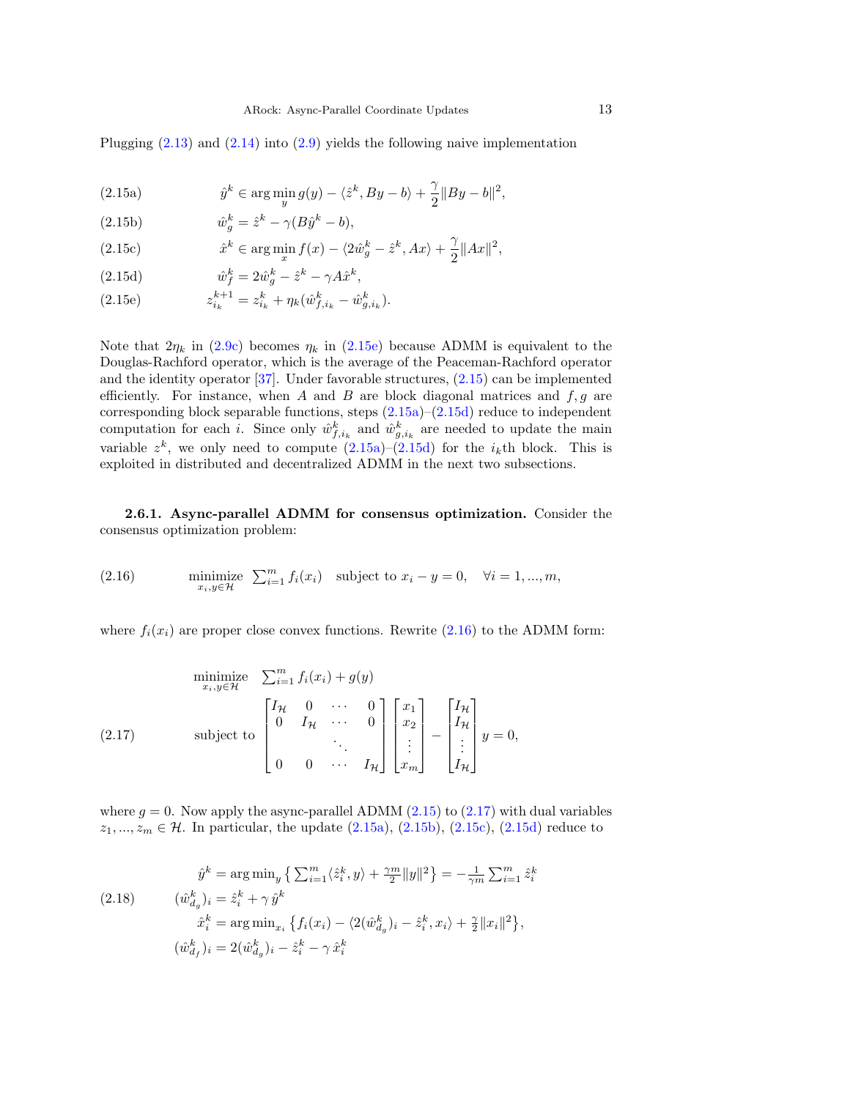<span id="page-12-1"></span>Plugging  $(2.13)$  and  $(2.14)$  into  $(2.9)$  yields the following naive implementation

<span id="page-12-2"></span> $\hat{y}^k \in \arg\min_{y} g(y) - \langle \hat{z}^k, By - b \rangle + \frac{\gamma}{2}$ (2.15a)  $\hat{y}^k \in \arg\min_y g(y) - \langle \hat{z}^k, By - b \rangle + \frac{\gamma}{2} ||By - b||^2,$ 

<span id="page-12-6"></span>(2.15b)  $\hat{w}_g^k = \hat{z}^k - \gamma (B\hat{y}^k - b),$ 

<span id="page-12-7"></span>(2.15c) 
$$
\hat{x}^k \in \arg\min_x f(x) - \langle 2\hat{w}_g^k - \hat{z}^k, Ax \rangle + \frac{\gamma}{2} \|Ax\|^2,
$$

<span id="page-12-3"></span>(2.15d) 
$$
\hat{w}_f^k = 2\hat{w}_g^k - \hat{z}^k - \gamma A \hat{x}^k,
$$

<span id="page-12-0"></span>(2.15e) 
$$
z_{i_k}^{k+1} = z_{i_k}^k + \eta_k (\hat{w}_{f,i_k}^k - \hat{w}_{g,i_k}^k).
$$

Note that  $2\eta_k$  in [\(2.9c\)](#page-10-5) becomes  $\eta_k$  in [\(2.15e\)](#page-12-0) because ADMM is equivalent to the Douglas-Rachford operator, which is the average of the Peaceman-Rachford operator and the identity operator [\[37\]](#page-23-3). Under favorable structures, [\(2.15\)](#page-12-1) can be implemented efficiently. For instance, when A and B are block diagonal matrices and  $f, g$  are corresponding block separable functions, steps  $(2.15a)-(2.15d)$  $(2.15a)-(2.15d)$  $(2.15a)-(2.15d)$  reduce to independent computation for each *i*. Since only  $\hat{w}_{f,i_k}^k$  and  $\hat{w}_{g,i_k}^k$  are needed to update the main variable  $z^k$ , we only need to compute  $(2.15a)-(2.15d)$  $(2.15a)-(2.15d)$  $(2.15a)-(2.15d)$  for the  $i_k$ th block. This is exploited in distributed and decentralized ADMM in the next two subsections.

2.6.1. Async-parallel ADMM for consensus optimization. Consider the consensus optimization problem:

<span id="page-12-4"></span>(2.16) 
$$
\min_{x_i, y \in \mathcal{H}} \text{iz} \quad \sum_{i=1}^m f_i(x_i) \quad \text{subject to } x_i - y = 0, \quad \forall i = 1, ..., m,
$$

where  $f_i(x_i)$  are proper close convex functions. Rewrite [\(2.16\)](#page-12-4) to the ADMM form:

<span id="page-12-5"></span>
$$
\begin{array}{ll}\n\text{minimize} & \sum_{i=1}^{m} f_i(x_i) + g(y) \\
\text{subject to} & \begin{bmatrix} I_{\mathcal{H}} & 0 & \cdots & 0 \\
0 & I_{\mathcal{H}} & \cdots & 0 \\
\vdots & \ddots & \vdots \\
0 & 0 & \cdots & I_{\mathcal{H}} \end{bmatrix} \begin{bmatrix} x_1 \\ x_2 \\ \vdots \\ x_m \end{bmatrix} - \begin{bmatrix} I_{\mathcal{H}} \\ I_{\mathcal{H}} \\ \vdots \\ I_{\mathcal{H}} \end{bmatrix} y = 0,\n\end{array}
$$

where  $g = 0$ . Now apply the async-parallel ADMM [\(2.15\)](#page-12-1) to [\(2.17\)](#page-12-5) with dual variables  $z_1, ..., z_m \in \mathcal{H}$ . In particular, the update  $(2.15a)$ ,  $(2.15b)$ ,  $(2.15c)$ ,  $(2.15d)$  reduce to

<span id="page-12-8"></span>(2.18) 
$$
\hat{y}^k = \arg \min_y \left\{ \sum_{i=1}^m \langle \hat{z}_i^k, y \rangle + \frac{\gamma m}{2} ||y||^2 \right\} = -\frac{1}{\gamma m} \sum_{i=1}^m \hat{z}_i^k
$$

$$
(\hat{w}_{d_g}^k)_i = \hat{z}_i^k + \gamma \hat{y}^k
$$

$$
\hat{x}_i^k = \arg \min_{x_i} \left\{ f_i(x_i) - \langle 2(\hat{w}_{d_g}^k)_i - \hat{z}_i^k, x_i \rangle + \frac{\gamma}{2} ||x_i||^2 \right\},
$$

$$
(\hat{w}_{d_f}^k)_i = 2(\hat{w}_{d_g}^k)_i - \hat{z}_i^k - \gamma \hat{x}_i^k
$$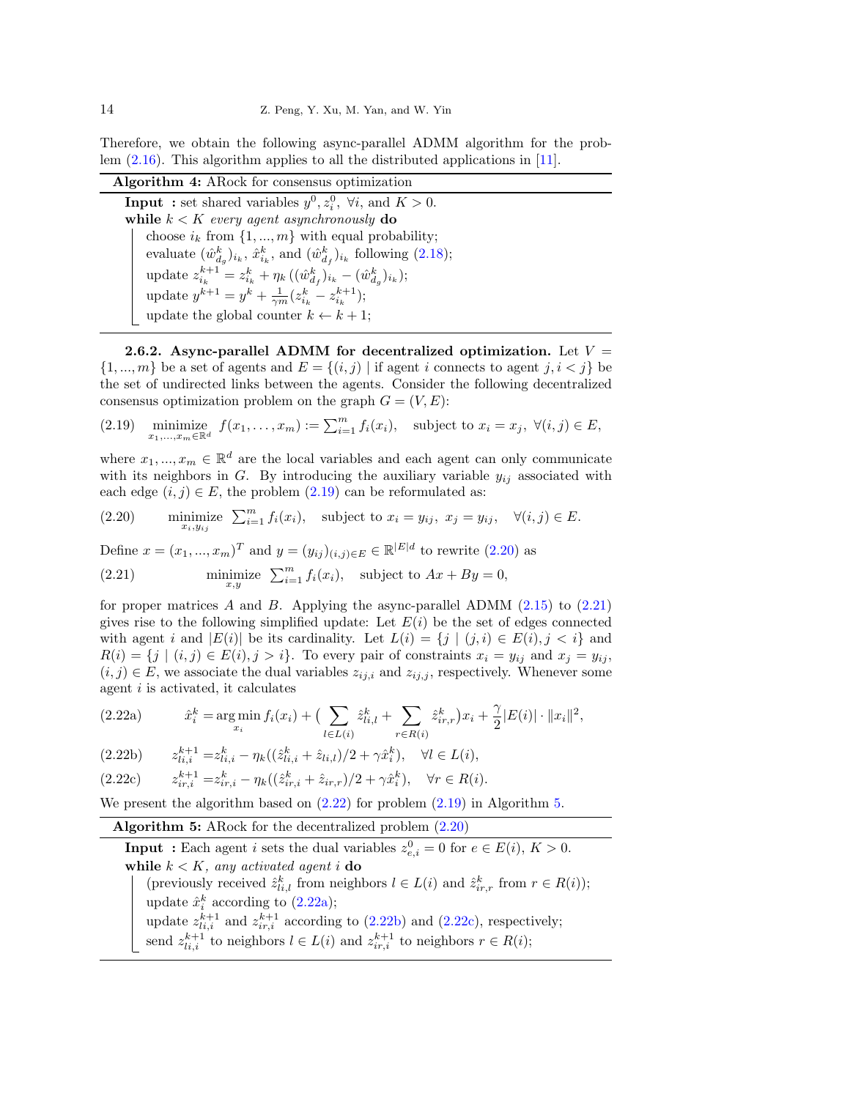Therefore, we obtain the following async-parallel ADMM algorithm for the problem [\(2.16\)](#page-12-4). This algorithm applies to all the distributed applications in [\[11\]](#page-22-16).

Algorithm 4: ARock for consensus optimization **Input**: set shared variables  $y^0, z_i^0, \forall i$ , and  $K > 0$ . while  $k < K$  every agent asynchronously do choose  $i_k$  from  $\{1, ..., m\}$  with equal probability; evaluate  $(\hat{w}_{d_g}^k)_{i_k}, \hat{x}_{i_k}^k$ , and  $(\hat{w}_{d_f}^k)_{i_k}$  following [\(2.18\)](#page-12-8); update  $z_{i_k}^{k+1} = z_{i_k}^k + \eta_k ((\hat{w}_{d_f}^k)_{i_k} - (\hat{w}_{d_g}^k)_{i_k});$ update  $y^{k+1} = y^k + \frac{1}{\gamma m} (z_{i_k}^k - z_{i_k}^{k+1});$ update the global counter  $k \leftarrow k + 1$ ;

<span id="page-13-0"></span>2.6.2. Async-parallel ADMM for decentralized optimization. Let  $V =$  $\{1, ..., m\}$  be a set of agents and  $E = \{(i, j) | \text{if agent } i \text{ connects to agent } j, i < j\}$  be the set of undirected links between the agents. Consider the following decentralized consensus optimization problem on the graph  $G = (V, E)$ :

<span id="page-13-1"></span>(2.19) minimize  $f(x_1,\ldots,x_m) := \sum_{i=1}^m f_i(x_i)$ , subject to  $x_i = x_j$ ,  $\forall (i,j) \in E$ ,

where  $x_1, ..., x_m \in \mathbb{R}^d$  are the local variables and each agent can only communicate with its neighbors in G. By introducing the auxiliary variable  $y_{ij}$  associated with each edge  $(i, j) \in E$ , the problem  $(2.19)$  can be reformulated as:

<span id="page-13-2"></span>(2.20) minimize 
$$
\sum_{i=1}^{m} f_i(x_i)
$$
, subject to  $x_i = y_{ij}$ ,  $x_j = y_{ij}$ ,  $\forall (i, j) \in E$ .

<span id="page-13-3"></span>Define  $x = (x_1, ..., x_m)^T$  and  $y = (y_{ij})_{(i,j)\in E} \in \mathbb{R}^{|E|d}$  to rewrite  $(2.20)$  as (2.21) minimize  $\sum_{i=1}^{m} f_i(x_i)$ , subject to  $Ax + By = 0$ ,

for proper matrices A and B. Applying the async-parallel ADMM  $(2.15)$  to  $(2.21)$ gives rise to the following simplified update: Let  $E(i)$  be the set of edges connected with agent i and  $|E(i)|$  be its cardinality. Let  $L(i) = \{j \mid (j, i) \in E(i), j < i\}$  and  $R(i) = \{j \mid (i, j) \in E(i), j > i\}.$  To every pair of constraints  $x_i = y_{ij}$  and  $x_j = y_{ij}$ ,  $(i, j) \in E$ , we associate the dual variables  $z_{ij,i}$  and  $z_{ij,j}$ , respectively. Whenever some agent i is activated, it calculates

<span id="page-13-6"></span><span id="page-13-4"></span>(2.22a) 
$$
\hat{x}_i^k = \argmin_{x_i} f_i(x_i) + \left( \sum_{l \in L(i)} \hat{z}_{li,l}^k + \sum_{r \in R(i)} \hat{z}_{ir,r}^k \right) x_i + \frac{\gamma}{2} |E(i)| \cdot ||x_i||^2,
$$

<span id="page-13-7"></span>
$$
(2.22b) \t\t z_{li,i}^{k+1} = z_{li,i}^k - \eta_k((\hat{z}_{li,i}^k + \hat{z}_{li,l})/2 + \gamma \hat{x}_i^k), \quad \forall l \in L(i),
$$

<span id="page-13-8"></span>
$$
(2.22c) \t z_{ir,i}^{k+1} = z_{ir,i}^k - \eta_k((\hat{z}_{ir,i}^k + \hat{z}_{ir,r})/2 + \gamma \hat{x}_i^k), \quad \forall r \in R(i).
$$

We present the algorithm based on  $(2.22)$  for problem  $(2.19)$  in Algorithm [5.](#page-13-5)

<span id="page-13-5"></span>Algorithm 5: ARock for the decentralized problem  $(2.20)$ 

**Input**: Each agent *i* sets the dual variables  $z_{e,i}^0 = 0$  for  $e \in E(i)$ ,  $K > 0$ . while  $k < K$ , any activated agent i do (previously received  $\hat{z}_{i,i,l}^k$  from neighbors  $l \in L(i)$  and  $\hat{z}_{ir,r}^k$  from  $r \in R(i)$ ); update  $\hat{x}_i^k$  according to [\(2.22a\)](#page-13-6); update  $z_{li,i}^{k+1}$  and  $z_{ir,i}^{k+1}$  according to [\(2.22b\)](#page-13-7) and [\(2.22c\)](#page-13-8), respectively; send  $z_{li,i}^{k+1}$  to neighbors  $l \in L(i)$  and  $z_{ir,i}^{k+1}$  to neighbors  $r \in R(i)$ ;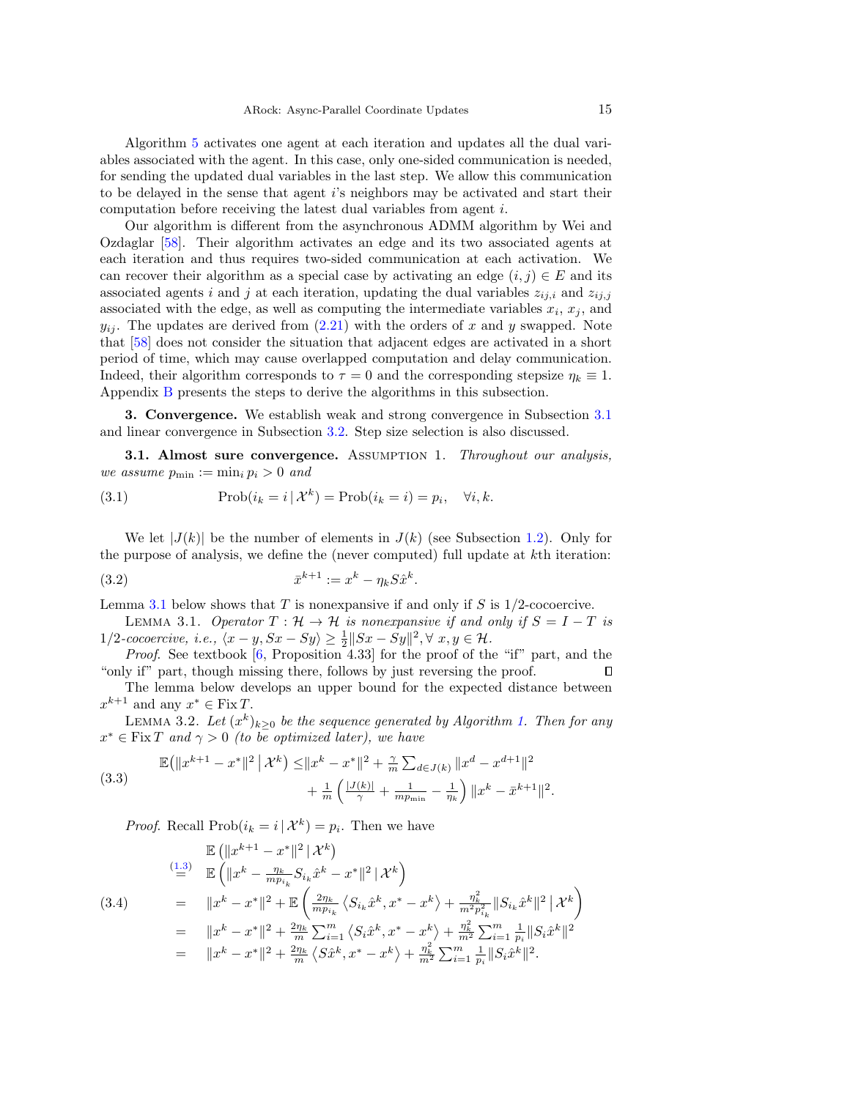Algorithm [5](#page-13-5) activates one agent at each iteration and updates all the dual variables associated with the agent. In this case, only one-sided communication is needed, for sending the updated dual variables in the last step. We allow this communication to be delayed in the sense that agent i's neighbors may be activated and start their computation before receiving the latest dual variables from agent i.

Our algorithm is different from the asynchronous ADMM algorithm by Wei and Ozdaglar [\[58\]](#page-24-7). Their algorithm activates an edge and its two associated agents at each iteration and thus requires two-sided communication at each activation. We can recover their algorithm as a special case by activating an edge  $(i, j) \in E$  and its associated agents i and j at each iteration, updating the dual variables  $z_{ij,i}$  and  $z_{ij,j}$ associated with the edge, as well as computing the intermediate variables  $x_i$ ,  $x_j$ , and  $y_{ij}$ . The updates are derived from  $(2.21)$  with the orders of x and y swapped. Note that [\[58\]](#page-24-7) does not consider the situation that adjacent edges are activated in a short period of time, which may cause overlapped computation and delay communication. Indeed, their algorithm corresponds to  $\tau = 0$  and the corresponding stepsize  $\eta_k \equiv 1$ . Appendix [B](#page-25-0) presents the steps to derive the algorithms in this subsection.

3. Convergence. We establish weak and strong convergence in Subsection [3.1](#page-14-1) and linear convergence in Subsection [3.2.](#page-17-1) Step size selection is also discussed.

<span id="page-14-1"></span>**3.1. Almost sure convergence.** ASSUMPTION 1. Throughout our analysis, we assume  $p_{\min} := \min_i p_i > 0$  and

(3.1) 
$$
\text{Prob}(i_k = i \mid \mathcal{X}^k) = \text{Prob}(i_k = i) = p_i, \quad \forall i, k.
$$

We let  $|J(k)|$  be the number of elements in  $J(k)$  (see Subsection [1.2\)](#page-3-0). Only for the purpose of analysis, we define the (never computed) full update at kth iteration:

<span id="page-14-2"></span><span id="page-14-0"></span>(3.2) 
$$
\bar{x}^{k+1} := x^k - \eta_k S \hat{x}^k.
$$

Lemma [3.1](#page-14-0) below shows that T is nonexpansive if and only if S is  $1/2$ -cocoercive.

LEMMA 3.1. Operator  $T : \mathcal{H} \to \mathcal{H}$  is nonexpansive if and only if  $S = I - T$  is 1/2-cocoercive, i.e.,  $\langle x - y, Sx - Sy \rangle \ge \frac{1}{2} ||Sx - Sy||^2, \forall x, y \in \mathcal{H}$ .

*Proof.* See textbook  $[6,$  Proposition 4.33 for the proof of the "if" part, and the "only if" part, though missing there, follows by just reversing the proof.  $\Box$ 

<span id="page-14-5"></span>The lemma below develops an upper bound for the expected distance between  $x^{k+1}$  and any  $x^* \in \text{Fix } T$ .

LEMMA 3.2. Let  $(x^k)_{k\geq 0}$  be the sequence generated by Algorithm [1.](#page-1-1) Then for any  $x^* \in \text{Fix } T$  and  $\gamma > 0$  (to be optimized later), we have

<span id="page-14-4"></span>(3.3) 
$$
\mathbb{E}(\|x^{k+1} - x^*\|^2 \, \|\, \mathcal{X}^k) \le \|x^k - x^*\|^2 + \frac{\gamma}{m} \sum_{d \in J(k)} \|x^d - x^{d+1}\|^2 + \frac{1}{m} \left(\frac{|J(k)|}{\gamma} + \frac{1}{mp_{\min}} - \frac{1}{\eta_k}\right) \|x^k - \bar{x}^{k+1}\|^2.
$$

*Proof.* Recall  $\text{Prob}(i_k = i | \mathcal{X}^k) = p_i$ . Then we have

<span id="page-14-3"></span>
$$
\mathbb{E} \left( \|x^{k+1} - x^*\|^2 | \mathcal{X}^k \right)
$$
\n
$$
\stackrel{\text{(1.3)}}{=} \mathbb{E} \left( \|x^k - \frac{\eta_k}{m p_{i_k}} S_{i_k} \hat{x}^k - x^* \|^2 | \mathcal{X}^k \right)
$$
\n
$$
= \|x^k - x^*\|^2 + \mathbb{E} \left( \frac{2\eta_k}{m p_{i_k}} \left\langle S_{i_k} \hat{x}^k, x^* - x^k \right\rangle + \frac{\eta_k^2}{m^2 p_{i_k}^2} \|S_{i_k} \hat{x}^k\|^2 | \mathcal{X}^k \right)
$$
\n
$$
= \|x^k - x^*\|^2 + \frac{2\eta_k}{m} \sum_{i=1}^m \left\langle S_i \hat{x}^k, x^* - x^k \right\rangle + \frac{\eta_k^2}{m^2} \sum_{i=1}^m \frac{1}{p_i} \|S_i \hat{x}^k\|^2
$$
\n
$$
= \|x^k - x^*\|^2 + \frac{2\eta_k}{m} \left\langle S_i \hat{x}^k, x^* - x^k \right\rangle + \frac{\eta_k^2}{m^2} \sum_{i=1}^m \frac{1}{p_i} \|S_i \hat{x}^k\|^2.
$$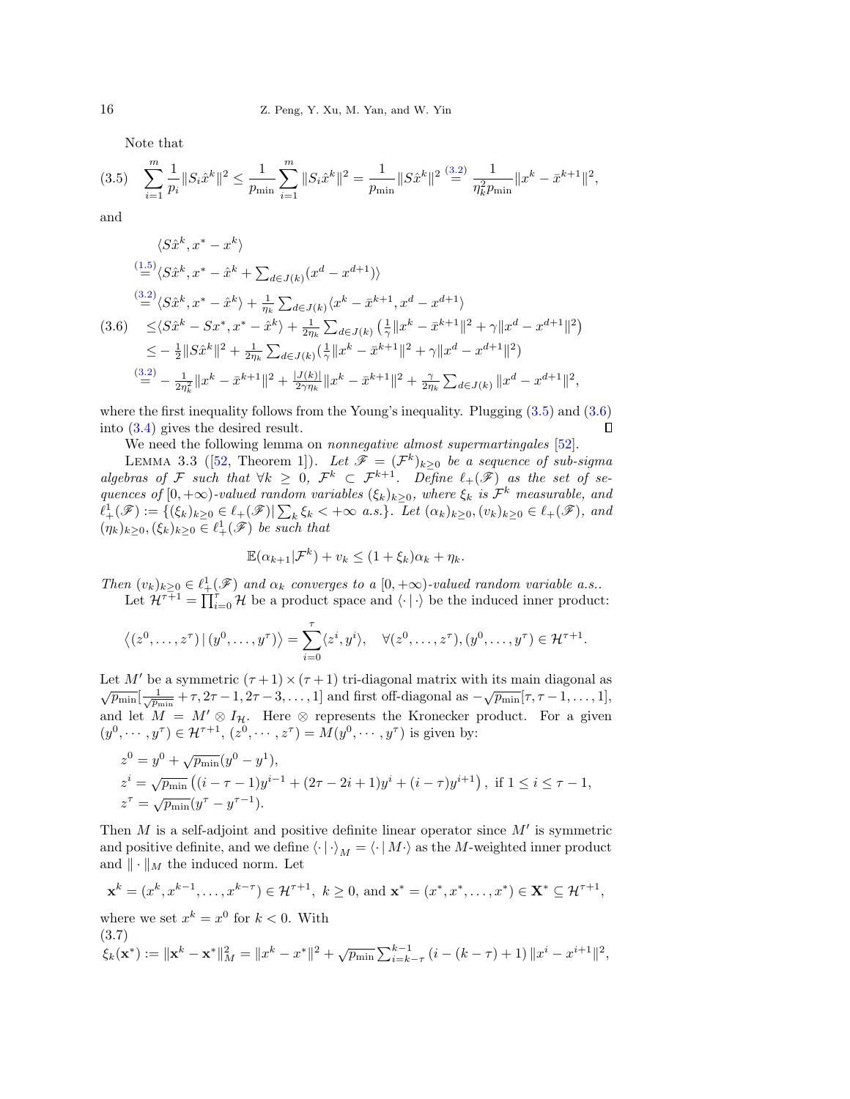<span id="page-15-0"></span>Note that

$$
(3.5) \quad \sum_{i=1}^{m} \frac{1}{p_i} \|S_i \hat{x}^k\|^2 \le \frac{1}{p_{\min}} \sum_{i=1}^{m} \|S_i \hat{x}^k\|^2 = \frac{1}{p_{\min}} \|S \hat{x}^k\|^2 \stackrel{(3.2)}{=} \frac{1}{\eta_k^2 p_{\min}} \|x^k - \bar{x}^{k+1}\|^2,
$$

and

<span id="page-15-1"></span>
$$
\langle S\hat{x}^{k}, x^{*} - x^{k} \rangle
$$
\n
$$
\stackrel{(1.5)}{=} \langle S\hat{x}^{k}, x^{*} - \hat{x}^{k} + \sum_{d \in J(k)} (x^{d} - x^{d+1}) \rangle
$$
\n
$$
\stackrel{(3.2)}{=} \langle S\hat{x}^{k}, x^{*} - \hat{x}^{k} \rangle + \frac{1}{\eta_{k}} \sum_{d \in J(k)} \langle x^{k} - \bar{x}^{k+1}, x^{d} - x^{d+1} \rangle
$$
\n
$$
\langle 3.6 \rangle \leq \langle S\hat{x}^{k} - Sx^{*}, x^{*} - \hat{x}^{k} \rangle + \frac{1}{2\eta_{k}} \sum_{d \in J(k)} \left( \frac{1}{\gamma} ||x^{k} - \bar{x}^{k+1}||^{2} + \gamma ||x^{d} - x^{d+1}||^{2} \right)
$$
\n
$$
\leq -\frac{1}{2} ||S\hat{x}^{k}||^{2} + \frac{1}{2\eta_{k}} \sum_{d \in J(k)} \left( \frac{1}{\gamma} ||x^{k} - \bar{x}^{k+1}||^{2} + \gamma ||x^{d} - x^{d+1}||^{2} \right)
$$
\n
$$
\stackrel{(3.2)}{=} -\frac{1}{2\eta_{k}^{2}} ||x^{k} - \bar{x}^{k+1}||^{2} + \frac{|J(k)|}{2\gamma\eta_{k}} ||x^{k} - \bar{x}^{k+1}||^{2} + \frac{\gamma}{2\eta_{k}} \sum_{d \in J(k)} ||x^{d} - x^{d+1}||^{2},
$$

where the first inequality follows from the Young's inequality. Plugging  $(3.5)$  and  $(3.6)$ into [\(3.4\)](#page-14-3) gives the desired result.  $\Box$ 

We need the following lemma on *nonnegative almost supermartingales* [\[52\]](#page-24-15).

LEMMA 3.3 ([\[52,](#page-24-15) Theorem 1]). Let  $\mathscr{F} = (\mathcal{F}^k)_{k \geq 0}$  be a sequence of sub-sigma algebras of F such that  $\forall k \geq 0$ ,  $\mathcal{F}^k \subset \mathcal{F}^{k+1}$ . Define  $\ell_+(\mathscr{F})$  as the set of sequences of  $[0, +\infty)$ -valued random variables  $(\xi_k)_{k\geq 0}$ , where  $\xi_k$  is  $\mathcal{F}^k$  measurable, and  $\ell^1_+(\mathscr{F}) := \{(\xi_k)_{k \geq 0} \in \ell_+(\mathscr{F}) | \sum_k \xi_k < +\infty \text{ a.s.} \}.$  Let  $(\alpha_k)_{k \geq 0}, (v_k)_{k \geq 0} \in \ell_+(\mathscr{F})$ , and  $(\eta_k)_{k \geq 0}, (\xi_k)_{k \geq 0} \in \ell^1_+(\mathscr{F})$  be such that

<span id="page-15-2"></span>
$$
\mathbb{E}(\alpha_{k+1}|\mathcal{F}^k) + v_k \le (1 + \xi_k)\alpha_k + \eta_k.
$$

Then  $(v_k)_{k\geq 0} \in \ell^1_+(\mathscr{F})$  and  $\alpha_k$  converges to a  $[0, +\infty)$ -valued random variable a.s.. Let  $\mathcal{H}^{\tau+1} = \prod_{i=0}^{\tau} \mathcal{H}$  be a product space and  $\langle \cdot | \cdot \rangle$  be the induced inner product:

$$
\langle (z^0, \ldots, z^{\tau}) | (y^0, \ldots, y^{\tau}) \rangle = \sum_{i=0}^{\tau} \langle z^i, y^i \rangle, \quad \forall (z^0, \ldots, z^{\tau}), (y^0, \ldots, y^{\tau}) \in \mathcal{H}^{\tau+1}.
$$

Let M' be a symmetric  $(\tau + 1) \times (\tau + 1)$  tri-diagonal matrix with its main diagonal as  $\sqrt{p_{\min}}[\frac{1}{\sqrt{p_{\min}}} + \tau, 2\tau - 1, 2\tau - 3, \dots, 1]$  and first off-diagonal as  $-\sqrt{p_{\min}}[\tau, \tau - 1, \dots, 1]$ , and let  $M = M' \otimes I_H$ . Here  $\otimes$  represents the Kronecker product. For a given  $(y^{0}, \dots, y^{\tau}) \in \mathcal{H}^{\tau+1}, (z^{0}, \dots, z^{\tau}) = M(y^{0}, \dots, y^{\tau})$  is given by:

$$
z^{0} = y^{0} + \sqrt{p_{\min}}(y^{0} - y^{1}),
$$
  
\n
$$
z^{i} = \sqrt{p_{\min}}((i - \tau - 1)y^{i-1} + (2\tau - 2i + 1)y^{i} + (i - \tau)y^{i+1}), \text{ if } 1 \leq i \leq \tau - 1,
$$
  
\n
$$
z^{\tau} = \sqrt{p_{\min}}(y^{\tau} - y^{\tau-1}).
$$

Then  $M$  is a self-adjoint and positive definite linear operator since  $M'$  is symmetric and positive definite, and we define  $\left\langle \cdot\mid\cdot\right\rangle _{M}=\left\langle \cdot\mid M\cdot\right\rangle$  as the  $M\text{-weighted inner product}$ and  $\|\cdot\|_M$  the induced norm. Let

$$
\mathbf{x}^{k} = (x^{k}, x^{k-1}, \dots, x^{k-\tau}) \in \mathcal{H}^{\tau+1}, \ k \ge 0, \text{ and } \mathbf{x}^{*} = (x^{*}, x^{*}, \dots, x^{*}) \in \mathbf{X}^{*} \subseteq \mathcal{H}^{\tau+1},
$$

where we set  $x^k = x^0$  for  $k < 0$ . With (3.7)  $\xi_k(\mathbf{x}^*) := \|\mathbf{x}^k - \mathbf{x}^*\|_M^2 = \|x^k - x^*\|^2 + \sqrt{p_{\min}} \sum_{i=k-\tau}^{k-1} \left(i - (k-\tau) + 1\right) \|x^i - x^{i+1}\|^2,$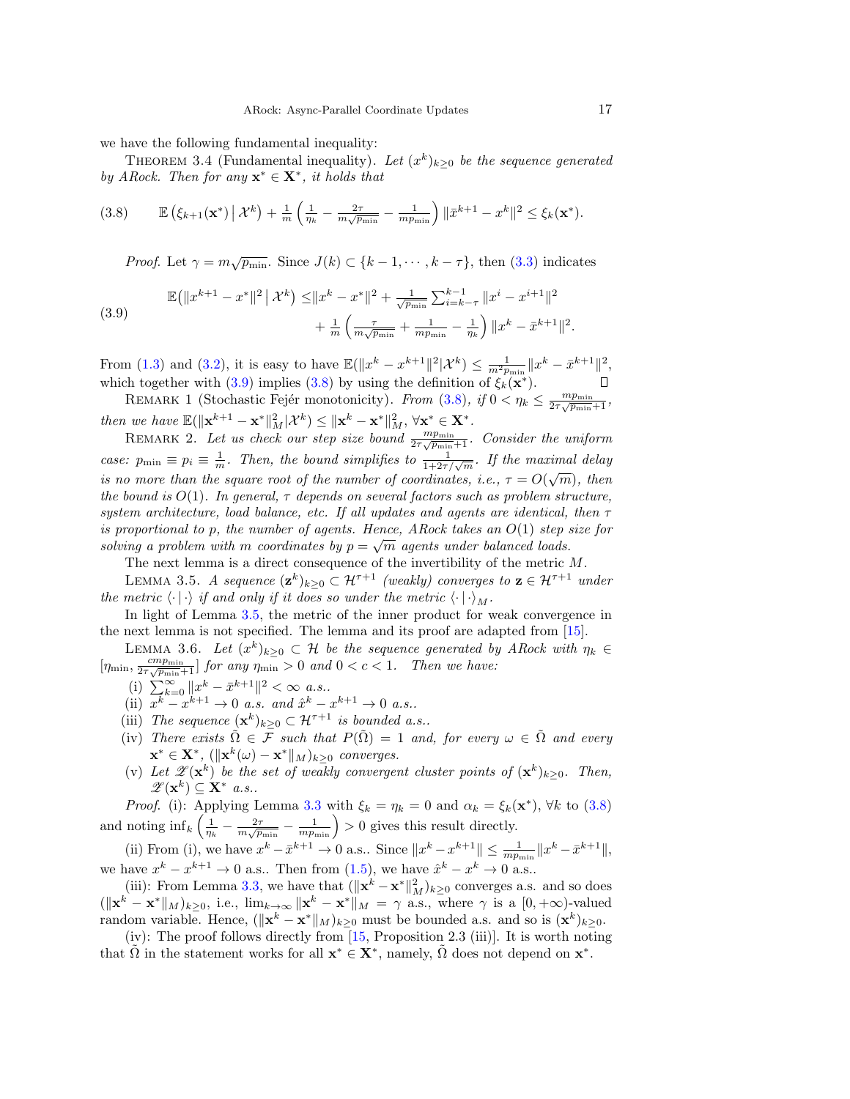we have the following fundamental inequality:

THEOREM 3.4 (Fundamental inequality). Let  $(x^k)_{k\geq 0}$  be the sequence generated by ARock. Then for any  $\mathbf{x}^* \in \mathbf{X}^*$ , it holds that

<span id="page-16-2"></span>
$$
(3.8) \qquad \mathbb{E}\left(\xi_{k+1}(\mathbf{x}^*)\,\big|\,\mathcal{X}^k\right) + \frac{1}{m}\left(\frac{1}{\eta_k} - \frac{2\tau}{m\sqrt{p_{\min}}} - \frac{1}{mp_{\min}}\right)\|\bar{x}^{k+1} - x^k\|^2 \le \xi_k(\mathbf{x}^*).
$$

*Proof.* Let  $\gamma = m\sqrt{p_{\min}}$ . Since  $J(k) \subset \{k-1, \cdots, k-\tau\}$ , then [\(3.3\)](#page-14-4) indicates

<span id="page-16-1"></span>(3.9) 
$$
\mathbb{E}(\|x^{k+1} - x^*\|^2 \mid \mathcal{X}^k) \le \|x^k - x^*\|^2 + \frac{1}{\sqrt{p_{\min}}} \sum_{i=k-\tau}^{k-1} \|x^i - x^{i+1}\|^2 + \frac{1}{m} \left( \frac{\tau}{m\sqrt{p_{\min}}} + \frac{1}{mp_{\min}} - \frac{1}{\eta_k} \right) \|x^k - \bar{x}^{k+1}\|^2.
$$

From [\(1.3\)](#page-1-2) and [\(3.2\)](#page-14-2), it is easy to have  $\mathbb{E}(\|x^k - x^{k+1}\|^2 |\mathcal{X}^k) \le \frac{1}{m^2 p_{\min}} \|x^k - \bar{x}^{k+1}\|^2,$ which together with [\(3.9\)](#page-16-1) implies [\(3.8\)](#page-16-2) by using the definition of  $\xi_k(\mathbf{x}^*)$ .

<span id="page-16-0"></span>REMARK 1 (Stochastic Fejér monotonicity). From [\(3.8\)](#page-16-2), if  $0 < \eta_k \leq \frac{mp_{\text{min}}}{2\tau\sqrt{p_{\text{min}}}+1}$ , then we have  $\mathbb{E}(\|\mathbf{x}^{k+1} - \mathbf{x}^*\|_M^2 | \mathcal{X}^k) \leq \|\mathbf{x}^k - \mathbf{x}^*\|_M^2, \forall \mathbf{x}^* \in \mathbf{X}^*$ .

REMARK 2. Let us check our step size bound  $\frac{mp_{\text{min}}}{2\tau\sqrt{p_{\text{min}}}+1}$ . Consider the uniform case:  $p_{\min} \equiv p_i \equiv \frac{1}{m}$ . Then, the bound simplifies to  $\frac{1}{1+2\tau/\sqrt{m}}$ . If the maximal delay is no more than the square root of the number of coordinates, i.e.,  $\tau = O(\sqrt{m})$ , then the bound is  $O(1)$ . In general,  $\tau$  depends on several factors such as problem structure, system architecture, load balance, etc. If all updates and agents are identical, then  $\tau$ is proportional to p, the number of agents. Hence, ARock takes an  $O(1)$  step size for solving a problem with m coordinates by  $p = \sqrt{m}$  agents under balanced loads.

<span id="page-16-3"></span>The next lemma is a direct consequence of the invertibility of the metric M.

LEMMA 3.5. A sequence  $(\mathbf{z}^k)_{k\geq 0} \subset \mathcal{H}^{\tau+1}$  (weakly) converges to  $\mathbf{z} \in \mathcal{H}^{\tau+1}$  under the metric  $\langle \cdot | \cdot \rangle$  if and only if it does so under the metric  $\langle \cdot | \cdot \rangle_M$ .

In light of Lemma [3.5,](#page-16-3) the metric of the inner product for weak convergence in the next lemma is not specified. The lemma and its proof are adapted from [\[15\]](#page-22-17).

<span id="page-16-4"></span>LEMMA 3.6. Let  $(x^k)_{k\geq 0} \subset \mathcal{H}$  be the sequence generated by ARock with  $\eta_k \in$  $[\eta_{\min}, \frac{cmp_{\min}}{2\tau\sqrt{p_{\min}}+1}]$  for any  $\eta_{\min} > 0$  and  $0 < c < 1$ . Then we have:

- (i)  $\sum_{k=0}^{\infty} ||x^k \bar{x}^{k+1}||^2 < \infty$  a.s..
- (ii)  $x^k x^{k+1} \to 0$  a.s. and  $\hat{x}^k x^{k+1} \to 0$  a.s..
- (iii) The sequence  $(\mathbf{x}^k)_{k\geq 0} \subset \mathcal{H}^{\tau+1}$  is bounded a.s..
- (iv) There exists  $\tilde{\Omega} \in \mathcal{F}$  such that  $P(\tilde{\Omega}) = 1$  and, for every  $\omega \in \tilde{\Omega}$  and every  $\mathbf{x}^* \in \mathbf{X}^*$ ,  $(\|\mathbf{x}^k(\omega) - \mathbf{x}^*\|_M)_{k \geq 0}$  converges.
- (v) Let  $\mathscr{Z}(\mathbf{x}^k)$  be the set of weakly convergent cluster points of  $(\mathbf{x}^k)_{k\geq 0}$ . Then,  $\mathscr{Z}(\mathbf{x}^k) \subseteq \mathbf{X}^*$  a.s..

*Proof.* (i): Applying Lemma [3.3](#page-15-2) with  $\xi_k = \eta_k = 0$  and  $\alpha_k = \xi_k(\mathbf{x}^*)$ ,  $\forall k$  to [\(3.8\)](#page-16-2) and noting  $\inf_k \left( \frac{1}{\eta_k} - \frac{2\tau}{m\sqrt{p_{\min}}} - \frac{1}{m p_{\min}} \right) > 0$  gives this result directly.

(ii) From (i), we have  $x^k - \bar{x}^{k+1} \to 0$  a.s.. Since  $||x^k - x^{k+1}|| \le \frac{1}{mp_{\min}} ||x^k - \bar{x}^{k+1}||$ , we have  $x^k - x^{k+1} \to 0$  a.s.. Then from [\(1.5\)](#page-2-0), we have  $\hat{x}^k - x^k \to 0$  a.s..

(iii): From Lemma [3.3,](#page-15-2) we have that  $(\Vert \mathbf{x}^k - \mathbf{x}^* \Vert_M^2)_{k \geq 0}$  converges a.s. and so does  $(\|\mathbf{x}^k - \mathbf{x}^*\|_M)_{k \geq 0}$ , i.e.,  $\lim_{k \to \infty} \|\mathbf{x}^k - \mathbf{x}^*\|_M = \gamma$  a.s., where  $\gamma$  is a  $[0, +\infty)$ -valued random variable. Hence,  $(\|\mathbf{x}^k - \mathbf{x}^*\|_M)_{k \geq 0}$  must be bounded a.s. and so is  $(\mathbf{x}^k)_{k \geq 0}$ .

(iv): The proof follows directly from [\[15,](#page-22-17) Proposition 2.3 (iii)]. It is worth noting that  $\tilde{\Omega}$  in the statement works for all  $\mathbf{x}^* \in \mathbf{X}^*$ , namely,  $\tilde{\Omega}$  does not depend on  $\mathbf{x}^*$ .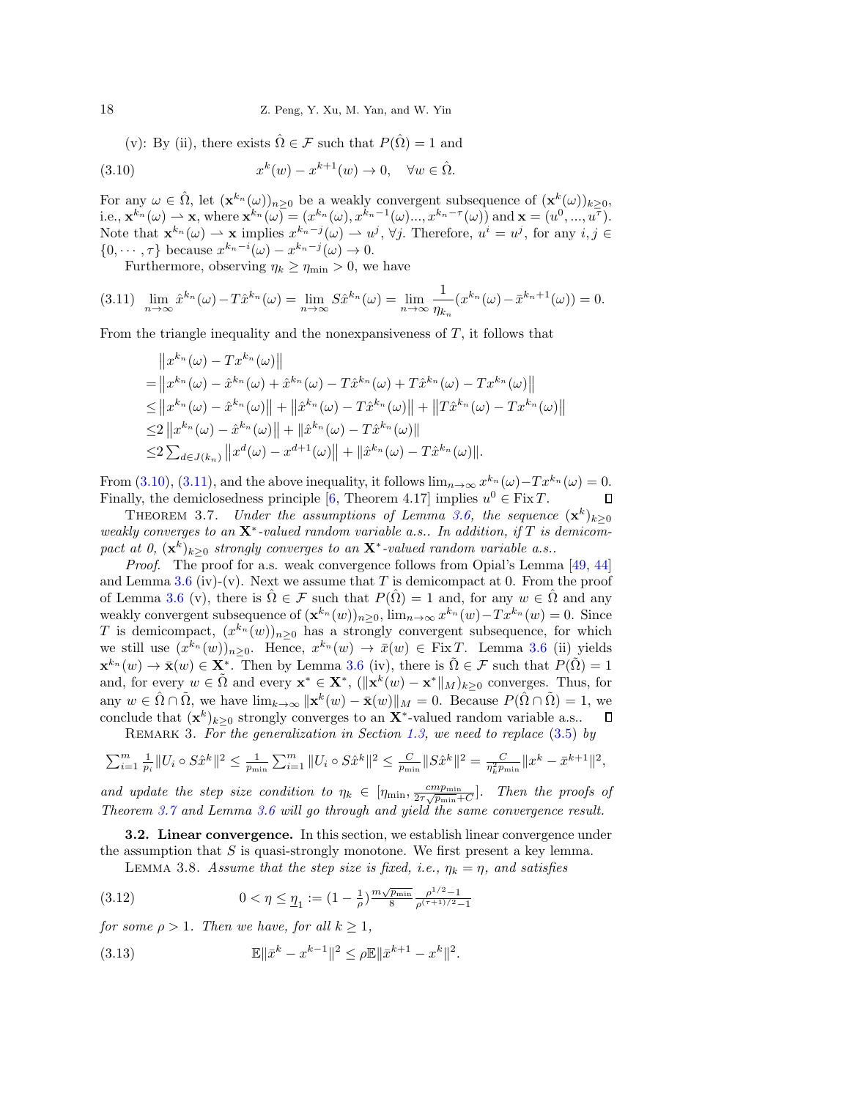(v): By (ii), there exists  $\hat{\Omega} \in \mathcal{F}$  such that  $P(\hat{\Omega}) = 1$  and

<span id="page-17-2"></span>(3.10) 
$$
x^{k}(w) - x^{k+1}(w) \to 0, \quad \forall w \in \hat{\Omega}.
$$

For any  $\omega \in \hat{\Omega}$ , let  $({\bf x}^{k_n}(\omega))_{n\geq 0}$  be a weakly convergent subsequence of  $({\bf x}^k(\omega))_{k\geq 0}$ , i.e.,  $\mathbf{x}^{k_n}(\omega) \to \mathbf{x}$ , where  $\mathbf{x}^{k_n}(\omega) = (x^{k_n}(\omega), x^{k_n-1}(\omega) ..., x^{k_n-\tau}(\omega))$  and  $\mathbf{x} = (u^0, ..., u^{\tau}).$ Note that  $\mathbf{x}^{k_n}(\omega) \to \mathbf{x}$  implies  $x^{k_n-j}(\omega) \to u^j$ ,  $\forall j$ . Therefore,  $u^i = u^j$ , for any  $i, j \in$  $\{0, \dots, \tau\}$  because  $x^{k_n-i}(\omega) - x^{k_n-j}(\omega) \to 0$ .

<span id="page-17-3"></span>Furthermore, observing  $\eta_k \geq \eta_{\min} > 0$ , we have

$$
(3.11)\quad \lim_{n\to\infty} \hat{x}^{k_n}(\omega) - T\hat{x}^{k_n}(\omega) = \lim_{n\to\infty} S\hat{x}^{k_n}(\omega) = \lim_{n\to\infty} \frac{1}{\eta_{k_n}} (x^{k_n}(\omega) - \bar{x}^{k_n+1}(\omega)) = 0.
$$

From the triangle inequality and the nonexpansiveness of  $T$ , it follows that

$$
||x^{k_n}(\omega) - Tx^{k_n}(\omega)||
$$
  
\n
$$
= ||x^{k_n}(\omega) - \hat{x}^{k_n}(\omega) + \hat{x}^{k_n}(\omega) - T\hat{x}^{k_n}(\omega) + T\hat{x}^{k_n}(\omega) - Tx^{k_n}(\omega)||
$$
  
\n
$$
\leq ||x^{k_n}(\omega) - \hat{x}^{k_n}(\omega)|| + ||\hat{x}^{k_n}(\omega) - T\hat{x}^{k_n}(\omega)|| + ||T\hat{x}^{k_n}(\omega) - Tx^{k_n}(\omega)||
$$
  
\n
$$
\leq 2 ||x^{k_n}(\omega) - \hat{x}^{k_n}(\omega)|| + ||\hat{x}^{k_n}(\omega) - T\hat{x}^{k_n}(\omega)||
$$
  
\n
$$
\leq 2 \sum_{d \in J(k_n)} ||x^d(\omega) - x^{d+1}(\omega)|| + ||\hat{x}^{k_n}(\omega) - T\hat{x}^{k_n}(\omega)||.
$$

From [\(3.10\)](#page-17-2), [\(3.11\)](#page-17-3), and the above inequality, it follows  $\lim_{n\to\infty} x^{k_n}(\omega) - Tx^{k_n}(\omega) = 0$ . Finally, the demiclosedness principle [\[6,](#page-22-14) Theorem 4.17] implies  $u^0 \in \text{Fix } T$ .  $\Box$ 

<span id="page-17-0"></span>THEOREM 3.7. Under the assumptions of Lemma [3.6,](#page-16-4) the sequence  $(\mathbf{x}^k)_{k\geq 0}$ weakly converges to an  $X^*$ -valued random variable a.s.. In addition, if T is demicompact at 0,  $(\mathbf{x}^k)_{k\geq 0}$  strongly converges to an  $\mathbf{X}^*$ -valued random variable a.s..

Proof. The proof for a.s. weak convergence follows from Opial's Lemma [\[49,](#page-24-16) [44\]](#page-23-25) and Lemma [3.6](#page-16-4) (iv)-(v). Next we assume that T is demicompact at 0. From the proof of Lemma [3.6](#page-16-4) (v), there is  $\Omega \in \mathcal{F}$  such that  $P(\Omega) = 1$  and, for any  $w \in \Omega$  and any weakly convergent subsequence of  $(\mathbf{x}^{k_n}(w))_{n\geq 0}$ ,  $\lim_{n\to\infty} x^{k_n}(w) - Tx^{k_n}(w) = 0$ . Since T is demicompact,  $(x^{k_n}(w))_{n\geq 0}$  has a strongly convergent subsequence, for which we still use  $(x^{k_n}(w))_{n\geq 0}$ . Hence,  $x^{k_n}(w) \to \bar{x}(w) \in \text{Fix } T$ . Lemma [3.6](#page-16-4) (ii) yields  $\mathbf{x}^{k_n}(w) \to \bar{\mathbf{x}}(w) \in \mathbf{X}^*$ . Then by Lemma [3.6](#page-16-4) (iv), there is  $\tilde{\Omega} \in \mathcal{F}$  such that  $P(\tilde{\Omega}) = 1$ and, for every  $w \in \tilde{\Omega}$  and every  $\mathbf{x}^* \in \mathbf{X}^*$ ,  $(\|\mathbf{x}^k(w) - \mathbf{x}^*\|_M)_{k \geq 0}$  converges. Thus, for any  $w \in \hat{\Omega} \cap \tilde{\Omega}$ , we have  $\lim_{k \to \infty} ||\mathbf{x}^k(w) - \bar{\mathbf{x}}(w)||_M = 0$ . Because  $P(\hat{\Omega} \cap \tilde{\Omega}) = 1$ , we conclude that  $(\mathbf{x}^k)_{k\geq 0}$  strongly converges to an  $\mathbf{X}^*$ -valued random variable a.s..

REMARK 3. For the generalization in Section [1.3,](#page-4-1) we need to replace  $(3.5)$  by

$$
\sum_{i=1}^{m} \frac{1}{p_i} \| U_i \circ S\hat{x}^k \|^2 \le \frac{1}{p_{\min}} \sum_{i=1}^{m} \| U_i \circ S\hat{x}^k \|^2 \le \frac{C}{p_{\min}} \| S\hat{x}^k \|^2 = \frac{C}{\eta_k^2 p_{\min}} \| x^k - \bar{x}^{k+1} \|^2,
$$

and update the step size condition to  $\eta_k \in [\eta_{\min}, \frac{cmp_{\min}}{2\tau\sqrt{p_{\min}}+C}]$ . Then the proofs of Theorem [3.7](#page-17-0) and Lemma [3.6](#page-16-4) will go through and yield the same convergence result.

<span id="page-17-1"></span>3.2. Linear convergence. In this section, we establish linear convergence under the assumption that  $S$  is quasi-strongly monotone. We first present a key lemma.

<span id="page-17-6"></span><span id="page-17-5"></span>LEMMA 3.8. Assume that the step size is fixed, i.e.,  $\eta_k = \eta$ , and satisfies

(3.12) 
$$
0 < \eta \leq \underline{\eta}_1 := (1 - \frac{1}{\rho})^{\frac{m\sqrt{p_{\min}}}{8}} \frac{\rho^{1/2} - 1}{\rho^{(\tau + 1)/2} - 1}
$$

for some  $\rho > 1$ . Then we have, for all  $k \geq 1$ ,

<span id="page-17-4"></span>(3.13) 
$$
\mathbb{E} \|\bar{x}^k - x^{k-1}\|^2 \leq \rho \mathbb{E} \|\bar{x}^{k+1} - x^k\|^2.
$$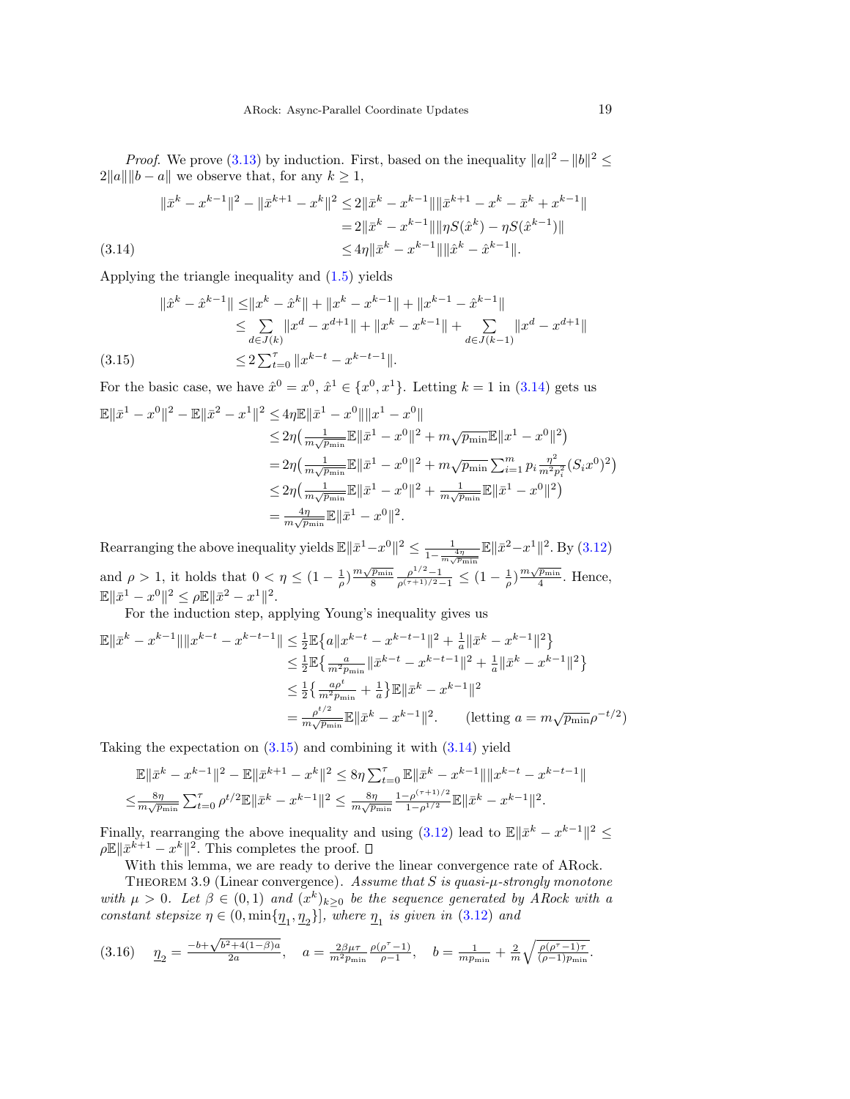*Proof.* We prove [\(3.13\)](#page-17-4) by induction. First, based on the inequality  $||a||^2 - ||b||^2 \le$  $2||a|| ||b - a||$  we observe that, for any  $k \ge 1$ ,

$$
\|\bar{x}^{k} - x^{k-1}\|^2 - \|\bar{x}^{k+1} - x^k\|^2 \le 2\|\bar{x}^{k} - x^{k-1}\|\|\bar{x}^{k+1} - x^k - \bar{x}^k + x^{k-1}\|
$$
  
=  $2\|\bar{x}^{k} - x^{k-1}\|\|\eta S(\hat{x}^{k}) - \eta S(\hat{x}^{k-1})\|$   
 $\le 4\eta \|\bar{x}^{k} - x^{k-1}\|\|\hat{x}^{k} - \hat{x}^{k-1}\|.$   
(3.14)

<span id="page-18-1"></span>Applying the triangle inequality and [\(1.5\)](#page-2-0) yields

$$
\|\hat{x}^{k} - \hat{x}^{k-1}\| \le \|x^{k} - \hat{x}^{k}\| + \|x^{k} - x^{k-1}\| + \|x^{k-1} - \hat{x}^{k-1}\|
$$
  
\n
$$
\le \sum_{d \in J(k)} \|x^{d} - x^{d+1}\| + \|x^{k} - x^{k-1}\| + \sum_{d \in J(k-1)} \|x^{d} - x^{d+1}\|
$$
  
\n(3.15) 
$$
\le 2\sum_{t=0}^{\tau} \|x^{k-t} - x^{k-t-1}\|.
$$

<span id="page-18-2"></span>For the basic case, we have  $\hat{x}^0 = x^0$ ,  $\hat{x}^1 \in \{x^0, x^1\}$ . Letting  $k = 1$  in [\(3.14\)](#page-18-1) gets us

$$
\mathbb{E} \|\bar{x}^{1} - x^{0}\|^{2} - \mathbb{E} \|\bar{x}^{2} - x^{1}\|^{2} \leq 4\eta \mathbb{E} \|\bar{x}^{1} - x^{0}\| \|x^{1} - x^{0}\| \n\leq 2\eta \left( \frac{1}{m\sqrt{p_{\min}}} \mathbb{E} \|\bar{x}^{1} - x^{0}\|^{2} + m\sqrt{p_{\min}} \mathbb{E} \|x^{1} - x^{0}\|^{2} \right) \n= 2\eta \left( \frac{1}{m\sqrt{p_{\min}}} \mathbb{E} \|\bar{x}^{1} - x^{0}\|^{2} + m\sqrt{p_{\min}} \sum_{i=1}^{m} p_{i} \frac{n^{2}}{m^{2}p_{i}^{2}} (S_{i}x^{0})^{2} \right) \n\leq 2\eta \left( \frac{1}{m\sqrt{p_{\min}}} \mathbb{E} \|\bar{x}^{1} - x^{0}\|^{2} + \frac{1}{m\sqrt{p_{\min}}} \mathbb{E} \|\bar{x}^{1} - x^{0}\|^{2} \right) \n= \frac{4\eta}{m\sqrt{p_{\min}}} \mathbb{E} \|\bar{x}^{1} - x^{0}\|^{2}.
$$

Rearranging the above inequality yields  $\mathbb{E} \|\bar{x}^1 - x^0\|^2 \leq \frac{1}{1-\epsilon}$  $\frac{1}{1-\frac{4\eta}{m\sqrt{p_{\min}}}}\mathbb{E} \|\bar{x}^2 - x^1\|^2$ . By  $(3.12)$ and  $\rho > 1$ , it holds that  $0 < \eta \leq (1 - \frac{1}{\rho}) \frac{m\sqrt{p_{\min}}}{8}$  $\frac{\sqrt{p_{\min}}}{8} \frac{\rho^{1/2} - 1}{\rho^{(\tau+1)/2} - 1} \leq (1 - \frac{1}{\rho}) \frac{m \sqrt{p_{\min}}}{4}$  $\frac{p_{\min}}{4}$ . Hence,  $\mathbb{E} \|\bar{x}^1 - x^0\|^2 \leq \rho \mathbb{E} \|\bar{x}^2 - x^1\|^2.$ 

For the induction step, applying Young's inequality gives us

$$
\mathbb{E} \|\bar{x}^{k} - x^{k-1}\| \|x^{k-t} - x^{k-t-1}\| \leq \frac{1}{2} \mathbb{E} \left\{ a \|x^{k-t} - x^{k-t-1}\|^2 + \frac{1}{a} \|\bar{x}^k - x^{k-1}\|^2 \right\}
$$
  
\n
$$
\leq \frac{1}{2} \mathbb{E} \left\{ \frac{a}{m^2 p_{\min}} \|\bar{x}^{k-t} - x^{k-t-1}\|^2 + \frac{1}{a} \|\bar{x}^k - x^{k-1}\|^2 \right\}
$$
  
\n
$$
\leq \frac{1}{2} \left\{ \frac{a \rho^t}{m^2 p_{\min}} + \frac{1}{a} \right\} \mathbb{E} \|\bar{x}^k - x^{k-1}\|^2
$$
  
\n
$$
= \frac{\rho^{t/2}}{m\sqrt{p_{\min}}} \mathbb{E} \|\bar{x}^k - x^{k-1}\|^2. \qquad \text{(letting } a = m\sqrt{p_{\min}}\rho^{-t/2})
$$

Taking the expectation on [\(3.15\)](#page-18-2) and combining it with [\(3.14\)](#page-18-1) yield

$$
\begin{split} &\mathbb{E}\|\bar{x}^k-x^{k-1}\|^2-\mathbb{E}\|\bar{x}^{k+1}-x^k\|^2\leq 8\eta\sum_{t=0}^\tau\mathbb{E}\|\bar{x}^k-x^{k-1}\|\|x^{k-t}-x^{k-t-1}\|\\ \leq& \frac{8\eta}{m\sqrt{p_{\min}}}\sum_{t=0}^\tau\rho^{t/2}\mathbb{E}\|\bar{x}^k-x^{k-1}\|^2\leq \frac{8\eta}{m\sqrt{p_{\min}}}\frac{1-\rho^{(\tau+1)/2}}{1-\rho^{1/2}}\mathbb{E}\|\bar{x}^k-x^{k-1}\|^2. \end{split}
$$

Finally, rearranging the above inequality and using  $(3.12)$  lead to  $\mathbb{E} \|\bar{x}^k - x^{k-1}\|^2 \leq$  $\rho \mathbb{E} \|\bar{x}^{k+1} - x^k\|^2$ . This completes the proof.

With this lemma, we are ready to derive the linear convergence rate of ARock.

<span id="page-18-0"></span>THEOREM 3.9 (Linear convergence). Assume that S is quasi- $\mu$ -strongly monotone with  $\mu > 0$ . Let  $\beta \in (0,1)$  and  $(x^k)_{k\geq 0}$  be the sequence generated by ARock with a constant stepsize  $\eta \in (0, \min\{\underline{\eta}_1, \underline{\eta}_2\}]$ , where  $\underline{\eta}_1$  is given in [\(3.12\)](#page-17-5) and

<span id="page-18-3"></span>
$$
(3.16) \quad \underline{\eta}_2 = \frac{-b + \sqrt{b^2 + 4(1 - \beta)a}}{2a}, \quad a = \frac{2\beta\mu\tau}{m^2 p_{\min}} \frac{\rho(\rho^\tau - 1)}{\rho - 1}, \quad b = \frac{1}{m p_{\min}} + \frac{2}{m} \sqrt{\frac{\rho(\rho^\tau - 1)\tau}{(\rho - 1)p_{\min}}}.
$$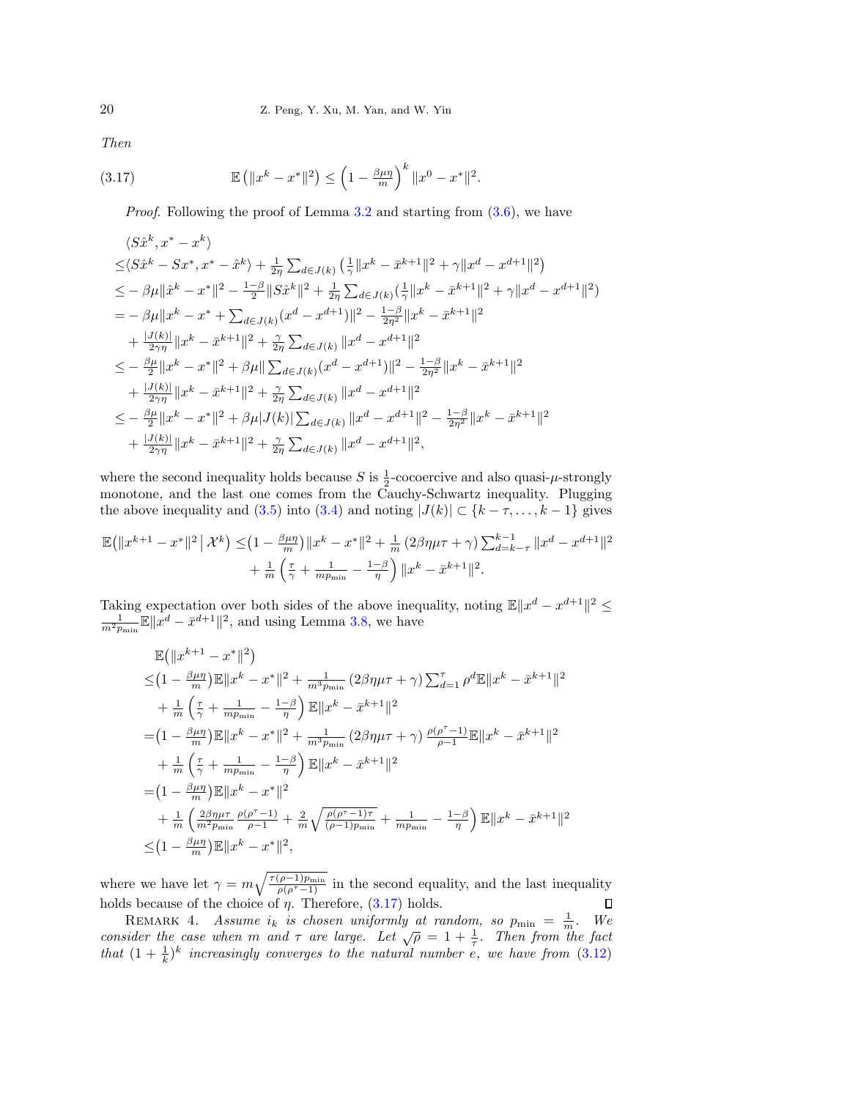Then

(3.17) 
$$
\mathbb{E} (||x^k - x^*||^2) \leq \left(1 - \frac{\beta \mu \eta}{m}\right)^k ||x^0 - x^*||^2.
$$

<span id="page-19-1"></span>Proof. Following the proof of Lemma [3.2](#page-14-5) and starting from [\(3.6\)](#page-15-1), we have

$$
\langle S\hat{x}^{k}, x^{*} - x^{k} \rangle
$$
  
\n
$$
\leq \langle S\hat{x}^{k} - Sx^{*}, x^{*} - \hat{x}^{k} \rangle + \frac{1}{2\eta} \sum_{d \in J(k)} \left( \frac{1}{\gamma} \|x^{k} - \bar{x}^{k+1}\|^{2} + \gamma \|x^{d} - x^{d+1}\|^{2} \right)
$$
  
\n
$$
\leq - \beta \mu \| \hat{x}^{k} - x^{*} \|^{2} - \frac{1-\beta}{2} \|S\hat{x}^{k}\|^{2} + \frac{1}{2\eta} \sum_{d \in J(k)} \left( \frac{1}{\gamma} \|x^{k} - \bar{x}^{k+1}\|^{2} + \gamma \|x^{d} - x^{d+1}\|^{2} \right)
$$
  
\n
$$
= - \beta \mu \|x^{k} - x^{*} + \sum_{d \in J(k)} (x^{d} - x^{d+1}) \|^{2} - \frac{1-\beta}{2\eta^{2}} \|x^{k} - \bar{x}^{k+1}\|^{2}
$$
  
\n
$$
+ \frac{|J(k)|}{2\gamma \eta} \|x^{k} - \bar{x}^{k+1}\|^{2} + \frac{\gamma}{2\eta} \sum_{d \in J(k)} \|x^{d} - x^{d+1}\|^{2}
$$
  
\n
$$
\leq - \frac{\beta \mu}{2} \|x^{k} - x^{*}\|^{2} + \beta \mu \| \sum_{d \in J(k)} (x^{d} - x^{d+1}) \|^{2} - \frac{1-\beta}{2\eta^{2}} \|x^{k} - \bar{x}^{k+1}\|^{2}
$$
  
\n
$$
+ \frac{|J(k)|}{2\gamma \eta} \|x^{k} - \bar{x}^{k+1}\|^{2} + \frac{\gamma}{2\eta} \sum_{d \in J(k)} \|x^{d} - x^{d+1}\|^{2}
$$
  
\n
$$
\leq - \frac{\beta \mu}{2} \|x^{k} - x^{*}\|^{2} + \beta \mu |J(k)| \sum_{d \in J(k)} \|x^{d} - x^{d+1}\|^{2} - \frac{1-\beta}{2\eta^{2}} \|x^{k} - \bar{x}^{k+1}\|^{2}
$$
  
\n
$$
+ \frac{|J(k)|}{2\gamma \eta} \|x^{k} - \bar{x}^{k+1}\|^{2} + \
$$

where the second inequality holds because S is  $\frac{1}{2}$ -cocoercive and also quasi- $\mu$ -strongly monotone, and the last one comes from the Cauchy-Schwartz inequality. Plugging the above inequality and [\(3.5\)](#page-15-0) into [\(3.4\)](#page-14-3) and noting  $|J(k)| \subset \{k - \tau, \ldots, k - 1\}$  gives

$$
\begin{split} \mathbb{E}\!\left(\|x^{k+1}-x^*\|^2\,\big|\,\mathcal{X}^k\right) \leq& \!\left(1-\tfrac{\beta\mu\eta}{m}\right)\!\|x^k-x^*\|^2+\tfrac{1}{m}\left(2\beta\eta\mu\tau+\gamma\right)\!\sum_{d=k-\tau}^{k-1}\|x^d-x^{d+1}\|^2\\ &+\tfrac{1}{m}\left(\tfrac{\tau}{\gamma}+\tfrac{1}{mp_{\min}}-\tfrac{1-\beta}{\eta}\right)\|x^k-\bar{x}^{k+1}\|^2. \end{split}
$$

Taking expectation over both sides of the above inequality, noting  $\mathbb{E} \|x^d - x^{d+1}\|^2 \le \frac{1}{m^2 p_{\min}} \mathbb{E} \|x^d - \bar{x}^{d+1}\|^2$ , and using Lemma [3.8,](#page-17-6) we have

$$
\mathbb{E}(\|x^{k+1} - x^*\|^2)
$$
\n
$$
\leq (1 - \frac{\beta_{\text{III}}}{m}) \mathbb{E} \|x^k - x^*\|^2 + \frac{1}{m^3 p_{\text{min}}} (2\beta \eta \mu \tau + \gamma) \sum_{d=1}^{\tau} \rho^d \mathbb{E} \|x^k - \bar{x}^{k+1}\|^2
$$
\n
$$
+ \frac{1}{m} \left(\frac{\tau}{\gamma} + \frac{1}{m p_{\text{min}}} - \frac{1-\beta}{\eta}\right) \mathbb{E} \|x^k - \bar{x}^{k+1}\|^2
$$
\n
$$
= (1 - \frac{\beta_{\text{III}}}{m}) \mathbb{E} \|x^k - x^*\|^2 + \frac{1}{m^3 p_{\text{min}}} (2\beta \eta \mu \tau + \gamma) \frac{\rho(\rho^{\tau} - 1)}{\rho - 1} \mathbb{E} \|x^k - \bar{x}^{k+1}\|^2
$$
\n
$$
+ \frac{1}{m} \left(\frac{\tau}{\gamma} + \frac{1}{m p_{\text{min}}} - \frac{1-\beta}{\eta}\right) \mathbb{E} \|x^k - \bar{x}^{k+1}\|^2
$$
\n
$$
= (1 - \frac{\beta_{\text{III}}}{m}) \mathbb{E} \|x^k - x^*\|^2
$$
\n
$$
+ \frac{1}{m} \left(\frac{2\beta \eta \mu \tau}{m^2 p_{\text{min}}} \frac{\rho(\rho^{\tau} - 1)}{\rho - 1} + \frac{2}{m} \sqrt{\frac{\rho(\rho^{\tau} - 1)\tau}{(\rho - 1) p_{\text{min}}} + \frac{1}{m p_{\text{min}}} - \frac{1-\beta}{\eta}\right) \mathbb{E} \|x^k - \bar{x}^{k+1}\|^2
$$
\n
$$
\leq (1 - \frac{\beta_{\text{III}}}{m}) \mathbb{E} \|x^k - x^*\|^2,
$$

where we have let  $\gamma = m \sqrt{\frac{\tau(\rho-1)p_{\min}}{\rho(\rho^{\tau}-1)}}$  in the second equality, and the last inequality holds because of the choice of  $\eta$ . Therefore, [\(3.17\)](#page-19-1) holds.  $\Box$ 

<span id="page-19-0"></span>REMARK 4. Assume  $i_k$  is chosen uniformly at random, so  $p_{\min} = \frac{1}{m}$ . We consider the case when m and  $\tau$  are large. Let  $\sqrt{\rho} = 1 + \frac{1}{\tau}$ . Then from the fact that  $(1 + \frac{1}{k})^k$  increasingly converges to the natural number e, we have from [\(3.12\)](#page-17-5)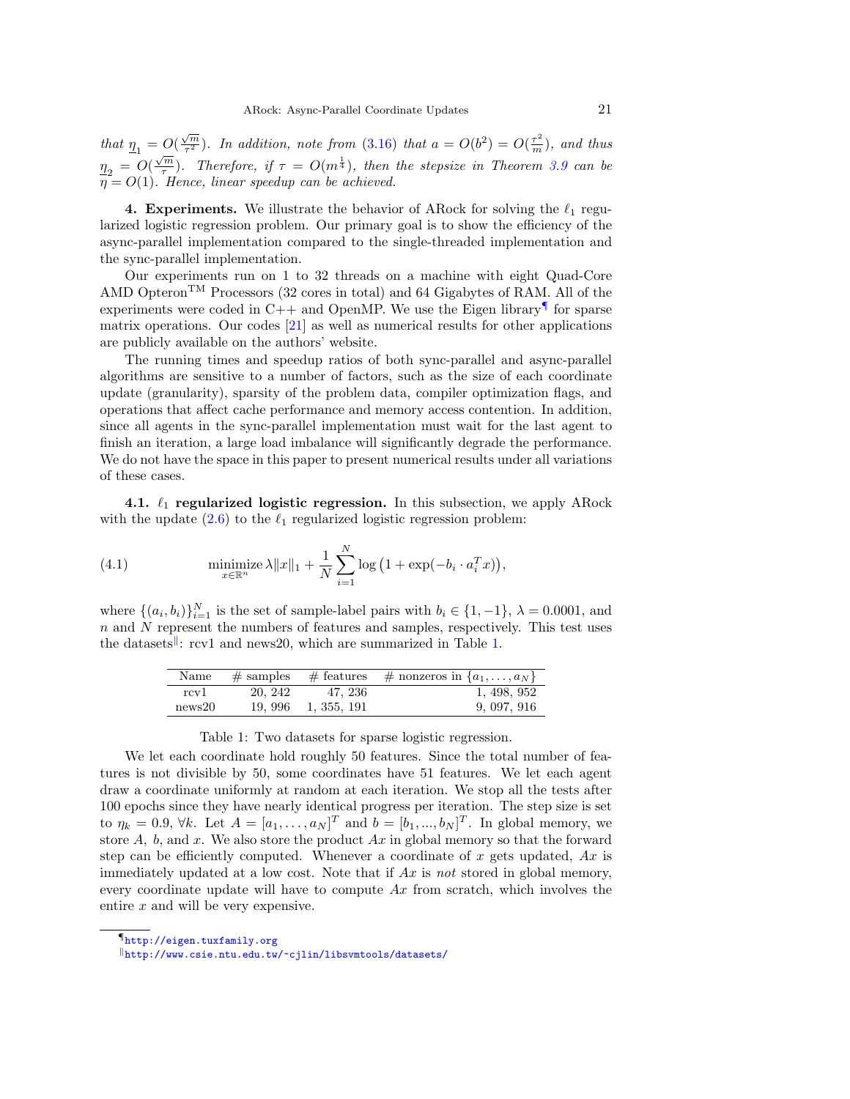that  $\underline{\eta}_1 = O(\frac{\sqrt{m}}{\tau^2})$  $\overline{\frac{m}{\tau^2}}$ ). In addition, note from [\(3.16\)](#page-18-3) that  $a = O(b^2) = O(\frac{\tau^2}{m})$ , and thus  $\frac{\eta_2}{\eta_2} = O(\frac{\sqrt{m}}{\tau})$  $(\frac{\sqrt{m}}{\tau})$ . Therefore, if  $\tau = O(m^{\frac{1}{4}})$ , then the stepsize in Theorem [3.9](#page-18-0) can be  $\eta = O(1)$ . Hence, linear speedup can be achieved.

4. Experiments. We illustrate the behavior of ARock for solving the  $\ell_1$  regularized logistic regression problem. Our primary goal is to show the efficiency of the async-parallel implementation compared to the single-threaded implementation and the sync-parallel implementation.

Our experiments run on 1 to 32 threads on a machine with eight Quad-Core AMD Opteron<sup>TM</sup> Processors (32 cores in total) and 64 Gigabytes of RAM. All of the experiments were coded in  $C++$  and OpenMP. We use the Eigen library<sup> $\P$ </sup> for sparse matrix operations. Our codes [\[21\]](#page-23-26) as well as numerical results for other applications are publicly available on the authors' website.

The running times and speedup ratios of both sync-parallel and async-parallel algorithms are sensitive to a number of factors, such as the size of each coordinate update (granularity), sparsity of the problem data, compiler optimization flags, and operations that affect cache performance and memory access contention. In addition, since all agents in the sync-parallel implementation must wait for the last agent to finish an iteration, a large load imbalance will significantly degrade the performance. We do not have the space in this paper to present numerical results under all variations of these cases.

4.1.  $\ell_1$  regularized logistic regression. In this subsection, we apply ARock with the update  $(2.6)$  to the  $\ell_1$  regularized logistic regression problem:

<span id="page-20-3"></span>(4.1) 
$$
\underset{x \in \mathbb{R}^n}{\text{minimize}} \lambda \|x\|_1 + \frac{1}{N} \sum_{i=1}^N \log \left(1 + \exp(-b_i \cdot a_i^T x)\right),
$$

<span id="page-20-2"></span>where  $\{(a_i, b_i)\}_{i=1}^N$  is the set of sample-label pairs with  $b_i \in \{1, -1\}$ ,  $\lambda = 0.0001$ , and  $n$  and  $N$  represent the numbers of features and samples, respectively. This test uses the datasets<sup>||</sup>: rcv1 and news20, which are summarized in Table [1.](#page-20-2)

| Name   |         |                     | $\overline{\#$ samples $\#$ features $\#$ nonzeros in $\{a_1, \ldots, a_N\}$ |
|--------|---------|---------------------|------------------------------------------------------------------------------|
| rcv1   | 20, 242 | 47, 236             | 1, 498, 952                                                                  |
| news20 |         | 19, 996 1, 355, 191 | 9, 097, 916                                                                  |

### Table 1: Two datasets for sparse logistic regression.

We let each coordinate hold roughly 50 features. Since the total number of features is not divisible by 50, some coordinates have 51 features. We let each agent draw a coordinate uniformly at random at each iteration. We stop all the tests after 100 epochs since they have nearly identical progress per iteration. The step size is set to  $\eta_k = 0.9$ ,  $\forall k$ . Let  $A = [a_1, \ldots, a_N]^T$  and  $b = [b_1, \ldots, b_N]^T$ . In global memory, we store  $A$ ,  $b$ , and  $x$ . We also store the product  $Ax$  in global memory so that the forward step can be efficiently computed. Whenever a coordinate of x gets updated,  $Ax$  is immediately updated at a low cost. Note that if  $Ax$  is not stored in global memory, every coordinate update will have to compute  $Ax$  from scratch, which involves the entire  $x$  and will be very expensive.

<span id="page-20-0"></span><sup>¶</sup><http://eigen.tuxfamily.org>

<span id="page-20-1"></span><sup>k</sup><http://www.csie.ntu.edu.tw/~cjlin/libsvmtools/datasets/>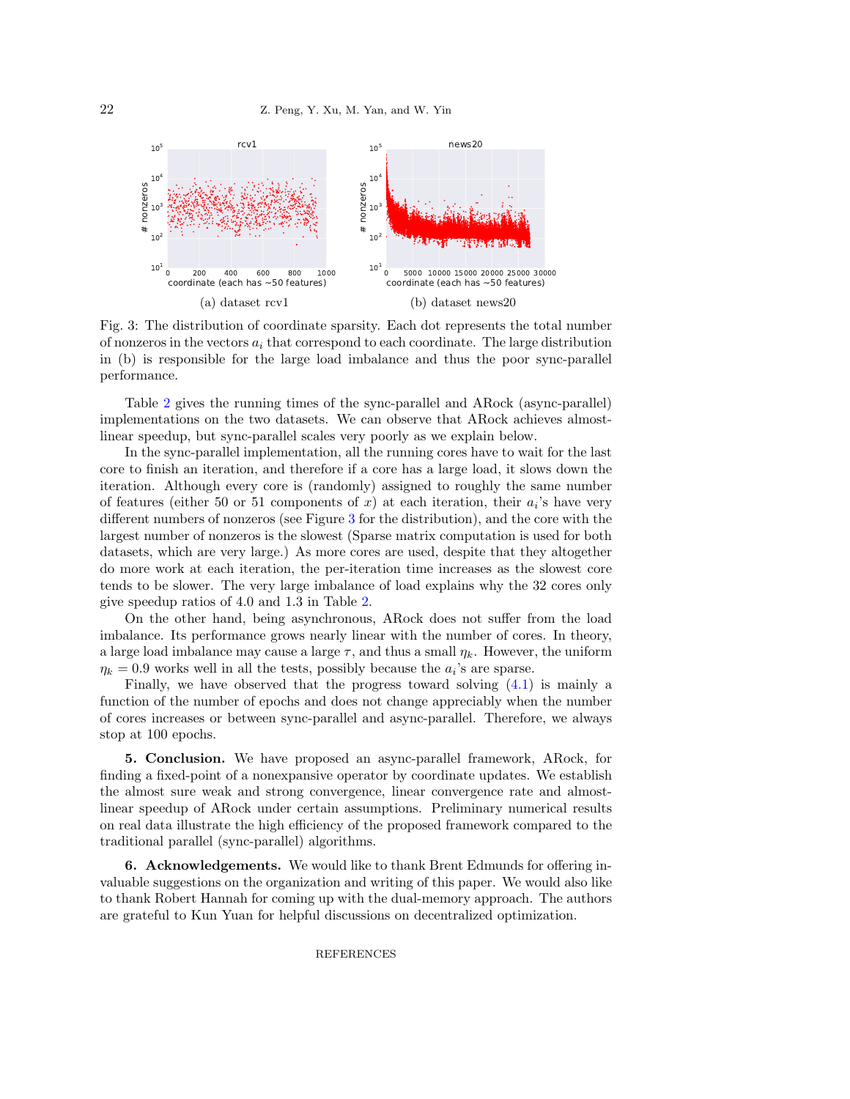<span id="page-21-0"></span>

Fig. 3: The distribution of coordinate sparsity. Each dot represents the total number of nonzeros in the vectors  $a_i$  that correspond to each coordinate. The large distribution in (b) is responsible for the large load imbalance and thus the poor sync-parallel performance.

Table [2](#page-22-18) gives the running times of the sync-parallel and ARock (async-parallel) implementations on the two datasets. We can observe that ARock achieves almostlinear speedup, but sync-parallel scales very poorly as we explain below.

In the sync-parallel implementation, all the running cores have to wait for the last core to finish an iteration, and therefore if a core has a large load, it slows down the iteration. Although every core is (randomly) assigned to roughly the same number of features (either 50 or 51 components of x) at each iteration, their  $a_i$ 's have very different numbers of nonzeros (see Figure [3](#page-21-0) for the distribution), and the core with the largest number of nonzeros is the slowest (Sparse matrix computation is used for both datasets, which are very large.) As more cores are used, despite that they altogether do more work at each iteration, the per-iteration time increases as the slowest core tends to be slower. The very large imbalance of load explains why the 32 cores only give speedup ratios of 4.0 and 1.3 in Table [2.](#page-22-18)

On the other hand, being asynchronous, ARock does not suffer from the load imbalance. Its performance grows nearly linear with the number of cores. In theory, a large load imbalance may cause a large  $\tau$ , and thus a small  $\eta_k$ . However, the uniform  $\eta_k = 0.9$  works well in all the tests, possibly because the  $a_i$ 's are sparse.

Finally, we have observed that the progress toward solving [\(4.1\)](#page-20-3) is mainly a function of the number of epochs and does not change appreciably when the number of cores increases or between sync-parallel and async-parallel. Therefore, we always stop at 100 epochs.

5. Conclusion. We have proposed an async-parallel framework, ARock, for finding a fixed-point of a nonexpansive operator by coordinate updates. We establish the almost sure weak and strong convergence, linear convergence rate and almostlinear speedup of ARock under certain assumptions. Preliminary numerical results on real data illustrate the high efficiency of the proposed framework compared to the traditional parallel (sync-parallel) algorithms.

6. Acknowledgements. We would like to thank Brent Edmunds for offering invaluable suggestions on the organization and writing of this paper. We would also like to thank Robert Hannah for coming up with the dual-memory approach. The authors are grateful to Kun Yuan for helpful discussions on decentralized optimization.

## **REFERENCES**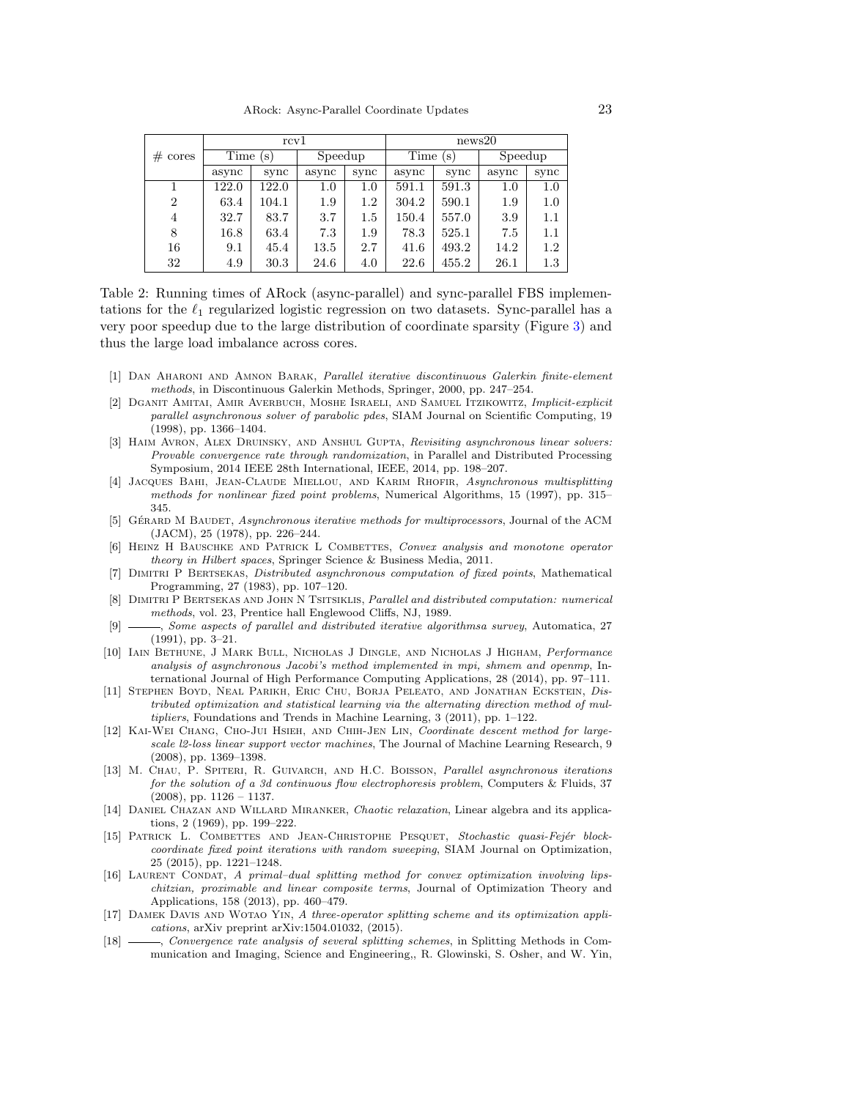<span id="page-22-18"></span>

|                     |                        | rcv1  |         |      | news20      |       |         |      |
|---------------------|------------------------|-------|---------|------|-------------|-------|---------|------|
| $# \; \text{cores}$ | Time<br>$(\mathrm{s})$ |       | Speedup |      | Time<br>(s) |       | Speedup |      |
|                     | async                  | sync  | async   | sync | async       | sync  | async   | sync |
|                     | 122.0                  | 122.0 | $1.0\,$ | 1.0  | 591.1       | 591.3 | 1.0     | 1.0  |
| $\overline{2}$      | 63.4                   | 104.1 | 1.9     | 1.2  | 304.2       | 590.1 | 1.9     | 1.0  |
| 4                   | 32.7                   | 83.7  | 3.7     | 1.5  | 150.4       | 557.0 | 3.9     | 1.1  |
| 8                   | 16.8                   | 63.4  | 7.3     | 1.9  | 78.3        | 525.1 | 7.5     | 1.1  |
| 16                  | 9.1                    | 45.4  | 13.5    | 2.7  | 41.6        | 493.2 | 14.2    | 1.2  |
| 32                  | 4.9                    | 30.3  | 24.6    | 4.0  | 22.6        | 455.2 | 26.1    | 1.3  |

Table 2: Running times of ARock (async-parallel) and sync-parallel FBS implementations for the  $\ell_1$  regularized logistic regression on two datasets. Sync-parallel has a very poor speedup due to the large distribution of coordinate sparsity (Figure [3\)](#page-21-0) and thus the large load imbalance across cores.

- <span id="page-22-9"></span>[1] Dan Aharoni and Amnon Barak, Parallel iterative discontinuous Galerkin finite-element methods, in Discontinuous Galerkin Methods, Springer, 2000, pp. 247–254.
- <span id="page-22-10"></span>[2] Dganit Amitai, Amir Averbuch, Moshe Israeli, and Samuel Itzikowitz, Implicit-explicit parallel asynchronous solver of parabolic pdes, SIAM Journal on Scientific Computing, 19 (1998), pp. 1366–1404.
- <span id="page-22-5"></span>[3] HAIM AVRON, ALEX DRUINSKY, AND ANSHUL GUPTA, Revisiting asynchronous linear solvers: Provable convergence rate through randomization, in Parallel and Distributed Processing Symposium, 2014 IEEE 28th International, IEEE, 2014, pp. 198–207.
- <span id="page-22-7"></span>[4] Jacques Bahi, Jean-Claude Miellou, and Karim Rhofir, Asynchronous multisplitting methods for nonlinear fixed point problems, Numerical Algorithms, 15 (1997), pp. 315– 345.
- <span id="page-22-8"></span>[5] GÉRARD M BAUDET, Asynchronous iterative methods for multiprocessors, Journal of the ACM (JACM), 25 (1978), pp. 226–244.
- <span id="page-22-14"></span>[6] HEINZ H BAUSCHKE AND PATRICK L COMBETTES, Convex analysis and monotone operator theory in Hilbert spaces, Springer Science & Business Media, 2011.
- <span id="page-22-12"></span>[7] Dimitri P Bertsekas, Distributed asynchronous computation of fixed points, Mathematical Programming, 27 (1983), pp. 107–120.
- <span id="page-22-13"></span>[8] DIMITRI P BERTSEKAS AND JOHN N TSITSIKLIS, Parallel and distributed computation: numerical methods, vol. 23, Prentice hall Englewood Cliffs, NJ, 1989.
- <span id="page-22-0"></span>-, Some aspects of parallel and distributed iterative algorithmsa survey, Automatica, 27 (1991), pp. 3–21.
- <span id="page-22-6"></span>[10] Iain Bethune, J Mark Bull, Nicholas J Dingle, and Nicholas J Higham, Performance analysis of asynchronous Jacobi's method implemented in mpi, shmem and openmp, International Journal of High Performance Computing Applications, 28 (2014), pp. 97–111.
- <span id="page-22-16"></span>[11] Stephen Boyd, Neal Parikh, Eric Chu, Borja Peleato, and Jonathan Eckstein, Distributed optimization and statistical learning via the alternating direction method of multipliers, Foundations and Trends in Machine Learning, 3 (2011), pp. 1–122.
- <span id="page-22-2"></span>[12] Kai-Wei Chang, Cho-Jui Hsieh, and Chih-Jen Lin, Coordinate descent method for largescale l2-loss linear support vector machines, The Journal of Machine Learning Research, 9 (2008), pp. 1369–1398.
- <span id="page-22-11"></span>[13] M. CHAU, P. SPITERI, R. GUIVARCH, AND H.C. BOISSON, Parallel asynchronous iterations for the solution of a 3d continuous flow electrophoresis problem, Computers & Fluids, 37  $(2008)$ , pp.  $1126 - 1137$ .
- <span id="page-22-4"></span>[14] DANIEL CHAZAN AND WILLARD MIRANKER, Chaotic relaxation, Linear algebra and its applications, 2 (1969), pp. 199–222.
- <span id="page-22-17"></span>[15] PATRICK L. COMBETTES AND JEAN-CHRISTOPHE PESQUET, Stochastic quasi-Fejér blockcoordinate fixed point iterations with random sweeping, SIAM Journal on Optimization, 25 (2015), pp. 1221–1248.
- <span id="page-22-3"></span>[16] LAURENT CONDAT, A primal-dual splitting method for convex optimization involving lipschitzian, proximable and linear composite terms, Journal of Optimization Theory and Applications, 158 (2013), pp. 460–479.
- <span id="page-22-1"></span>[17] Damek Davis and Wotao Yin, A three-operator splitting scheme and its optimization applications, arXiv preprint arXiv:1504.01032, (2015).
- <span id="page-22-15"></span>[18]  $\frac{18}{18}$  , Convergence rate analysis of several splitting schemes, in Splitting Methods in Communication and Imaging, Science and Engineering,, R. Glowinski, S. Osher, and W. Yin,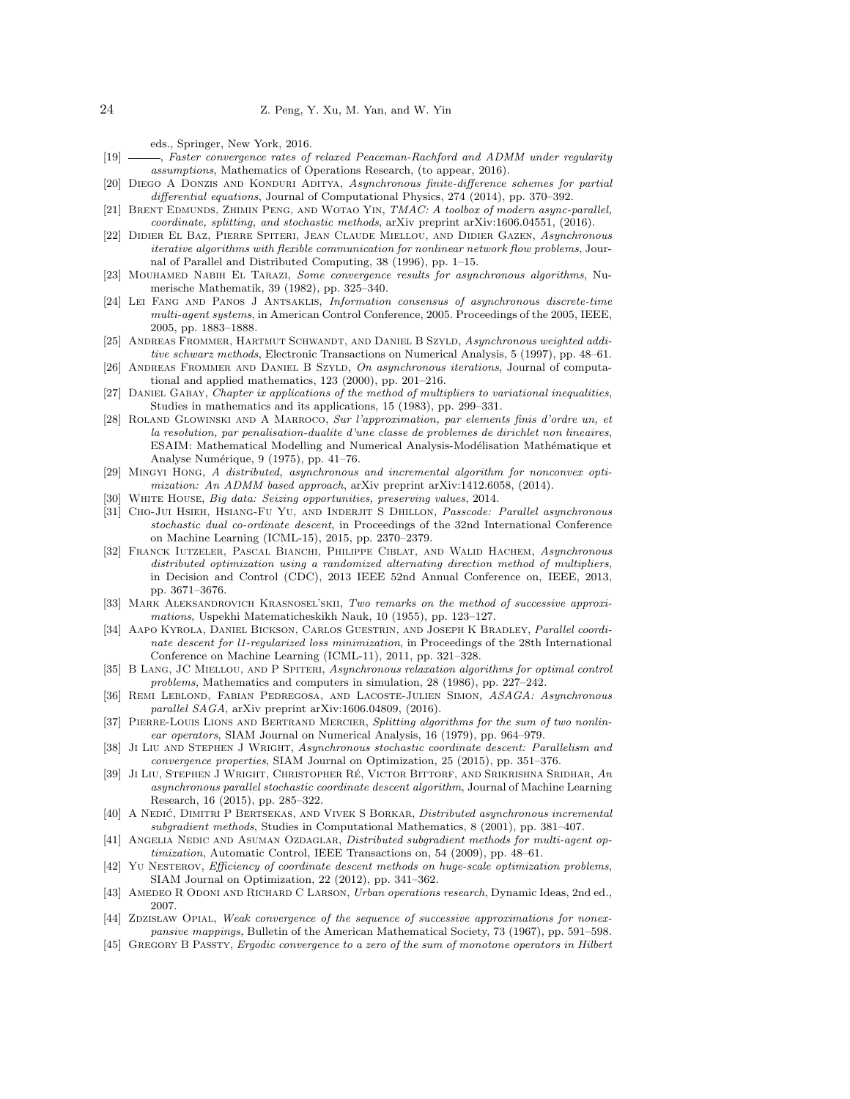eds., Springer, New York, 2016.

- <span id="page-23-23"></span>[19]  $\longrightarrow$ , Faster convergence rates of relaxed Peaceman-Rachford and ADMM under regularity assumptions, Mathematics of Operations Research, (to appear, 2016).
- <span id="page-23-9"></span>[20] Diego A Donzis and Konduri Aditya, Asynchronous finite-difference schemes for partial differential equations, Journal of Computational Physics, 274 (2014), pp. 370–392.
- <span id="page-23-26"></span>[21] Brent Edmunds, Zhimin Peng, and Wotao Yin, TMAC: A toolbox of modern async-parallel, coordinate, splitting, and stochastic methods, arXiv preprint arXiv:1606.04551, (2016).
- <span id="page-23-20"></span>[22] Didier El Baz, Pierre Spiteri, Jean Claude Miellou, and Didier Gazen, Asynchronous iterative algorithms with flexible communication for nonlinear network flow problems, Journal of Parallel and Distributed Computing, 38 (1996), pp. 1–15.
- <span id="page-23-15"></span>[23] Mouhamed Nabih El Tarazi, Some convergence results for asynchronous algorithms, Numerische Mathematik, 39 (1982), pp. 325–340.
- <span id="page-23-11"></span>[24] Lei Fang and Panos J Antsaklis, Information consensus of asynchronous discrete-time multi-agent systems, in American Control Conference, 2005. Proceedings of the 2005, IEEE, 2005, pp. 1883–1888.
- <span id="page-23-8"></span>[25] ANDREAS FROMMER, HARTMUT SCHWANDT, AND DANIEL B SZYLD, Asynchronous weighted additive schwarz methods, Electronic Transactions on Numerical Analysis, 5 (1997), pp. 48–61.
- <span id="page-23-14"></span>[26] ANDREAS FROMMER AND DANIEL B SZYLD, On asynchronous iterations, Journal of computational and applied mathematics, 123 (2000), pp. 201–216.
- <span id="page-23-24"></span>[27] Daniel Gabay, Chapter ix applications of the method of multipliers to variational inequalities, Studies in mathematics and its applications, 15 (1983), pp. 299–331.
- <span id="page-23-4"></span>[28] Roland Glowinski and A Marroco, Sur l'approximation, par elements finis d'ordre un, et la resolution, par penalisation-dualite d'une classe de problemes de dirichlet non lineaires, ESAIM: Mathematical Modelling and Numerical Analysis-Modélisation Mathématique et Analyse Numérique, 9 (1975), pp. 41-76.
- <span id="page-23-16"></span>[29] Mingyi Hong, A distributed, asynchronous and incremental algorithm for nonconvex optimization: An ADMM based approach, arXiv preprint arXiv:1412.6058, (2014).
- <span id="page-23-0"></span>[30] WHITE HOUSE, Big data: Seizing opportunities, preserving values, 2014.
- <span id="page-23-12"></span>[31] Cho-Jui Hsieh, Hsiang-Fu Yu, and Inderjit S Dhillon, Passcode: Parallel asynchronous stochastic dual co-ordinate descent, in Proceedings of the 32nd International Conference on Machine Learning (ICML-15), 2015, pp. 2370–2379.
- <span id="page-23-17"></span>[32] FRANCK IUTZELER, PASCAL BIANCHI, PHILIPPE CIBLAT, AND WALID HACHEM, Asynchronous distributed optimization using a randomized alternating direction method of multipliers, in Decision and Control (CDC), 2013 IEEE 52nd Annual Conference on, IEEE, 2013, pp. 3671–3676.
- <span id="page-23-1"></span>[33] MARK ALEKSANDROVICH KRASNOSEL'SKII, Two remarks on the method of successive approximations, Uspekhi Matematicheskikh Nauk, 10 (1955), pp. 123–127.
- <span id="page-23-19"></span>[34] Aapo Kyrola, Daniel Bickson, Carlos Guestrin, and Joseph K Bradley, Parallel coordinate descent for l1-regularized loss minimization, in Proceedings of the 28th International Conference on Machine Learning (ICML-11), 2011, pp. 321–328.
- <span id="page-23-10"></span>[35] B Lang, JC Miellou, and P Spiteri, Asynchronous relaxation algorithms for optimal control problems, Mathematics and computers in simulation, 28 (1986), pp. 227–242.
- <span id="page-23-7"></span>[36] Remi Leblond, Fabian Pedregosa, and Lacoste-Julien Simon, ASAGA: Asynchronous parallel SAGA, arXiv preprint arXiv:1606.04809, (2016).
- <span id="page-23-3"></span>[37] PIERRE-LOUIS LIONS AND BERTRAND MERCIER, Splitting algorithms for the sum of two nonlinear operators, SIAM Journal on Numerical Analysis, 16 (1979), pp. 964–979.
- <span id="page-23-5"></span>[38] Ji Liu AND STEPHEN J WRIGHT, Asynchronous stochastic coordinate descent: Parallelism and convergence properties, SIAM Journal on Optimization, 25 (2015), pp. 351–376.
- <span id="page-23-13"></span>[39] Ji Liu, Stephen J Wright, Christopher Ré, Victor Bittorf, and Srikrishna Sridhar, An asynchronous parallel stochastic coordinate descent algorithm, Journal of Machine Learning Research, 16 (2015), pp. 285–322.
- <span id="page-23-18"></span>[40] A NEDIĆ, DIMITRI P BERTSEKAS, AND VIVEK S BORKAR, *Distributed asynchronous incremental* subgradient methods, Studies in Computational Mathematics, 8 (2001), pp. 381–407.
- <span id="page-23-21"></span>[41] ANGELIA NEDIC AND ASUMAN OZDAGLAR, Distributed subgradient methods for multi-agent optimization, Automatic Control, IEEE Transactions on, 54 (2009), pp. 48–61.
- <span id="page-23-6"></span>[42] Yu Nesterov, Efficiency of coordinate descent methods on huge-scale optimization problems, SIAM Journal on Optimization, 22 (2012), pp. 341–362.
- <span id="page-23-22"></span>[43] AMEDEO R ODONI AND RICHARD C LARSON, Urban operations research, Dynamic Ideas, 2nd ed., 2007.
- <span id="page-23-25"></span>[44] ZDZISLAW OPIAL, Weak convergence of the sequence of successive approximations for nonexpansive mappings, Bulletin of the American Mathematical Society, 73 (1967), pp. 591–598.
- <span id="page-23-2"></span>[45] GREGORY B PASSTY, *Ergodic convergence to a zero of the sum of monotone operators in Hilbert*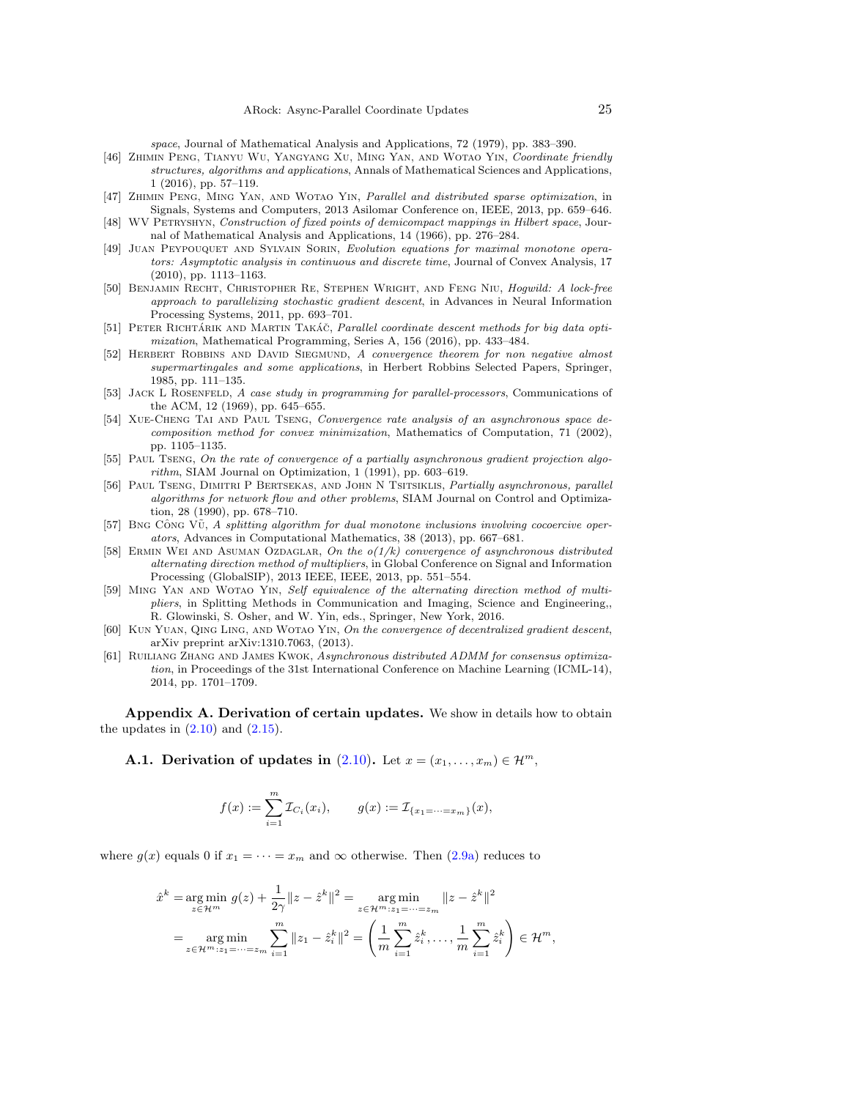space, Journal of Mathematical Analysis and Applications, 72 (1979), pp. 383–390.

- <span id="page-24-0"></span>[46] Zhimin Peng, Tianyu Wu, Yangyang Xu, Ming Yan, and Wotao Yin, Coordinate friendly structures, algorithms and applications, Annals of Mathematical Sciences and Applications, 1 (2016), pp. 57–119.
- <span id="page-24-9"></span>[47] Zhimin Peng, Ming Yan, and Wotao Yin, Parallel and distributed sparse optimization, in Signals, Systems and Computers, 2013 Asilomar Conference on, IEEE, 2013, pp. 659–646.
- <span id="page-24-11"></span>[48] WV PETRYSHYN, Construction of fixed points of demicompact mappings in Hilbert space, Journal of Mathematical Analysis and Applications, 14 (1966), pp. 276–284.
- <span id="page-24-16"></span>[49] Juan Peypouquet and Sylvain Sorin, Evolution equations for maximal monotone operators: Asymptotic analysis in continuous and discrete time, Journal of Convex Analysis, 17 (2010), pp. 1113–1163.
- <span id="page-24-8"></span>[50] Benjamin Recht, Christopher Re, Stephen Wright, and Feng Niu, Hogwild: A lock-free approach to parallelizing stochastic gradient descent, in Advances in Neural Information Processing Systems, 2011, pp. 693–701.
- <span id="page-24-10"></span>[51] PETER RICHTÁRIK AND MARTIN TAKÁČ, Parallel coordinate descent methods for big data optimization, Mathematical Programming, Series A, 156 (2016), pp. 433–484.
- <span id="page-24-15"></span>[52] HERBERT ROBBINS AND DAVID SIEGMUND, A convergence theorem for non negative almost supermartingales and some applications, in Herbert Robbins Selected Papers, Springer, 1985, pp. 111–135.
- <span id="page-24-2"></span>[53] JACK L ROSENFELD, A case study in programming for parallel-processors, Communications of the ACM, 12 (1969), pp. 645–655.
- <span id="page-24-3"></span>[54] Xue-Cheng Tai and Paul Tseng, Convergence rate analysis of an asynchronous space decomposition method for convex minimization, Mathematics of Computation, 71 (2002), pp. 1105–1135.
- <span id="page-24-6"></span>[55] PAUL TSENG, On the rate of convergence of a partially asynchronous gradient projection algorithm, SIAM Journal on Optimization, 1 (1991), pp. 603–619.
- <span id="page-24-5"></span>[56] Paul Tseng, Dimitri P Bertsekas, and John N Tsitsiklis, Partially asynchronous, parallel algorithms for network flow and other problems, SIAM Journal on Control and Optimization, 28 (1990), pp. 678–710.
- <span id="page-24-1"></span>[57] BNG CÔNG VŨ,  $A$  splitting algorithm for dual monotone inclusions involving cocoercive operators, Advances in Computational Mathematics, 38 (2013), pp. 667–681.
- <span id="page-24-7"></span>[58] ERMIN WEI AND ASUMAN OZDAGLAR, On the  $o(1/k)$  convergence of asynchronous distributed alternating direction method of multipliers, in Global Conference on Signal and Information Processing (GlobalSIP), 2013 IEEE, IEEE, 2013, pp. 551–554.
- <span id="page-24-13"></span>[59] Ming Yan and Wotao Yin, Self equivalence of the alternating direction method of multipliers, in Splitting Methods in Communication and Imaging, Science and Engineering,, R. Glowinski, S. Osher, and W. Yin, eds., Springer, New York, 2016.
- <span id="page-24-12"></span>[60] Kun Yuan, Qing Ling, and Wotao Yin, On the convergence of decentralized gradient descent, arXiv preprint arXiv:1310.7063, (2013).
- <span id="page-24-4"></span>[61] Ruiliang Zhang and James Kwok, Asynchronous distributed ADMM for consensus optimization, in Proceedings of the 31st International Conference on Machine Learning (ICML-14), 2014, pp. 1701–1709.

<span id="page-24-14"></span>Appendix A. Derivation of certain updates. We show in details how to obtain the updates in  $(2.10)$  and  $(2.15)$ .

**A.1.** Derivation of updates in  $(2.10)$ . Let  $x = (x_1, \ldots, x_m) \in \mathcal{H}^m$ ,

$$
f(x) := \sum_{i=1}^{m} \mathcal{I}_{C_i}(x_i), \qquad g(x) := \mathcal{I}_{\{x_1 = \dots = x_m\}}(x),
$$

where  $g(x)$  equals 0 if  $x_1 = \cdots = x_m$  and  $\infty$  otherwise. Then  $(2.9a)$  reduces to

$$
\hat{x}^k = \underset{z \in \mathcal{H}^m}{\arg \min} g(z) + \frac{1}{2\gamma} \|z - \hat{z}^k\|^2 = \underset{z \in \mathcal{H}^m: z_1 = \dots = z_m}{\arg \min} \|z - \hat{z}^k\|^2
$$
\n
$$
= \underset{z \in \mathcal{H}^m: z_1 = \dots = z_m}{\arg \min} \sum_{i=1}^m \|z_1 - \hat{z}^k_i\|^2 = \left(\frac{1}{m} \sum_{i=1}^m \hat{z}^k_i, \dots, \frac{1}{m} \sum_{i=1}^m \hat{z}^k_i\right) \in \mathcal{H}^m,
$$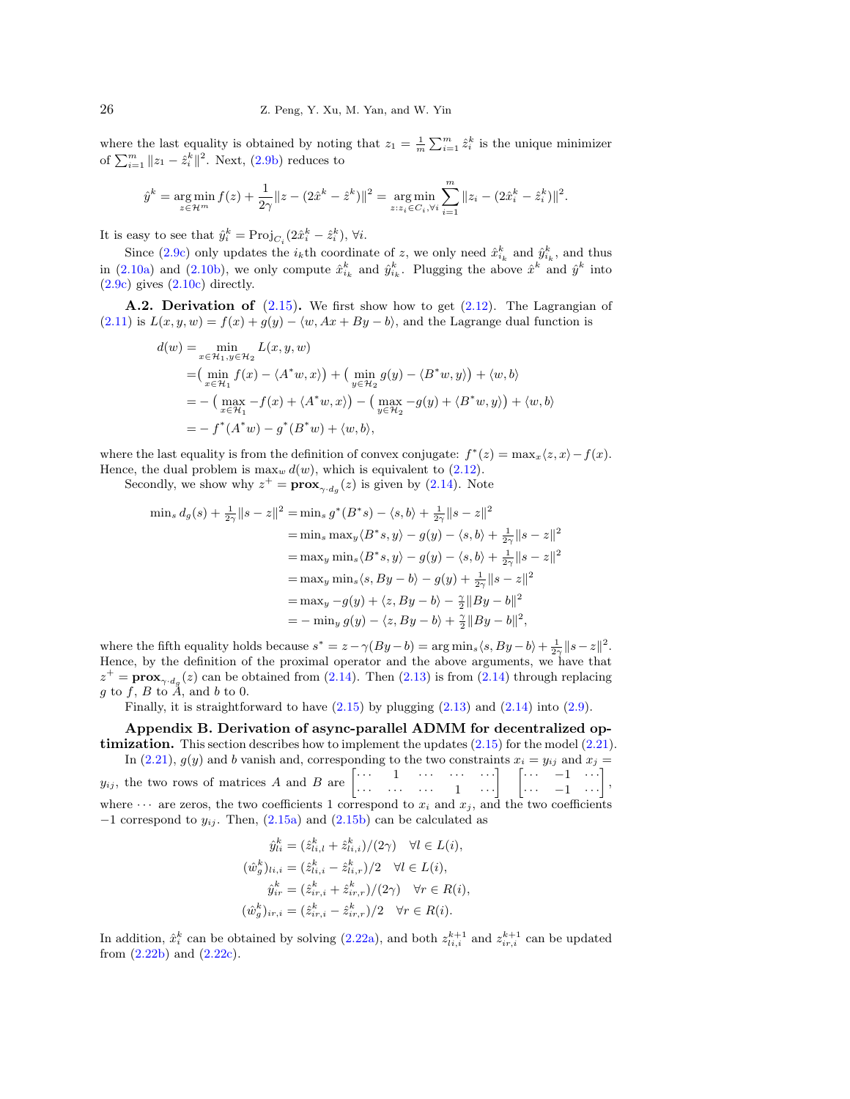where the last equality is obtained by noting that  $z_1 = \frac{1}{m} \sum_{i=1}^m \hat{z}_i^k$  is the unique minimizer of  $\sum_{i=1}^{m} ||z_1 - \hat{z}_i^k||^2$ . Next, [\(2.9b\)](#page-10-7) reduces to

$$
\hat{y}^k = \underset{z \in \mathcal{H}^m}{\arg \min} f(z) + \frac{1}{2\gamma} \|z - (2\hat{x}^k - \hat{z}^k)\|^2 = \underset{z: z_i \in C_i, \forall i}{\arg \min} \sum_{i=1}^m \|z_i - (2\hat{x}_i^k - \hat{z}_i^k)\|^2.
$$

It is easy to see that  $\hat{y}_i^k = \text{Proj}_{C_i}(2\hat{x}_i^k - \hat{z}_i^k)$ ,  $\forall i$ .

Since [\(2.9c\)](#page-10-5) only updates the  $i_k$ <sup>th</sup> coordinate of z, we only need  $\hat{x}_{i_k}^k$  and  $\hat{y}_{i_k}^k$ , and thus in [\(2.10a\)](#page-11-3) and [\(2.10b\)](#page-11-4), we only compute  $\hat{x}_{i_k}^k$  and  $\hat{y}_{i_k}^k$ . Plugging the above  $\hat{x}^k$  and  $\hat{y}^k$  into  $(2.9c)$  gives  $(2.10c)$  directly.

**A.2. Derivation of**  $(2.15)$ . We first show how to get  $(2.12)$ . The Lagrangian of  $(2.11)$  is  $L(x, y, w) = f(x) + g(y) - \langle w, Ax + By - b \rangle$ , and the Lagrange dual function is

$$
d(w) = \min_{x \in \mathcal{H}_1, y \in \mathcal{H}_2} L(x, y, w)
$$
  
=  $\left( \min_{x \in \mathcal{H}_1} f(x) - \langle A^* w, x \rangle \right) + \left( \min_{y \in \mathcal{H}_2} g(y) - \langle B^* w, y \rangle \right) + \langle w, b \rangle$   
=  $- \left( \max_{x \in \mathcal{H}_1} -f(x) + \langle A^* w, x \rangle \right) - \left( \max_{y \in \mathcal{H}_2} -g(y) + \langle B^* w, y \rangle \right) + \langle w, b \rangle$   
=  $- f^*(A^* w) - g^*(B^* w) + \langle w, b \rangle,$ 

where the last equality is from the definition of convex conjugate:  $f^*(z) = \max_x \langle z, x \rangle - f(x)$ . Hence, the dual problem is  $\max_w d(w)$ , which is equivalent to [\(2.12\)](#page-11-9).

Secondly, we show why  $z^+ = \mathbf{prox}_{\gamma \cdot d_g}(z)$  is given by [\(2.14\)](#page-11-8). Note

$$
\min_s d_g(s) + \frac{1}{2\gamma} \|s - z\|^2 = \min_s g^*(B^*s) - \langle s, b \rangle + \frac{1}{2\gamma} \|s - z\|^2
$$
  
\n
$$
= \min_s \max_y \langle B^*s, y \rangle - g(y) - \langle s, b \rangle + \frac{1}{2\gamma} \|s - z\|^2
$$
  
\n
$$
= \max_y \min_s \langle B^*s, y \rangle - g(y) - \langle s, b \rangle + \frac{1}{2\gamma} \|s - z\|^2
$$
  
\n
$$
= \max_y \min_s \langle s, By - b \rangle - g(y) + \frac{1}{2\gamma} \|s - z\|^2
$$
  
\n
$$
= \max_y - g(y) + \langle z, By - b \rangle - \frac{\gamma}{2} \|By - b\|^2
$$
  
\n
$$
= - \min_y g(y) - \langle z, By - b \rangle + \frac{\gamma}{2} \|By - b\|^2,
$$

where the fifth equality holds because  $s^* = z - \gamma (By - b) = \arg \min_s \langle s, By - b \rangle + \frac{1}{2\gamma} \| s - z \|^2$ . Hence, by the definition of the proximal operator and the above arguments, we have that  $z^+ = \mathbf{prox}_{\gamma \cdot d_g}(z)$  can be obtained from [\(2.14\)](#page-11-8). Then [\(2.13\)](#page-11-7) is from (2.14) through replacing  $g$  to  $f$ ,  $B$  to  $\ddot{A}$ , and  $b$  to 0.

Finally, it is straightforward to have  $(2.15)$  by plugging  $(2.13)$  and  $(2.14)$  into  $(2.9)$ .

<span id="page-25-0"></span>Appendix B. Derivation of async-parallel ADMM for decentralized optimization. This section describes how to implement the updates [\(2.15\)](#page-12-1) for the model [\(2.21\)](#page-13-3). In [\(2.21\)](#page-13-3),  $g(y)$  and b vanish and, corresponding to the two constraints  $x_i = y_{ij}$  and  $x_j =$ 

 $y_{ij}$ , the two rows of matrices A and B are  $\begin{bmatrix} \cdots & 1 & \cdots & \cdots & \cdots \\ \cdots & \cdots & \cdots & 1 & \cdots \end{bmatrix}$ ,  $\begin{bmatrix} \cdots & -1 & \cdots \\ \cdots & -1 & \cdots \end{bmatrix}$ , where  $\cdots$  are zeros, the two coefficients 1 correspond to  $x_i$  and  $x_j$ , and the two coefficients  $-1$  correspond to  $y_{ij}$ . Then,  $(2.15a)$  and  $(2.15b)$  can be calculated as

$$
\hat{y}_{li}^k = (\hat{z}_{li,l}^k + \hat{z}_{li,i}^k) / (2\gamma) \quad \forall l \in L(i),
$$
  
\n
$$
(\hat{w}_g^k)_{li,i} = (\hat{z}_{li,i}^k - \hat{z}_{li,r}^k) / 2 \quad \forall l \in L(i),
$$
  
\n
$$
\hat{y}_{ir}^k = (\hat{z}_{ir,i}^k + \hat{z}_{ir,r}^k) / (2\gamma) \quad \forall r \in R(i),
$$
  
\n
$$
(\hat{w}_g^k)_{ir,i} = (\hat{z}_{ir,i}^k - \hat{z}_{ir,r}^k) / 2 \quad \forall r \in R(i).
$$

In addition,  $\hat{x}_i^k$  can be obtained by solving [\(2.22a\)](#page-13-6), and both  $z_{li,i}^{k+1}$  and  $z_{ir,i}^{k+1}$  can be updated from  $(2.22b)$  and  $(2.22c)$ .